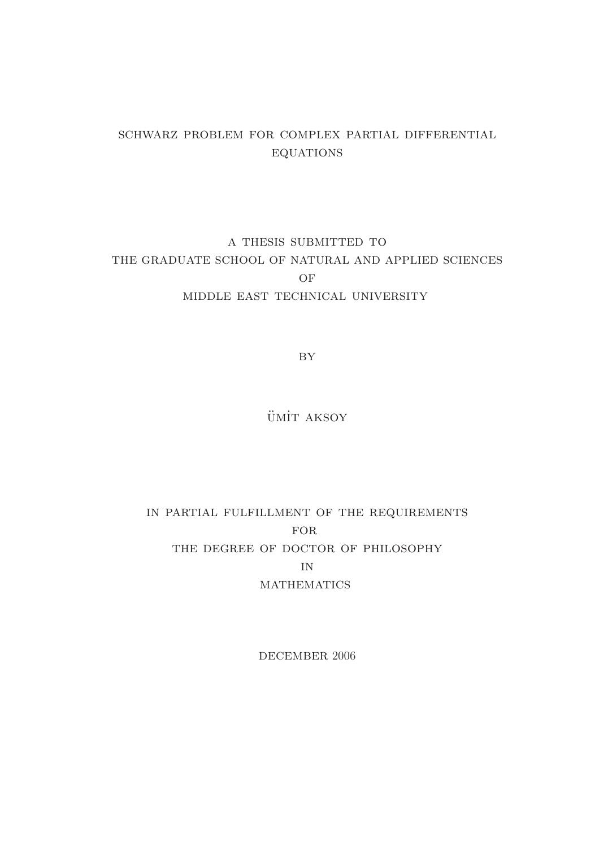## schwarz problem for complex partial differential **EQUATIONS**

## a thesis submitted to the graduate school of natural and applied sciences OF middle east technical university

BY

ÜMİT AKSOY

## in partial fulfillment of the requirements **FOR** THE DEGREE OF DOCTOR OF PHILOSOPHY in **MATHEMATICS**

DECEMBER 2006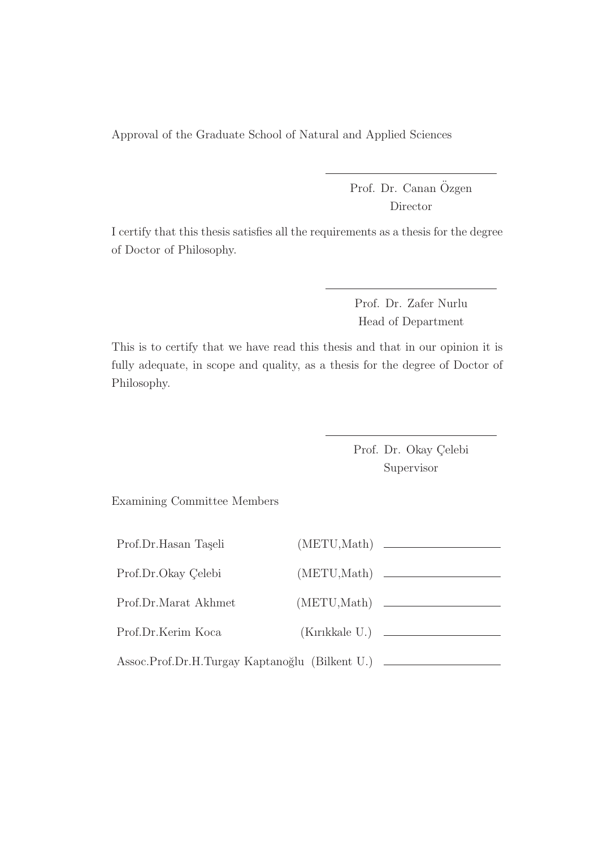Approval of the Graduate School of Natural and Applied Sciences

Prof. Dr. Canan Özgen Director

I certify that this thesis satisfies all the requirements as a thesis for the degree of Doctor of Philosophy.

> Prof. Dr. Zafer Nurlu Head of Department

This is to certify that we have read this thesis and that in our opinion it is fully adequate, in scope and quality, as a thesis for the degree of Doctor of Philosophy.

> Prof. Dr. Okay Çelebi Supervisor

Examining Committee Members

| Prof.Dr.Hasan Taşeli                           | (METU, Math) |              |
|------------------------------------------------|--------------|--------------|
| Prof.Dr.Okay Celebi                            | (METU, Math) |              |
| Prof.Dr.Marat Akhmet                           |              | (METU, Math) |
| Prof.Dr.Kerim Koca                             |              |              |
| Assoc.Prof.Dr.H.Turgay Kaptanoğlu (Bilkent U.) |              |              |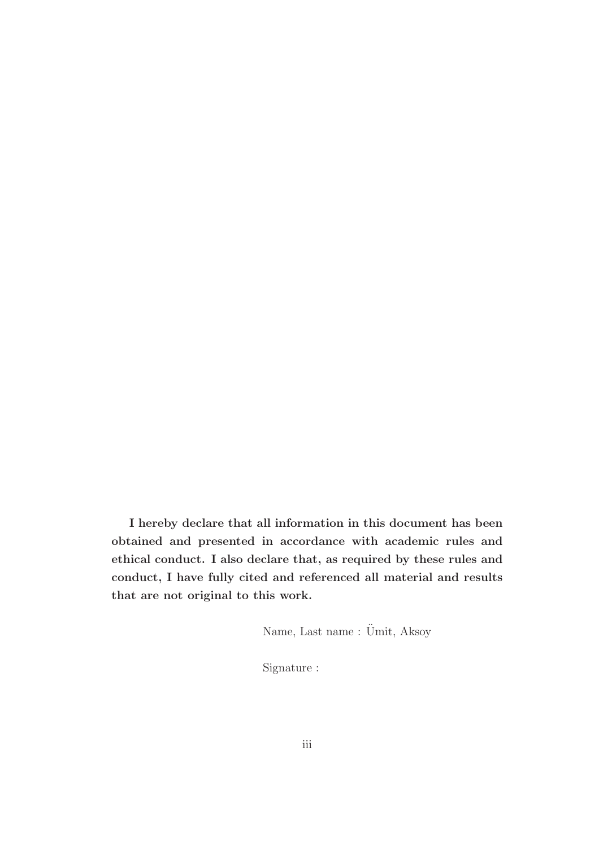I hereby declare that all information in this document has been obtained and presented in accordance with academic rules and ethical conduct. I also declare that, as required by these rules and conduct, I have fully cited and referenced all material and results that are not original to this work.

Name, Last name : Ümit, Aksoy

Signature :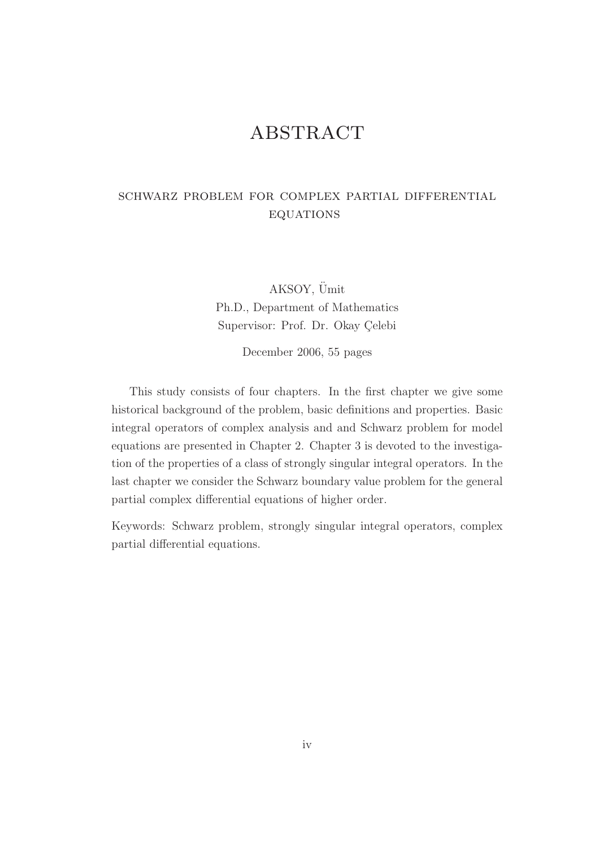## **ABSTRACT**

## schwarz problem for complex partial differential **EQUATIONS**

AKSOY, Ümit Ph.D., Department of Mathematics Supervisor: Prof. Dr. Okay Çelebi

December 2006, 55 pages

This study consists of four chapters. In the first chapter we give some historical background of the problem, basic definitions and properties. Basic integral operators of complex analysis and and Schwarz problem for model equations are presented in Chapter 2. Chapter 3 is devoted to the investigation of the properties of a class of strongly singular integral operators. In the last chapter we consider the Schwarz boundary value problem for the general partial complex differential equations of higher order.

Keywords: Schwarz problem, strongly singular integral operators, complex partial differential equations.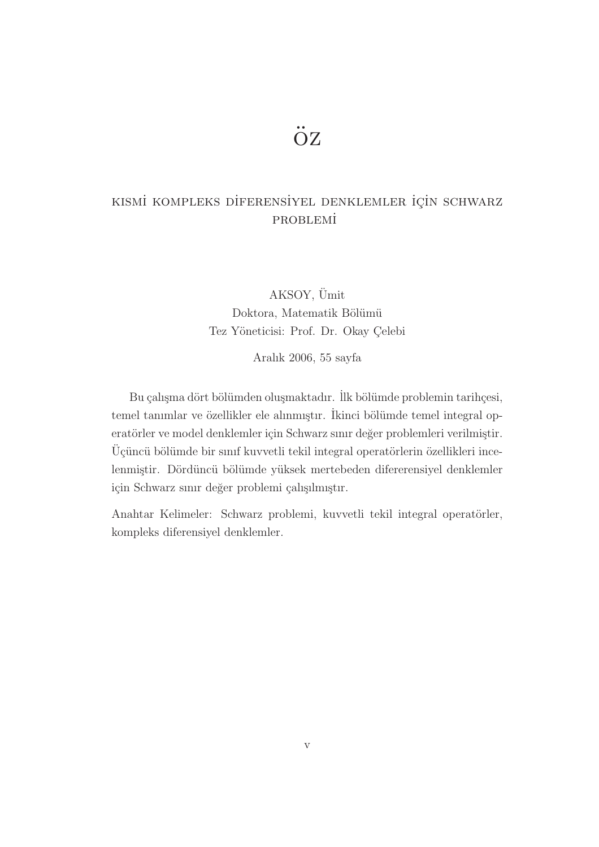# öz

## KISMİ KOMPLEKS DİFERENSİYEL DENKLEMLER İÇİN SCHWARZ **PROBLEMİ**

AKSOY, Ümit Doktora, Matematik Bölümü Tez Yöneticisi: Prof. Dr. Okay Çelebi

Aralık 2006, 55 sayfa

Bu çalışma dört bölümden oluşmaktadır. İlk bölümde problemin tarihçesi, temel tanımlar ve özellikler ele alınmıştır. İkinci bölümde temel integral operatörler ve model denklemler için Schwarz sınır değer problemleri verilmiştir.  $\ddot{\rm U}$ çüncü bölümde bir sınıf kuvvetli tekil integral operatörlerin özellikleri incelenmiştir. Dördüncü bölümde yüksek mertebeden difererensiyel denklemler için Schwarz sınır değer problemi çalışılmıştır.

Anahtar Kelimeler: Schwarz problemi, kuvvetli tekil integral operatörler, kompleks diferensiyel denklemler.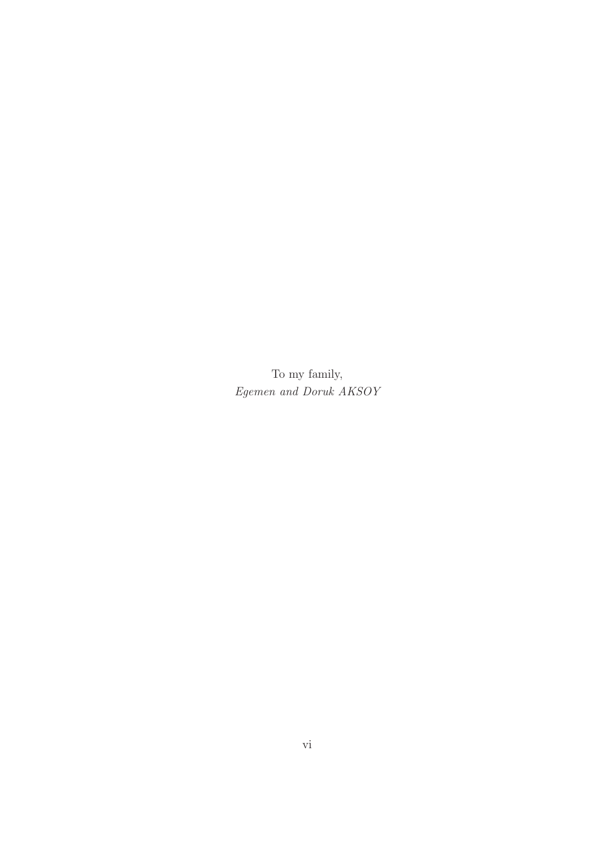To my family, Egemen and Doruk AKSOY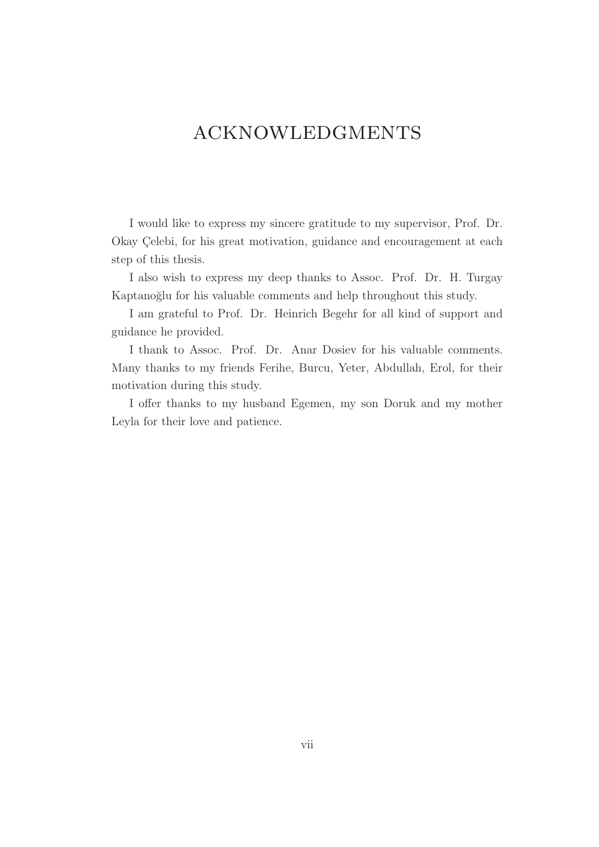## acknowledgments

I would like to express my sincere gratitude to my supervisor, Prof. Dr. Okay Çelebi, for his great motivation, guidance and encouragement at each step of this thesis.

I also wish to express my deep thanks to Assoc. Prof. Dr. H. Turgay Kaptanoğlu for his valuable comments and help throughout this study.

I am grateful to Prof. Dr. Heinrich Begehr for all kind of support and guidance he provided.

I thank to Assoc. Prof. Dr. Anar Dosiev for his valuable comments. Many thanks to my friends Ferihe, Burcu, Yeter, Abdullah, Erol, for their motivation during this study.

I offer thanks to my husband Egemen, my son Doruk and my mother Leyla for their love and patience.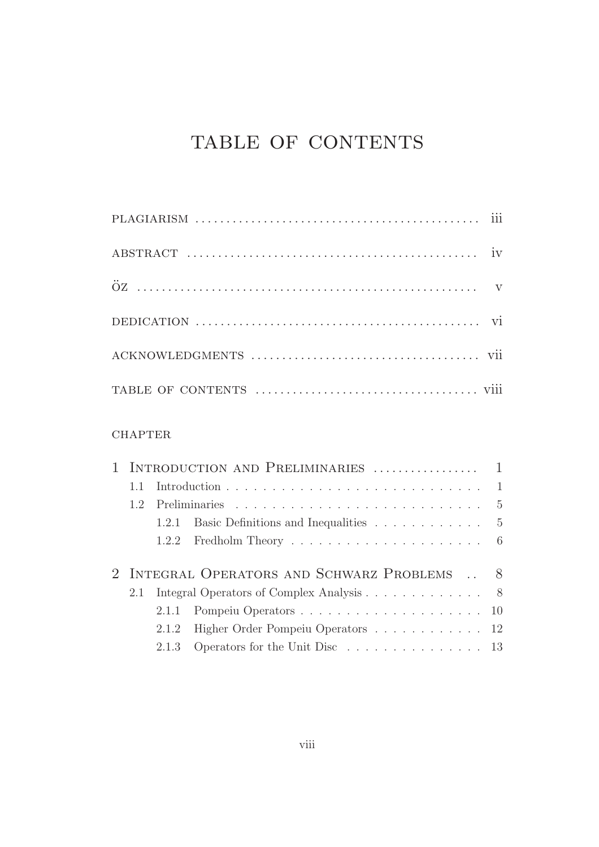# TABLE OF CONTENTS

#### **CHAPTER**

| 1.1 |                                                                           |  |
|-----|---------------------------------------------------------------------------|--|
| 1.2 |                                                                           |  |
|     | 1.2.1 Basic Definitions and Inequalities 5                                |  |
|     |                                                                           |  |
|     |                                                                           |  |
|     | 2 INTEGRAL OPERATORS AND SCHWARZ PROBLEMS  8                              |  |
| 2.1 | Integral Operators of Complex Analysis 8                                  |  |
|     |                                                                           |  |
|     | 2.1.2 Higher Order Pompeiu Operators 12                                   |  |
|     | 2.1.3 Operators for the Unit Disc $\ldots \ldots \ldots \ldots \ldots 13$ |  |
|     |                                                                           |  |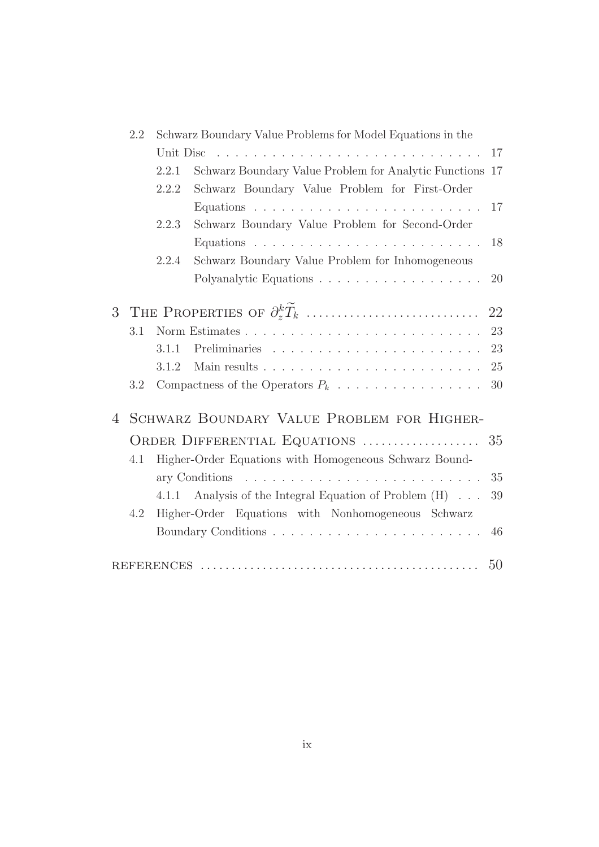|   | 2.2 | Schwarz Boundary Value Problems for Model Equations in the |                                                          |    |
|---|-----|------------------------------------------------------------|----------------------------------------------------------|----|
|   |     | Unit Disc                                                  |                                                          | 17 |
|   |     | 2.2.1                                                      | Schwarz Boundary Value Problem for Analytic Functions 17 |    |
|   |     | 2.2.2                                                      | Schwarz Boundary Value Problem for First-Order           |    |
|   |     |                                                            |                                                          | 17 |
|   |     | 2.2.3                                                      | Schwarz Boundary Value Problem for Second-Order          |    |
|   |     |                                                            |                                                          | 18 |
|   |     | 2.2.4                                                      | Schwarz Boundary Value Problem for Inhomogeneous         |    |
|   |     |                                                            |                                                          | 20 |
|   |     |                                                            |                                                          |    |
| 3 |     |                                                            |                                                          | 22 |
|   | 3.1 |                                                            |                                                          | 23 |
|   |     | 3.1.1                                                      |                                                          | 23 |
|   |     | 3.1.2                                                      |                                                          | 25 |
|   | 3.2 |                                                            |                                                          | 30 |
|   |     |                                                            |                                                          |    |
| 4 |     |                                                            | SCHWARZ BOUNDARY VALUE PROBLEM FOR HIGHER-               |    |
|   |     |                                                            | ORDER DIFFERENTIAL EQUATIONS                             | 35 |
|   | 4.1 |                                                            | Higher-Order Equations with Homogeneous Schwarz Bound-   |    |
|   |     |                                                            | ary Conditions                                           | 35 |
|   |     |                                                            | 4.1.1 Analysis of the Integral Equation of Problem (H)   | 39 |
|   | 4.2 |                                                            | Higher-Order Equations with Nonhomogeneous Schwarz       |    |
|   |     |                                                            |                                                          | 46 |
|   |     |                                                            |                                                          |    |
|   |     |                                                            |                                                          | 50 |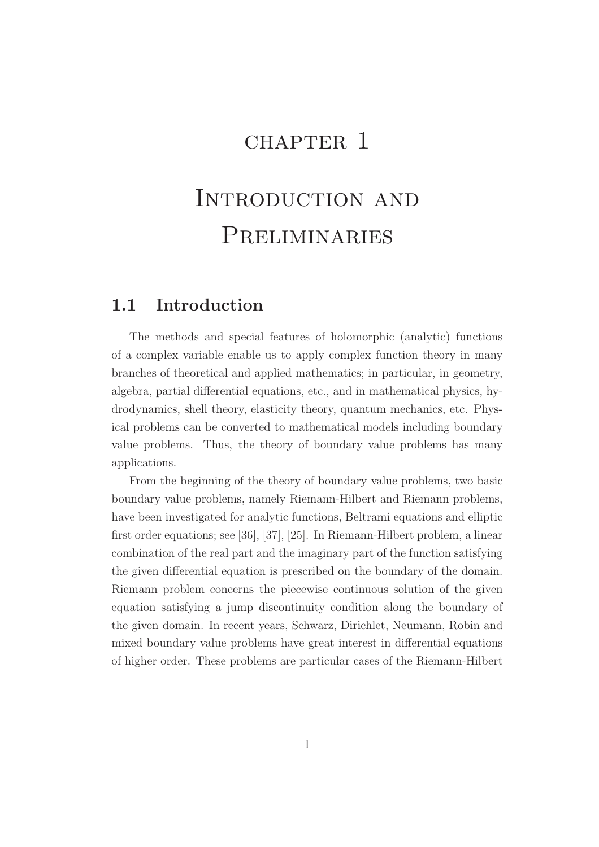# CHAPTER 1

# Introduction and Preliminaries

## 1.1 Introduction

The methods and special features of holomorphic (analytic) functions of a complex variable enable us to apply complex function theory in many branches of theoretical and applied mathematics; in particular, in geometry, algebra, partial differential equations, etc., and in mathematical physics, hydrodynamics, shell theory, elasticity theory, quantum mechanics, etc. Physical problems can be converted to mathematical models including boundary value problems. Thus, the theory of boundary value problems has many applications.

From the beginning of the theory of boundary value problems, two basic boundary value problems, namely Riemann-Hilbert and Riemann problems, have been investigated for analytic functions, Beltrami equations and elliptic first order equations; see [36], [37], [25]. In Riemann-Hilbert problem, a linear combination of the real part and the imaginary part of the function satisfying the given differential equation is prescribed on the boundary of the domain. Riemann problem concerns the piecewise continuous solution of the given equation satisfying a jump discontinuity condition along the boundary of the given domain. In recent years, Schwarz, Dirichlet, Neumann, Robin and mixed boundary value problems have great interest in differential equations of higher order. These problems are particular cases of the Riemann-Hilbert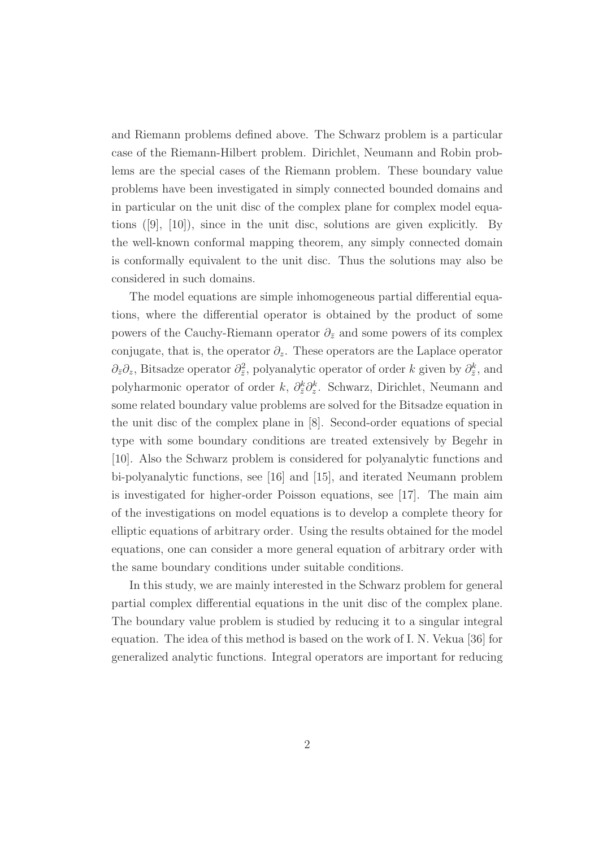and Riemann problems defined above. The Schwarz problem is a particular case of the Riemann-Hilbert problem. Dirichlet, Neumann and Robin problems are the special cases of the Riemann problem. These boundary value problems have been investigated in simply connected bounded domains and in particular on the unit disc of the complex plane for complex model equations ([9], [10]), since in the unit disc, solutions are given explicitly. By the well-known conformal mapping theorem, any simply connected domain is conformally equivalent to the unit disc. Thus the solutions may also be considered in such domains.

The model equations are simple inhomogeneous partial differential equations, where the differential operator is obtained by the product of some powers of the Cauchy-Riemann operator  $\partial_{\bar{z}}$  and some powers of its complex conjugate, that is, the operator  $\partial_z$ . These operators are the Laplace operator  $\partial_{\bar{z}}\partial_z$ , Bitsadze operator  $\partial_{\bar{z}}^2$ , polyanalytic operator of order k given by  $\partial_{\bar{z}}^k$ , and polyharmonic operator of order  $k$ ,  $\partial_{\bar{z}}^k \partial_z^k$ . Schwarz, Dirichlet, Neumann and some related boundary value problems are solved for the Bitsadze equation in the unit disc of the complex plane in [8]. Second-order equations of special type with some boundary conditions are treated extensively by Begehr in [10]. Also the Schwarz problem is considered for polyanalytic functions and bi-polyanalytic functions, see [16] and [15], and iterated Neumann problem is investigated for higher-order Poisson equations, see [17]. The main aim of the investigations on model equations is to develop a complete theory for elliptic equations of arbitrary order. Using the results obtained for the model equations, one can consider a more general equation of arbitrary order with the same boundary conditions under suitable conditions.

In this study, we are mainly interested in the Schwarz problem for general partial complex differential equations in the unit disc of the complex plane. The boundary value problem is studied by reducing it to a singular integral equation. The idea of this method is based on the work of I. N. Vekua [36] for generalized analytic functions. Integral operators are important for reducing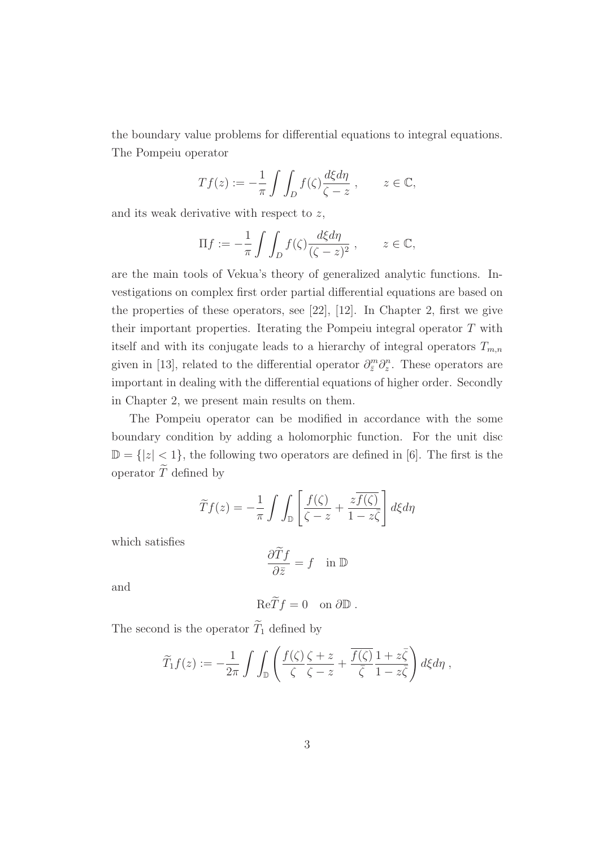the boundary value problems for differential equations to integral equations. The Pompeiu operator

$$
Tf(z) := -\frac{1}{\pi} \int \int_D f(\zeta) \frac{d\xi d\eta}{\zeta - z}, \qquad z \in \mathbb{C},
$$

and its weak derivative with respect to  $z$ ,

$$
\Pi f := -\frac{1}{\pi} \int \int_D f(\zeta) \frac{d\xi d\eta}{(\zeta - z)^2} , \qquad z \in \mathbb{C},
$$

are the main tools of Vekua's theory of generalized analytic functions. Investigations on complex first order partial differential equations are based on the properties of these operators, see [22], [12]. In Chapter 2, first we give their important properties. Iterating the Pompeiu integral operator T with itself and with its conjugate leads to a hierarchy of integral operators  $T_{m,n}$ given in [13], related to the differential operator  $\partial_{\bar{z}}^{m} \partial_{z}^{n}$ . These operators are important in dealing with the differential equations of higher order. Secondly in Chapter 2, we present main results on them.

The Pompeiu operator can be modified in accordance with the some boundary condition by adding a holomorphic function. For the unit disc  $\mathbb{D} = \{|z| < 1\}$ , the following two operators are defined in [6]. The first is the operator  $\widetilde{T}$  defined by

$$
\widetilde{T}f(z) = -\frac{1}{\pi} \int \int_{\mathbb{D}} \left[ \frac{f(\zeta)}{\zeta - z} + \frac{z\overline{f(\zeta)}}{1 - z\overline{\zeta}} \right] d\xi d\eta
$$

which satisfies

$$
\frac{\partial \widetilde{T}f}{\partial \bar{z}} = f \quad \text{in } \mathbb{D}
$$

and

$$
\text{Re}\widetilde{T}f=0 \quad \text{on }\partial\mathbb{D} .
$$

The second is the operator  $\widetilde{T}_1$  defined by

$$
\widetilde{T}_1 f(z) := -\frac{1}{2\pi} \int \int_{\mathbb{D}} \left( \frac{f(\zeta)}{\zeta} \frac{\zeta + z}{\zeta - z} + \frac{\overline{f(\zeta)}}{\overline{\zeta}} \frac{1 + z\overline{\zeta}}{1 - z\overline{\zeta}} \right) d\xi d\eta,
$$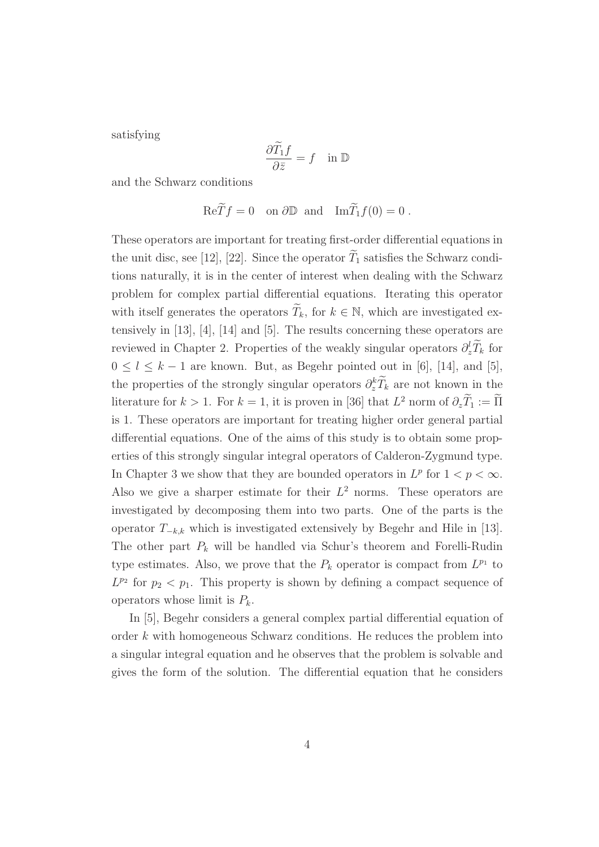satisfying

$$
\frac{\partial \widetilde{T}_1 f}{\partial \bar{z}} = f \quad \text{in } \mathbb{D}
$$

and the Schwarz conditions

 $\operatorname{Re} \widetilde{T} f = 0$  on  $\partial \mathbb{D}$  and  $\operatorname{Im} \widetilde{T}_1 f(0) = 0$ .

These operators are important for treating first-order differential equations in the unit disc, see [12], [22]. Since the operator  $\widetilde{T}_1$  satisfies the Schwarz conditions naturally, it is in the center of interest when dealing with the Schwarz problem for complex partial differential equations. Iterating this operator with itself generates the operators  $T_k$ , for  $k \in \mathbb{N}$ , which are investigated extensively in [13], [4], [14] and [5]. The results concerning these operators are reviewed in Chapter 2. Properties of the weakly singular operators  $\partial_z^l \tilde{T}_k$  for  $0 \leq l \leq k-1$  are known. But, as Begehr pointed out in [6], [14], and [5], the properties of the strongly singular operators  $\partial_z^k \tilde{T}_k$  are not known in the literature for  $k > 1$ . For  $k = 1$ , it is proven in [36] that  $L^2$  norm of  $\partial_z T_1 := \overline{\Pi}$ is 1. These operators are important for treating higher order general partial differential equations. One of the aims of this study is to obtain some properties of this strongly singular integral operators of Calderon-Zygmund type. In Chapter 3 we show that they are bounded operators in  $L^p$  for  $1 < p < \infty$ . Also we give a sharper estimate for their  $L^2$  norms. These operators are investigated by decomposing them into two parts. One of the parts is the operator  $T_{-k,k}$  which is investigated extensively by Begehr and Hile in [13]. The other part  $P_k$  will be handled via Schur's theorem and Forelli-Rudin type estimates. Also, we prove that the  $P_k$  operator is compact from  $L^{p_1}$  to  $L^{p_2}$  for  $p_2 < p_1$ . This property is shown by defining a compact sequence of operators whose limit is  $P_k$ .

In [5], Begehr considers a general complex partial differential equation of order k with homogeneous Schwarz conditions. He reduces the problem into a singular integral equation and he observes that the problem is solvable and gives the form of the solution. The differential equation that he considers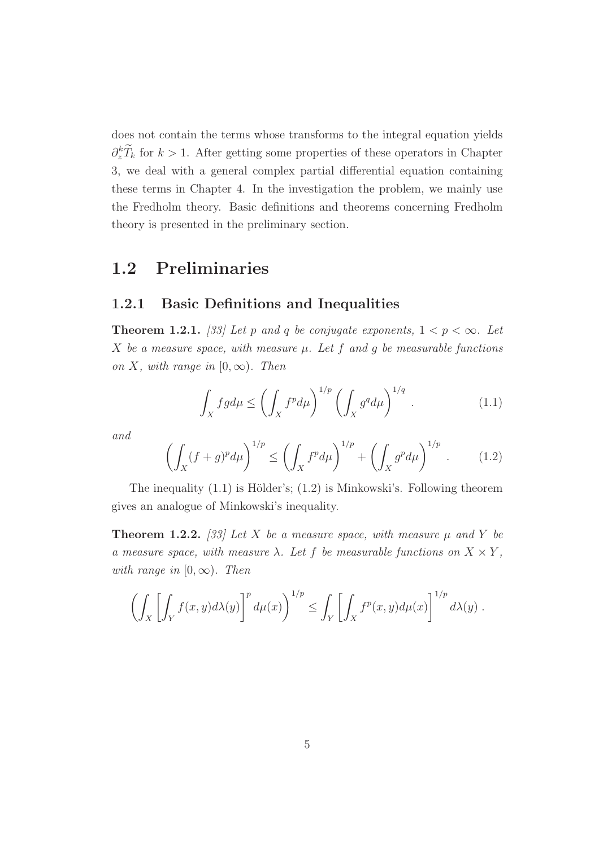does not contain the terms whose transforms to the integral equation yields  $\partial_z^k \tilde{T}_k$  for  $k > 1$ . After getting some properties of these operators in Chapter 3, we deal with a general complex partial differential equation containing these terms in Chapter 4. In the investigation the problem, we mainly use the Fredholm theory. Basic definitions and theorems concerning Fredholm theory is presented in the preliminary section.

## 1.2 Preliminaries

#### 1.2.1 Basic Definitions and Inequalities

**Theorem 1.2.1.** [33] Let p and q be conjugate exponents,  $1 < p < \infty$ . Let X be a measure space, with measure  $\mu$ . Let f and g be measurable functions on X, with range in  $[0, \infty)$ . Then

$$
\int_X fg d\mu \le \left(\int_X f^p d\mu\right)^{1/p} \left(\int_X g^q d\mu\right)^{1/q} . \tag{1.1}
$$

and

$$
\left(\int_X (f+g)^p d\mu\right)^{1/p} \le \left(\int_X f^p d\mu\right)^{1/p} + \left(\int_X g^p d\mu\right)^{1/p} . \tag{1.2}
$$

The inequality  $(1.1)$  is Hölder's;  $(1.2)$  is Minkowski's. Following theorem gives an analogue of Minkowski's inequality.

**Theorem 1.2.2.** [33] Let X be a measure space, with measure  $\mu$  and Y be a measure space, with measure  $\lambda$ . Let f be measurable functions on  $X \times Y$ , with range in  $[0, \infty)$ . Then

$$
\left(\int_X \left[\int_Y f(x,y)d\lambda(y)\right]^p d\mu(x)\right)^{1/p} \leq \int_Y \left[\int_X f^p(x,y)d\mu(x)\right]^{1/p} d\lambda(y).
$$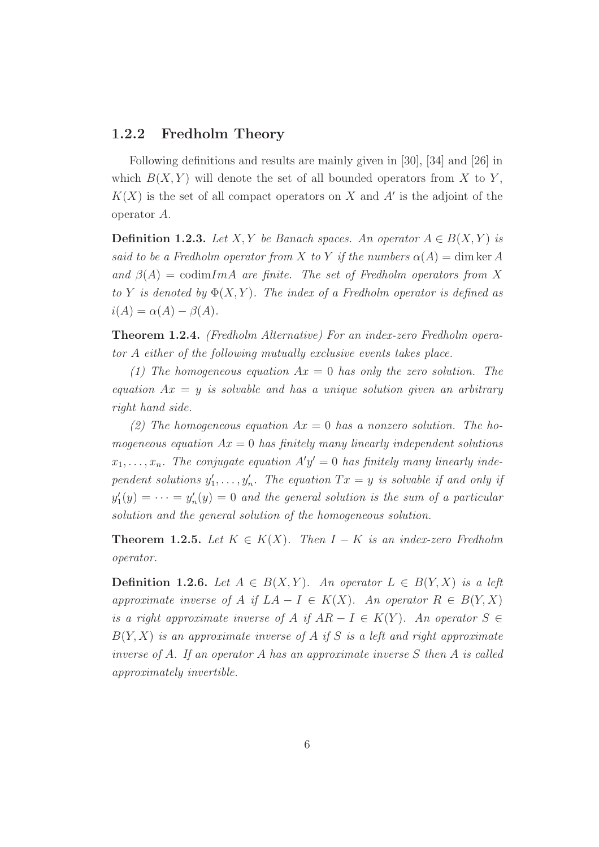#### 1.2.2 Fredholm Theory

Following definitions and results are mainly given in [30], [34] and [26] in which  $B(X, Y)$  will denote the set of all bounded operators from X to Y,  $K(X)$  is the set of all compact operators on X and A' is the adjoint of the operator A.

**Definition 1.2.3.** Let X, Y be Banach spaces. An operator  $A \in B(X, Y)$  is said to be a Fredholm operator from X to Y if the numbers  $\alpha(A) = \dim \ker A$ and  $\beta(A) = \text{codim} Im A$  are finite. The set of Fredholm operators from X to Y is denoted by  $\Phi(X, Y)$ . The index of a Fredholm operator is defined as  $i(A) = \alpha(A) - \beta(A).$ 

Theorem 1.2.4. (Fredholm Alternative) For an index-zero Fredholm operator A either of the following mutually exclusive events takes place.

(1) The homogeneous equation  $Ax = 0$  has only the zero solution. The equation  $Ax = y$  is solvable and has a unique solution given an arbitrary right hand side.

(2) The homogeneous equation  $Ax = 0$  has a nonzero solution. The homogeneous equation  $Ax = 0$  has finitely many linearly independent solutions  $x_1, \ldots, x_n$ . The conjugate equation  $A'y' = 0$  has finitely many linearly independent solutions  $y_1'$  $y'_1, \ldots, y'_n$ . The equation  $Tx = y$  is solvable if and only if  $y'_1$  $y'_1(y) = \cdots = y'_r$  $n_n'(y) = 0$  and the general solution is the sum of a particular solution and the general solution of the homogeneous solution.

**Theorem 1.2.5.** Let  $K \in K(X)$ . Then  $I - K$  is an index-zero Fredholm operator.

**Definition 1.2.6.** Let  $A \in B(X, Y)$ . An operator  $L \in B(Y, X)$  is a left approximate inverse of A if  $LA - I \in K(X)$ . An operator  $R \in B(Y, X)$ is a right approximate inverse of A if  $AR - I \in K(Y)$ . An operator  $S \in$  $B(Y, X)$  is an approximate inverse of A if S is a left and right approximate inverse of A. If an operator A has an approximate inverse S then A is called approximately invertible.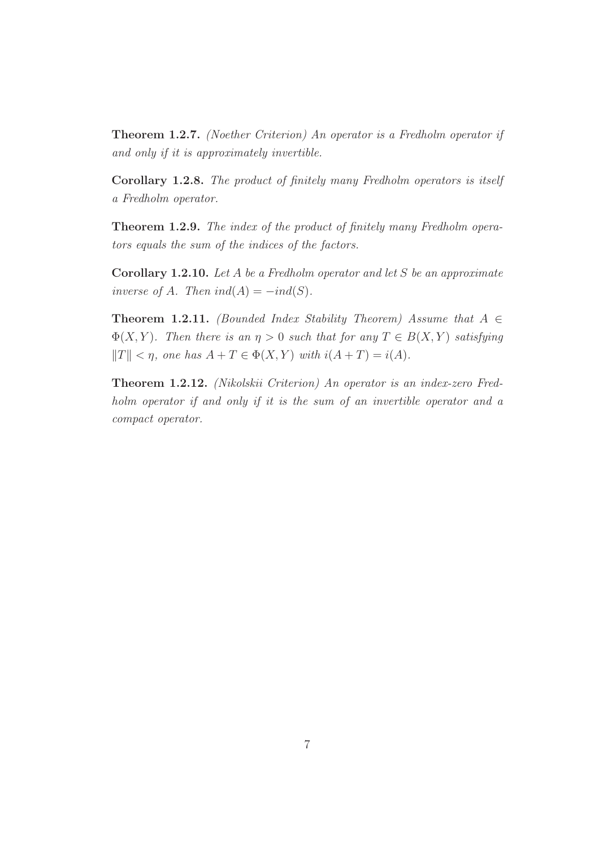Theorem 1.2.7. (Noether Criterion) An operator is a Fredholm operator if and only if it is approximately invertible.

Corollary 1.2.8. The product of finitely many Fredholm operators is itself a Fredholm operator.

Theorem 1.2.9. The index of the product of finitely many Fredholm operators equals the sum of the indices of the factors.

**Corollary 1.2.10.** Let A be a Fredholm operator and let S be an approximate inverse of A. Then  $ind(A) = -ind(S)$ .

**Theorem 1.2.11.** (Bounded Index Stability Theorem) Assume that  $A \in$  $\Phi(X, Y)$ . Then there is an  $\eta > 0$  such that for any  $T \in B(X, Y)$  satisfying  $||T|| < \eta$ , one has  $A + T \in \Phi(X, Y)$  with  $i(A + T) = i(A)$ .

Theorem 1.2.12. (Nikolskii Criterion) An operator is an index-zero Fredholm operator if and only if it is the sum of an invertible operator and a compact operator.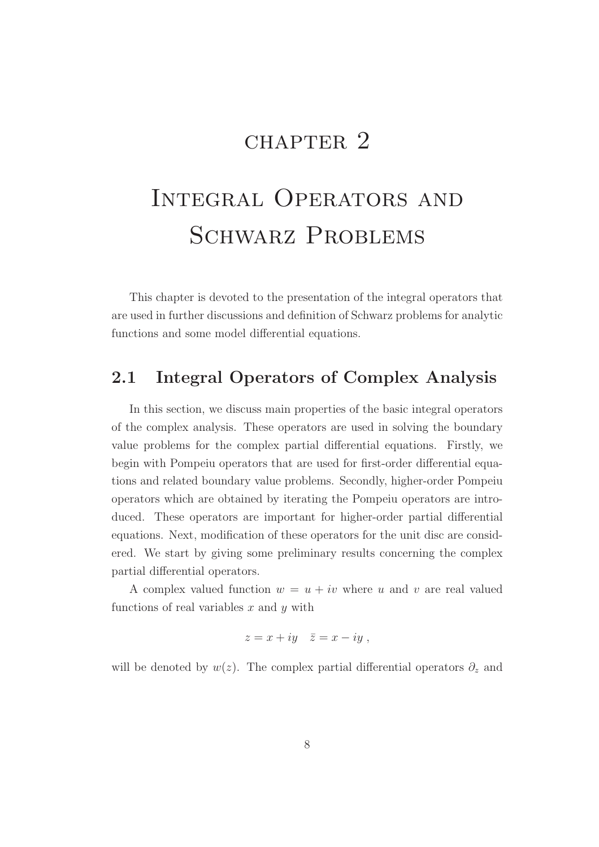# CHAPTER<sub>2</sub>

# Integral Operators and SCHWARZ PROBLEMS

This chapter is devoted to the presentation of the integral operators that are used in further discussions and definition of Schwarz problems for analytic functions and some model differential equations.

## 2.1 Integral Operators of Complex Analysis

In this section, we discuss main properties of the basic integral operators of the complex analysis. These operators are used in solving the boundary value problems for the complex partial differential equations. Firstly, we begin with Pompeiu operators that are used for first-order differential equations and related boundary value problems. Secondly, higher-order Pompeiu operators which are obtained by iterating the Pompeiu operators are introduced. These operators are important for higher-order partial differential equations. Next, modification of these operators for the unit disc are considered. We start by giving some preliminary results concerning the complex partial differential operators.

A complex valued function  $w = u + iv$  where u and v are real valued functions of real variables  $x$  and  $y$  with

$$
z = x + iy \quad \bar{z} = x - iy ,
$$

will be denoted by  $w(z)$ . The complex partial differential operators  $\partial_z$  and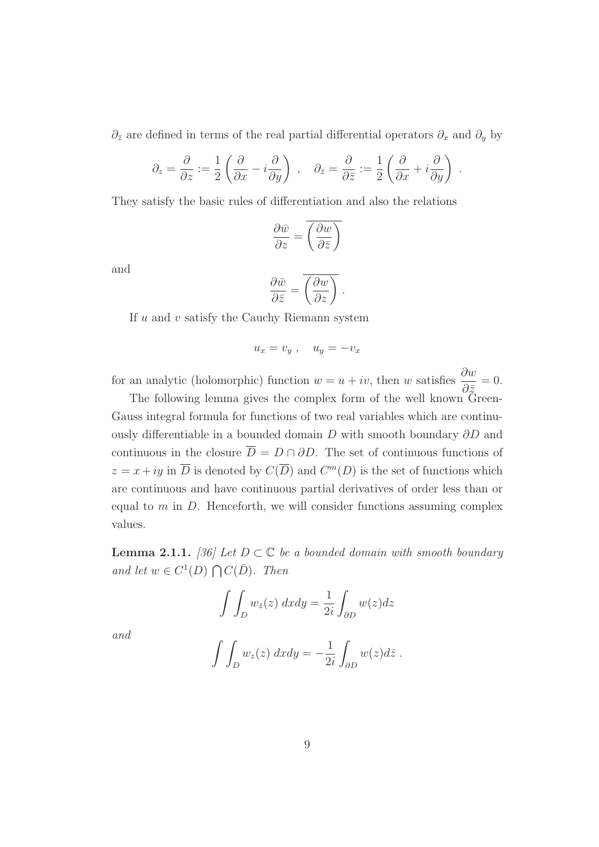$∂<sub>z</sub>$  are defined in terms of the real partial differential operators  $∂<sub>x</sub>$  and  $∂<sub>y</sub>$  by

$$
\partial_z = \frac{\partial}{\partial z} := \frac{1}{2} \left( \frac{\partial}{\partial x} - i \frac{\partial}{\partial y} \right) , \quad \partial_{\bar{z}} = \frac{\partial}{\partial \bar{z}} := \frac{1}{2} \left( \frac{\partial}{\partial x} + i \frac{\partial}{\partial y} \right) .
$$

They satisfy the basic rules of differentiation and also the relations

$$
\frac{\partial \bar{w}}{\partial z} = \overline{\left(\frac{\partial w}{\partial \bar{z}}\right)}
$$

and

$$
\frac{\partial \bar{w}}{\partial \bar{z}} = \overline{\left(\frac{\partial w}{\partial z}\right)}.
$$

If  $u$  and  $v$  satisfy the Cauchy Riemann system

$$
u_x = v_y \ , \quad u_y = -v_x
$$

for an analytic (holomorphic) function  $w = u + iv$ , then w satisfies  $\frac{\partial w}{\partial x}$  $\partial \bar{z}$  $= 0.$ 

The following lemma gives the complex form of the well known Green-Gauss integral formula for functions of two real variables which are continuously differentiable in a bounded domain D with smooth boundary ∂D and continuous in the closure  $\overline{D} = D \cap \partial D$ . The set of continuous functions of  $z = x + iy$  in  $\overline{D}$  is denoted by  $C(\overline{D})$  and  $C^m(D)$  is the set of functions which are continuous and have continuous partial derivatives of order less than or equal to  $m$  in  $D$ . Henceforth, we will consider functions assuming complex values.

**Lemma 2.1.1.** [36] Let  $D \subset \mathbb{C}$  be a bounded domain with smooth boundary and let  $w \in C^1(D) \bigcap C(\overline{D})$ . Then

$$
\int \int_D w_{\bar{z}}(z) \, dxdy = \frac{1}{2i} \int_{\partial D} w(z) dz
$$

and

$$
\int \int_D w_z(z) \ dx dy = -\frac{1}{2i} \int_{\partial D} w(z) d\overline{z} .
$$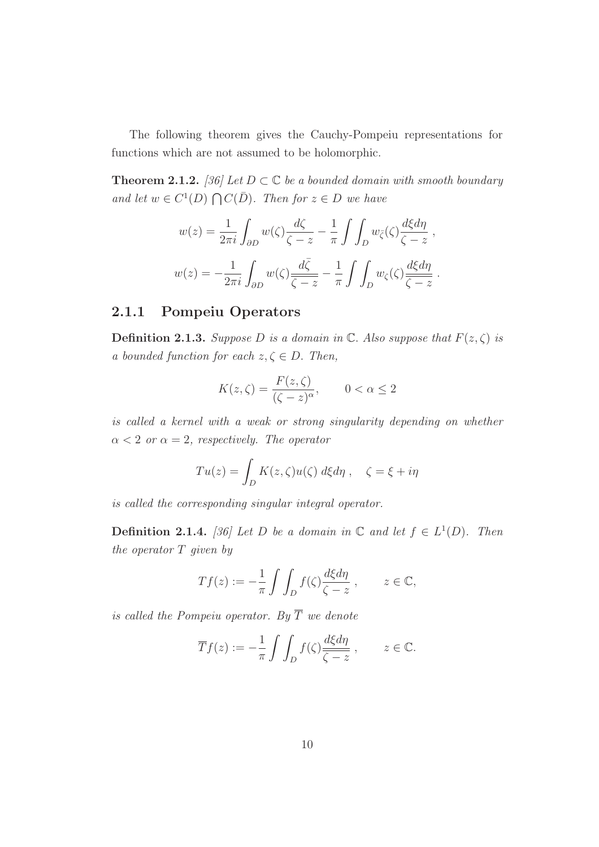The following theorem gives the Cauchy-Pompeiu representations for functions which are not assumed to be holomorphic.

**Theorem 2.1.2.** [36] Let  $D \subset \mathbb{C}$  be a bounded domain with smooth boundary and let  $w \in C^1(D) \bigcap C(\overline{D})$ . Then for  $z \in D$  we have

$$
w(z) = \frac{1}{2\pi i} \int_{\partial D} w(\zeta) \frac{d\zeta}{\zeta - z} - \frac{1}{\pi} \int \int_{D} w_{\zeta}(\zeta) \frac{d\xi d\eta}{\zeta - z} ,
$$
  

$$
w(z) = -\frac{1}{2\pi i} \int_{\partial D} w(\zeta) \frac{d\bar{\zeta}}{\bar{\zeta - z}} - \frac{1}{\pi} \int \int_{D} w_{\zeta}(\zeta) \frac{d\xi d\eta}{\bar{\zeta - z}} .
$$

### 2.1.1 Pompeiu Operators

**Definition 2.1.3.** Suppose D is a domain in C. Also suppose that  $F(z, \zeta)$  is a bounded function for each  $z, \zeta \in D$ . Then,

$$
K(z,\zeta) = \frac{F(z,\zeta)}{(\zeta - z)^{\alpha}}, \qquad 0 < \alpha \le 2
$$

is called a kernel with a weak or strong singularity depending on whether  $\alpha < 2$  or  $\alpha = 2$ , respectively. The operator

$$
Tu(z) = \int_D K(z,\zeta)u(\zeta) d\xi d\eta , \quad \zeta = \xi + i\eta
$$

is called the corresponding singular integral operator.

**Definition 2.1.4.** [36] Let D be a domain in  $\mathbb{C}$  and let  $f \in L^1(D)$ . Then the operator T given by

$$
Tf(z) := -\frac{1}{\pi} \int \int_D f(\zeta) \frac{d\xi d\eta}{\zeta - z} , \qquad z \in \mathbb{C},
$$

is called the Pompeiu operator. By  $\overline{T}$  we denote

$$
\overline{T}f(z) := -\frac{1}{\pi} \int \int_D f(\zeta) \frac{d\xi d\eta}{\overline{\zeta - z}}, \qquad z \in \mathbb{C}.
$$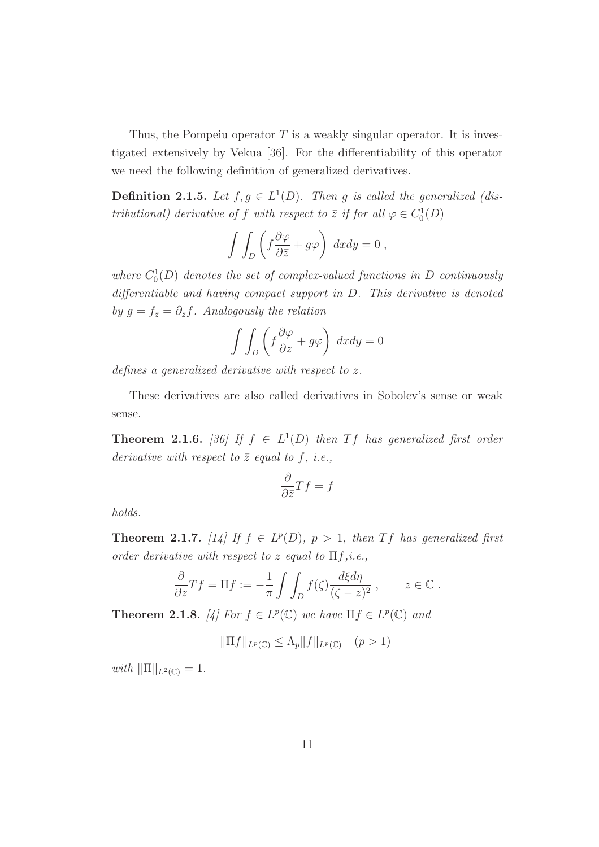Thus, the Pompeiu operator  $T$  is a weakly singular operator. It is investigated extensively by Vekua [36]. For the differentiability of this operator we need the following definition of generalized derivatives.

**Definition 2.1.5.** Let  $f, g \in L^1(D)$ . Then g is called the generalized (distributional) derivative of f with respect to  $\overline{z}$  if for all  $\varphi \in C_0^1(D)$ 

$$
\int \int_D \left( f \frac{\partial \varphi}{\partial \bar{z}} + g \varphi \right) dx dy = 0,
$$

where  $C_0^1(D)$  denotes the set of complex-valued functions in D continuously differentiable and having compact support in D. This derivative is denoted by  $g = f_{\bar{z}} = \partial_{\bar{z}}f$ . Analogously the relation

$$
\int \int_D \left( f \frac{\partial \varphi}{\partial z} + g \varphi \right) dx dy = 0
$$

defines a generalized derivative with respect to z.

These derivatives are also called derivatives in Sobolev's sense or weak sense.

**Theorem 2.1.6.** [36] If  $f \in L^1(D)$  then Tf has generalized first order derivative with respect to  $\bar{z}$  equal to f, i.e.,

$$
\frac{\partial}{\partial \bar{z}}Tf = f
$$

holds.

**Theorem 2.1.7.** [14] If  $f \in L^p(D)$ ,  $p > 1$ , then Tf has generalized first order derivative with respect to z equal to  $\Pi f, i.e.,$ 

$$
\frac{\partial}{\partial z}Tf = \Pi f := -\frac{1}{\pi} \int \int_D f(\zeta) \frac{d\xi d\eta}{(\zeta - z)^2}, \qquad z \in \mathbb{C}.
$$

**Theorem 2.1.8.** [4] For  $f \in L^p(\mathbb{C})$  we have  $\Pi f \in L^p(\mathbb{C})$  and

 $\|\Pi f\|_{L^p(\mathbb{C})} \leq \Lambda_p \|f\|_{L^p(\mathbb{C})} \quad (p > 1)$ 

with  $\|\Pi\|_{L^2(\mathbb{C})} = 1.$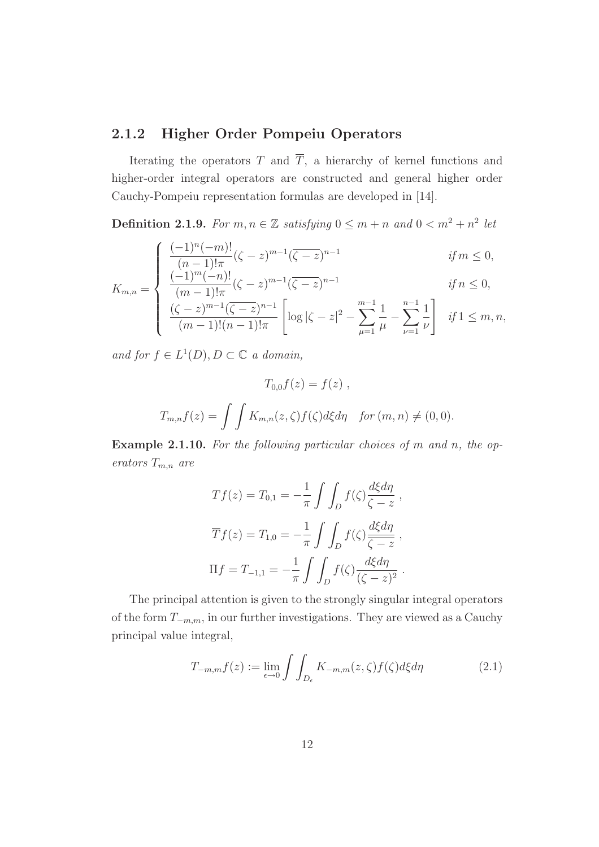### 2.1.2 Higher Order Pompeiu Operators

Iterating the operators  $T$  and  $\overline{T}$ , a hierarchy of kernel functions and higher-order integral operators are constructed and general higher order Cauchy-Pompeiu representation formulas are developed in [14].

**Definition 2.1.9.** For  $m, n \in \mathbb{Z}$  satisfying  $0 \leq m + n$  and  $0 < m^2 + n^2$  let

$$
\int \frac{(-1)^n (-m)!}{(n-1)! \pi} (\zeta - z)^{m-1} (\overline{\zeta - z})^{n-1}
$$
 if  $m \le 0$ ,  
\n
$$
\frac{(-1)^m (-n)!}{(n-1)!} (\zeta - z)^{m-1} (\overline{\zeta - z})^{n-1}
$$
 if  $n < 0$ ,

$$
K_{m,n} = \begin{cases} \frac{(-1)^{n}(-n)!}{(m-1)! \pi} (\zeta - z)^{m-1} (\overline{\zeta - z})^{n-1} & \text{if } n \leq 0, \\ \frac{(\zeta - z)^{m-1} (\overline{\zeta - z})^{n-1}}{(m-1)! (n-1)! \pi} \left[ \log |\zeta - z|^2 - \sum_{\mu=1}^{m-1} \frac{1}{\mu} - \sum_{\nu=1}^{n-1} \frac{1}{\nu} \right] & \text{if } 1 \leq m, n, \end{cases}
$$

and for  $f \in L^1(D)$ ,  $D \subset \mathbb{C}$  a domain,

$$
T_{0,0}f(z) = f(z),
$$
  
\n
$$
T_{m,n}f(z) = \iint K_{m,n}(z,\zeta)f(\zeta)d\xi d\eta \quad \text{for } (m,n) \neq (0,0).
$$

Example 2.1.10. For the following particular choices of m and n, the operators  $T_{m,n}$  are

$$
Tf(z) = T_{0,1} = -\frac{1}{\pi} \int \int_D f(\zeta) \frac{d\xi d\eta}{\zeta - z} ,
$$
  

$$
\overline{T}f(z) = T_{1,0} = -\frac{1}{\pi} \int \int_D f(\zeta) \frac{d\xi d\eta}{\zeta - z} ,
$$
  

$$
\Pi f = T_{-1,1} = -\frac{1}{\pi} \int \int_D f(\zeta) \frac{d\xi d\eta}{(\zeta - z)^2} .
$$

The principal attention is given to the strongly singular integral operators of the form  $T_{-m,m}$ , in our further investigations. They are viewed as a Cauchy principal value integral,

$$
T_{-m,m}f(z) := \lim_{\epsilon \to 0} \int \int_{D_{\epsilon}} K_{-m,m}(z,\zeta) f(\zeta) d\xi d\eta \tag{2.1}
$$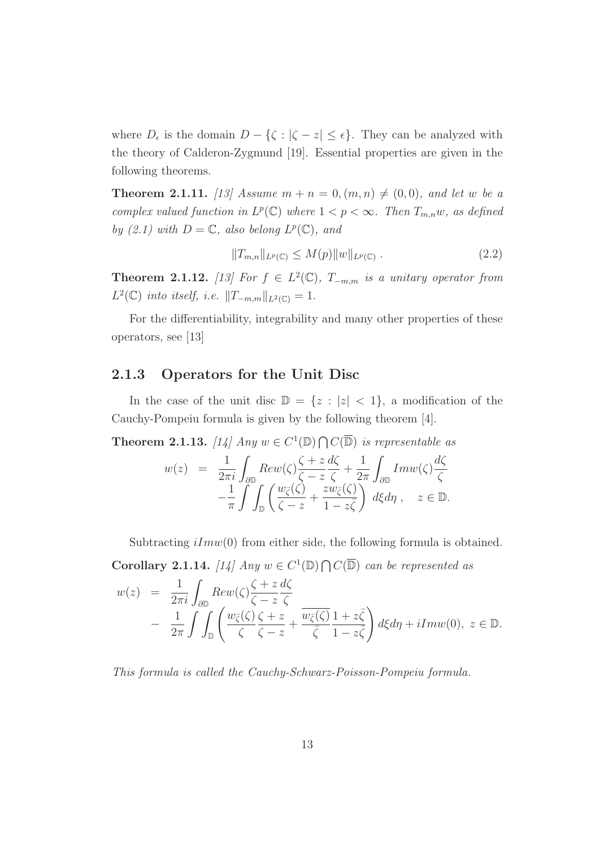where  $D_{\epsilon}$  is the domain  $D - \{\zeta : |\zeta - z| \leq \epsilon\}$ . They can be analyzed with the theory of Calderon-Zygmund [19]. Essential properties are given in the following theorems.

**Theorem 2.1.11.** [13] Assume  $m + n = 0, (m, n) \neq (0, 0)$ , and let w be a complex valued function in  $L^p(\mathbb{C})$  where  $1 < p < \infty$ . Then  $T_{m,n}w$ , as defined by (2.1) with  $D = \mathbb{C}$ , also belong  $L^p(\mathbb{C})$ , and

$$
||T_{m,n}||_{L^{p}(\mathbb{C})} \le M(p)||w||_{L^{p}(\mathbb{C})}. \tag{2.2}
$$

**Theorem 2.1.12.** [13] For  $f \in L^2(\mathbb{C})$ ,  $T_{-m,m}$  is a unitary operator from  $L^2(\mathbb{C})$  into itself, i.e.  $||T_{-m,m}||_{L^2(\mathbb{C})} = 1$ .

For the differentiability, integrability and many other properties of these operators, see [13]

#### 2.1.3 Operators for the Unit Disc

In the case of the unit disc  $\mathbb{D} = \{z : |z| < 1\}$ , a modification of the Cauchy-Pompeiu formula is given by the following theorem [4].

**Theorem 2.1.13.** [14] Any  $w \in C^1(\mathbb{D}) \cap C(\overline{\mathbb{D}})$  is representable as

$$
w(z) = \frac{1}{2\pi i} \int_{\partial \mathbb{D}} Rev(\zeta) \frac{\zeta + z}{\zeta - z} \frac{d\zeta}{\zeta} + \frac{1}{2\pi} \int_{\partial \mathbb{D}} Im w(\zeta) \frac{d\zeta}{\zeta} -\frac{1}{\pi} \int_{\mathbb{D}} \left( \frac{w_{\overline{\zeta}}(\zeta)}{\zeta - z} + \frac{zw_{\overline{\zeta}}(\zeta)}{1 - z\overline{\zeta}} \right) d\xi d\eta, \quad z \in \mathbb{D}.
$$

Subtracting  $iIm(w(0))$  from either side, the following formula is obtained.

**Corollary 2.1.14.** [14] Any  $w \in C^1(\mathbb{D}) \cap C(\overline{\mathbb{D}})$  can be represented as

$$
w(z) = \frac{1}{2\pi i} \int_{\partial \mathbb{D}} Rev(\zeta) \frac{\zeta + z}{\zeta - z} \frac{d\zeta}{\zeta} - \frac{1}{2\pi} \int \int_{\mathbb{D}} \left( \frac{w_{\zeta}(\zeta)}{\zeta - z} \frac{\zeta + z}{\zeta - z} + \frac{w_{\zeta}(\zeta)}{\zeta - z} \frac{1 + z\overline{\zeta}}{1 - z\overline{\zeta}} \right) d\xi d\eta + iIm w(0), \ z \in \mathbb{D}.
$$

This formula is called the Cauchy-Schwarz-Poisson-Pompeiu formula.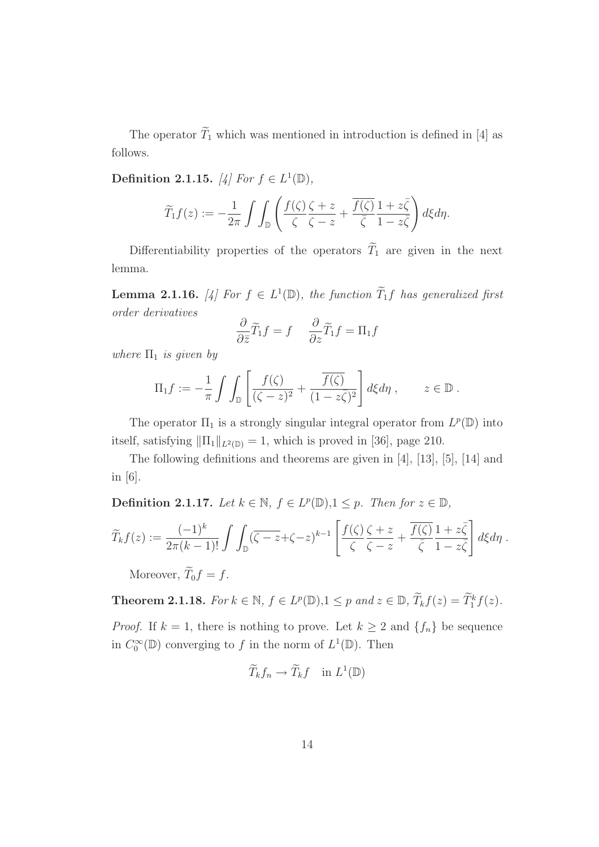The operator  $\widetilde{T}_1$  which was mentioned in introduction is defined in [4] as follows.

Definition 2.1.15. [4] For  $f \in L^1(\mathbb{D})$ ,

$$
\widetilde{T}_1 f(z) := -\frac{1}{2\pi} \int \int_{\mathbb{D}} \left( \frac{f(\zeta)}{\zeta} \frac{\zeta + z}{\zeta - z} + \frac{\overline{f(\zeta)}}{\overline{\zeta}} \frac{1 + z\overline{\zeta}}{1 - z\overline{\zeta}} \right) d\xi d\eta.
$$

Differentiability properties of the operators  $\widetilde{T}_1$  are given in the next lemma.

**Lemma 2.1.16.** [4] For  $f \in L^1(\mathbb{D})$ , the function  $\widetilde{T}_1 f$  has generalized first order derivatives

$$
\frac{\partial}{\partial \bar{z}} \widetilde{T}_1 f = f \quad \frac{\partial}{\partial z} \widetilde{T}_1 f = \Pi_1 f
$$

where  $\Pi_1$  is given by

$$
\Pi_1 f := -\frac{1}{\pi} \int \int_{\mathbb{D}} \left[ \frac{f(\zeta)}{(\zeta - z)^2} + \frac{\overline{f(\zeta)}}{(1 - z\overline{\zeta})^2} \right] d\xi d\eta , \qquad z \in \mathbb{D}.
$$

The operator  $\Pi_1$  is a strongly singular integral operator from  $L^p(\mathbb{D})$  into itself, satisfying  $\|\Pi_1\|_{L^2(\mathbb{D})} = 1$ , which is proved in [36], page 210.

The following definitions and theorems are given in [4], [13], [5], [14] and in [6].

**Definition 2.1.17.** Let  $k \in \mathbb{N}$ ,  $f \in L^p(\mathbb{D})$ ,  $1 \leq p$ . Then for  $z \in \mathbb{D}$ ,

$$
\widetilde{T}_k f(z) := \frac{(-1)^k}{2\pi (k-1)!} \int \int_{\mathbb{D}} (\overline{\zeta - z} + \zeta - z)^{k-1} \left[ \frac{f(\zeta)}{\zeta} \frac{\zeta + z}{\zeta - z} + \frac{\overline{f(\zeta)}}{\overline{\zeta}} \frac{1 + z\overline{\zeta}}{1 - z\overline{\zeta}} \right] d\xi d\eta.
$$

Moreover,  $\widetilde{T}_0 f = f$ .

**Theorem 2.1.18.** For  $k \in \mathbb{N}$ ,  $f \in L^p(\mathbb{D})$ ,  $1 \leq p$  and  $z \in \mathbb{D}$ ,  $\widetilde{T}_k f(z) = \widetilde{T}_1^k f(z)$ .

*Proof.* If  $k = 1$ , there is nothing to prove. Let  $k \geq 2$  and  $\{f_n\}$  be sequence in  $C_0^{\infty}$  $C_0^{\infty}(\mathbb{D})$  converging to f in the norm of  $L^1(\mathbb{D})$ . Then

$$
\widetilde{T}_k f_n \to \widetilde{T}_k f \quad \text{in } L^1(\mathbb{D})
$$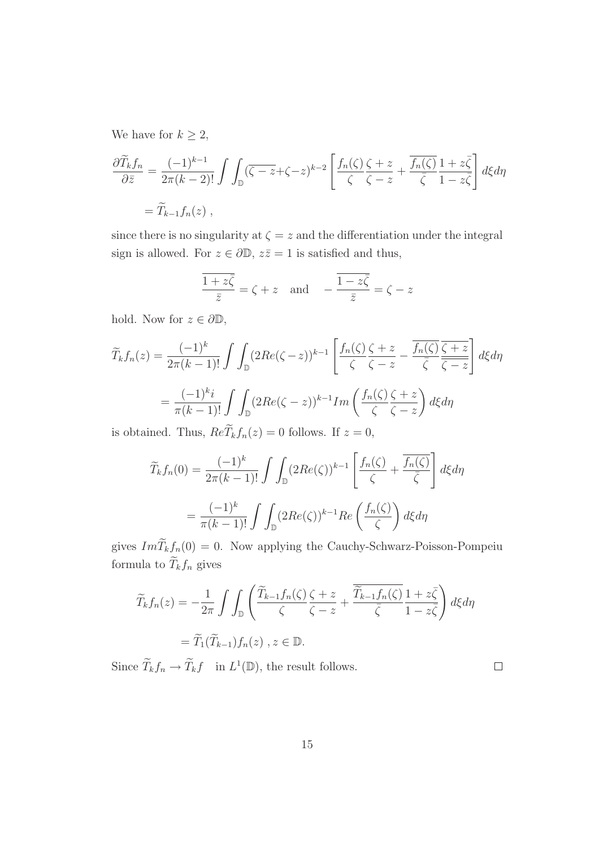We have for  $k \geq 2$ ,

$$
\frac{\partial \widetilde{T}_k f_n}{\partial \bar{z}} = \frac{(-1)^{k-1}}{2\pi (k-2)!} \int \int_{\mathbb{D}} (\overline{\zeta - z} + \zeta - z)^{k-2} \left[ \frac{f_n(\zeta)}{\zeta} \frac{\zeta + z}{\zeta - z} + \frac{\overline{f_n(\zeta)}}{\overline{\zeta}} \frac{1 + z\overline{\zeta}}{1 - z\overline{\zeta}} \right] d\xi d\eta
$$
  
=  $\widetilde{T}_{k-1} f_n(z)$ ,

since there is no singularity at  $\zeta = z$  and the differentiation under the integral sign is allowed. For  $z \in \partial \mathbb{D}$ ,  $z\overline{z} = 1$  is satisfied and thus,

$$
\frac{\overline{1+z\overline{\zeta}}}{\overline{z}} = \zeta + z \quad \text{and} \quad -\frac{\overline{1-z\overline{\zeta}}}{\overline{z}} = \zeta - z
$$

hold. Now for  $z \in \partial \mathbb{D}$ ,

$$
\widetilde{T}_{k}f_{n}(z) = \frac{(-1)^{k}}{2\pi(k-1)!} \int \int_{\mathbb{D}} (2Re(\zeta - z))^{k-1} \left[ \frac{f_{n}(\zeta)}{\zeta} \frac{\zeta + z}{\zeta - z} - \frac{\overline{f_{n}(\zeta)}}{\overline{\zeta}} \frac{\overline{\zeta + z}}{\overline{\zeta - z}} \right] d\xi d\eta
$$
\n
$$
= \frac{(-1)^{k}i}{\pi(k-1)!} \int \int_{\mathbb{D}} (2Re(\zeta - z))^{k-1} Im\left( \frac{f_{n}(\zeta)}{\zeta} \frac{\zeta + z}{\zeta - z} \right) d\xi d\eta
$$

is obtained. Thus,  $ReT_kf_n(z) = 0$  follows. If  $z = 0$ ,

$$
\widetilde{T}_{k}f_{n}(0) = \frac{(-1)^{k}}{2\pi(k-1)!} \int \int_{\mathbb{D}} (2Re(\zeta))^{k-1} \left[ \frac{f_{n}(\zeta)}{\zeta} + \frac{\overline{f_{n}(\zeta)}}{\overline{\zeta}} \right] d\xi d\eta
$$

$$
= \frac{(-1)^{k}}{\pi(k-1)!} \int \int_{\mathbb{D}} (2Re(\zeta))^{k-1} Re\left(\frac{f_{n}(\zeta)}{\zeta}\right) d\xi d\eta
$$

gives  $Im \widetilde{T}_k f_n(0) = 0$ . Now applying the Cauchy-Schwarz-Poisson-Pompeiu formula to  $\widetilde{T}_k f_n$  gives

$$
\widetilde{T}_{k}f_{n}(z) = -\frac{1}{2\pi} \int \int_{\mathbb{D}} \left( \frac{\widetilde{T}_{k-1}f_{n}(\zeta)}{\zeta} \frac{\zeta + z}{\zeta - z} + \frac{\overline{\widetilde{T}_{k-1}f_{n}(\zeta)}}{\overline{\zeta}} \frac{1 + z\overline{\zeta}}{1 - z\overline{\zeta}} \right) d\xi d\eta
$$
\n
$$
= \widetilde{T}_{1}(\widetilde{T}_{k-1})f_{n}(z), z \in \mathbb{D}.
$$

Since  $\widetilde{T}_k f_n \to \widetilde{T}_k f$  in  $L^1(\mathbb{D})$ , the result follows.

 $\Box$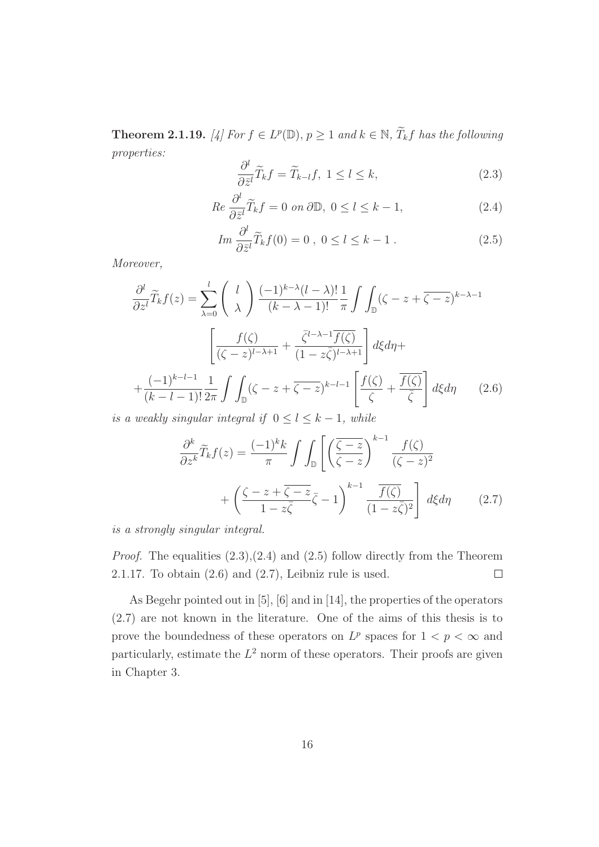**Theorem 2.1.19.** [4] For  $f \in L^p(\mathbb{D})$ ,  $p \geq 1$  and  $k \in \mathbb{N}$ ,  $\widetilde{T}_k f$  has the following properties:

$$
\frac{\partial^l}{\partial \bar{z}^l} \widetilde{T}_k f = \widetilde{T}_{k-l} f, \ 1 \le l \le k,
$$
\n(2.3)

$$
Re\,\frac{\partial^l}{\partial \bar{z}^l}\widetilde{T}_k f = 0 \text{ on } \partial \mathbb{D}, \ 0 \le l \le k - 1,\tag{2.4}
$$

$$
Im \frac{\partial^l}{\partial \bar{z}^l} \widetilde{T}_k f(0) = 0 , \ 0 \le l \le k - 1 . \tag{2.5}
$$

Moreover,

$$
\frac{\partial^l}{\partial z^l} \widetilde{T}_k f(z) = \sum_{\lambda=0}^l \binom{l}{\lambda} \frac{(-1)^{k-\lambda} (l-\lambda)!}{(k-\lambda-1)!} \frac{1}{\pi} \int \int_{\mathbb{D}} (\zeta - z + \overline{\zeta - z})^{k-\lambda-1}
$$

$$
\left[ \frac{f(\zeta)}{(\zeta - z)^{l-\lambda+1}} + \frac{\overline{\zeta}^{l-\lambda-1} \overline{f(\zeta)}}{(1-z\overline{\zeta})^{l-\lambda+1}} \right] d\xi d\eta +
$$

$$
+ \frac{(-1)^{k-l-1}}{(k-l-1)!} \frac{1}{2\pi} \int \int_{\mathbb{D}} (\zeta - z + \overline{\zeta - z})^{k-l-1} \left[ \frac{f(\zeta)}{\zeta} + \frac{\overline{f(\zeta)}}{\overline{\zeta}} \right] d\xi d\eta \qquad (2.6)
$$

is a weakly singular integral if  $0 \le l \le k - 1$ , while

$$
\frac{\partial^k}{\partial z^k} \widetilde{T}_k f(z) = \frac{(-1)^k k}{\pi} \int \int_{\mathbb{D}} \left[ \left( \frac{\overline{\zeta - z}}{\zeta - z} \right)^{k-1} \frac{f(\zeta)}{(\zeta - z)^2} + \left( \frac{\zeta - z + \overline{\zeta - z}}{1 - z\overline{\zeta}} \overline{\zeta} - 1 \right)^{k-1} \frac{\overline{f(\zeta)}}{(1 - z\overline{\zeta})^2} \right] d\xi d\eta \qquad (2.7)
$$

is a strongly singular integral.

*Proof.* The equalities  $(2.3),(2.4)$  and  $(2.5)$  follow directly from the Theorem 2.1.17. To obtain  $(2.6)$  and  $(2.7)$ , Leibniz rule is used.  $\Box$ 

As Begehr pointed out in [5], [6] and in [14], the properties of the operators (2.7) are not known in the literature. One of the aims of this thesis is to prove the boundedness of these operators on  $L^p$  spaces for  $1 < p < \infty$  and particularly, estimate the  $L^2$  norm of these operators. Their proofs are given in Chapter 3.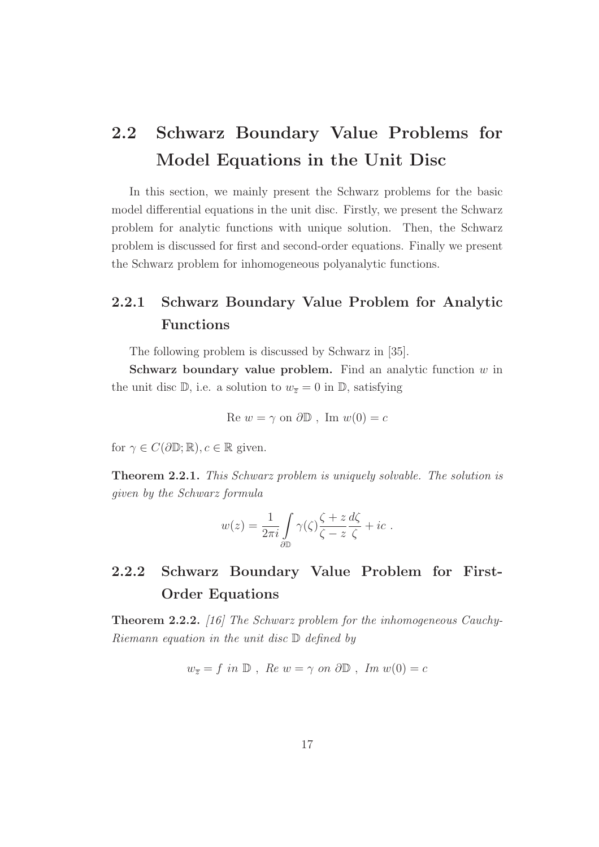# 2.2 Schwarz Boundary Value Problems for Model Equations in the Unit Disc

In this section, we mainly present the Schwarz problems for the basic model differential equations in the unit disc. Firstly, we present the Schwarz problem for analytic functions with unique solution. Then, the Schwarz problem is discussed for first and second-order equations. Finally we present the Schwarz problem for inhomogeneous polyanalytic functions.

## 2.2.1 Schwarz Boundary Value Problem for Analytic Functions

The following problem is discussed by Schwarz in [35].

Schwarz boundary value problem. Find an analytic function  $w$  in the unit disc  $\mathbb{D}$ , i.e. a solution to  $w_{\overline{z}} = 0$  in  $\mathbb{D}$ , satisfying

$$
Re w = \gamma \text{ on } \partial \mathbb{D} , Im w(0) = c
$$

for  $\gamma \in C(\partial \mathbb{D}; \mathbb{R})$ ,  $c \in \mathbb{R}$  given.

Theorem 2.2.1. This Schwarz problem is uniquely solvable. The solution is given by the Schwarz formula

$$
w(z) = \frac{1}{2\pi i} \int_{\partial \mathbb{D}} \gamma(\zeta) \frac{\zeta + z}{\zeta - z} \frac{d\zeta}{\zeta} + ic.
$$

## 2.2.2 Schwarz Boundary Value Problem for First-Order Equations

Theorem 2.2.2. [16] The Schwarz problem for the inhomogeneous Cauchy-Riemann equation in the unit disc  $\mathbb D$  defined by

$$
w_{\overline{z}} = f \text{ in } \mathbb{D}, \text{ Re } w = \gamma \text{ on } \partial \mathbb{D}, \text{ Im } w(0) = c
$$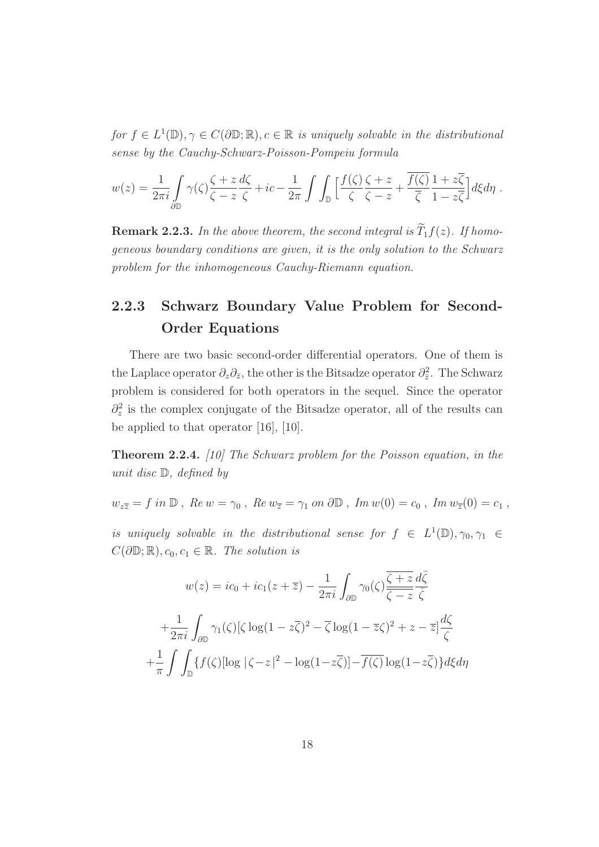for  $f \in L^1(\mathbb{D}), \gamma \in C(\partial \mathbb{D}; \mathbb{R}), c \in \mathbb{R}$  is uniquely solvable in the distributional sense by the Cauchy-Schwarz-Poisson-Pompeiu formula

$$
w(z) = \frac{1}{2\pi i} \int_{\partial\mathbb{D}} \gamma(\zeta) \frac{\zeta + z}{\zeta - z} \frac{d\zeta}{\zeta} + ic - \frac{1}{2\pi} \int \int_{\mathbb{D}} \left[ \frac{f(\zeta)}{\zeta} \frac{\zeta + z}{\zeta - z} + \frac{\overline{f(\zeta)}}{\overline{\zeta}} \frac{1 + z\overline{\zeta}}{1 - z\overline{\zeta}} \right] d\xi d\eta.
$$

**Remark 2.2.3.** In the above theorem, the second integral is  $\widetilde{T}_1 f(z)$ . If homogeneous boundary conditions are given, it is the only solution to the Schwarz problem for the inhomogeneous Cauchy-Riemann equation.

## 2.2.3 Schwarz Boundary Value Problem for Second-Order Equations

There are two basic second-order differential operators. One of them is the Laplace operator  $\partial_z \partial_{\bar{z}},$  the other is the Bitsadze operator  $\partial_{\bar{z}}^2$ . The Schwarz problem is considered for both operators in the sequel. Since the operator  $\partial_z^2$  is the complex conjugate of the Bitsadze operator, all of the results can be applied to that operator [16], [10].

Theorem 2.2.4. [10] The Schwarz problem for the Poisson equation, in the unit disc D, defined by

 $w_{z\overline{z}} = f$  in  $\mathbb{D}$ ,  $\operatorname{Re} w = \gamma_0$ ,  $\operatorname{Re} w_{\overline{z}} = \gamma_1$  on  $\partial \mathbb{D}$ ,  $\operatorname{Im} w(0) = c_0$ ,  $\operatorname{Im} w_{\overline{z}}(0) = c_1$ ,

is uniquely solvable in the distributional sense for  $f \in L^1(\mathbb{D}), \gamma_0, \gamma_1 \in$  $C(\partial\mathbb{D}; \mathbb{R}), c_0, c_1 \in \mathbb{R}$ . The solution is

$$
w(z) = ic_0 + ic_1(z + \overline{z}) - \frac{1}{2\pi i} \int_{\partial \mathbb{D}} \gamma_0(\zeta) \frac{\overline{\zeta + z}}{\overline{\zeta - z}} \frac{d\overline{\zeta}}{\overline{\zeta}}
$$

$$
+ \frac{1}{2\pi i} \int_{\partial \mathbb{D}} \gamma_1(\zeta) [\zeta \log(1 - z\overline{\zeta})^2 - \overline{\zeta} \log(1 - \overline{z}\zeta)^2 + z - \overline{z}] \frac{d\zeta}{\overline{\zeta}}
$$

$$
+ \frac{1}{\pi} \int \int_{\mathbb{D}} \{f(\zeta) [\log |\zeta - z|^2 - \log(1 - z\overline{\zeta})] - \overline{f(\zeta)} \log(1 - z\overline{\zeta})\} d\xi d\eta
$$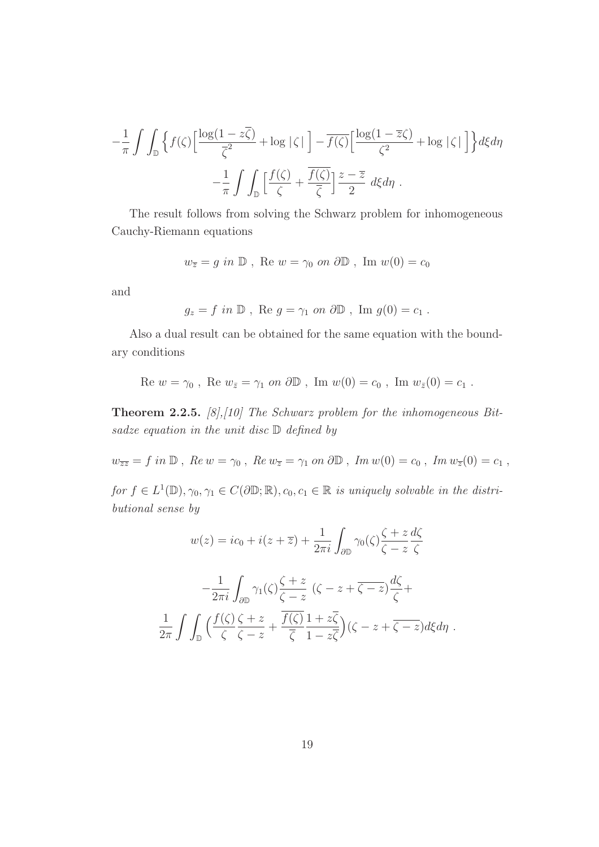$$
-\frac{1}{\pi} \int \int_{\mathbb{D}} \left\{ f(\zeta) \left[ \frac{\log(1 - z\overline{\zeta})}{\overline{\zeta}^2} + \log |\zeta| \right] - \overline{f(\zeta)} \left[ \frac{\log(1 - \overline{z}\zeta)}{\zeta^2} + \log |\zeta| \right] \right\} d\xi d\eta
$$

$$
-\frac{1}{\pi} \int \int_{\mathbb{D}} \left[ \frac{f(\zeta)}{\zeta} + \frac{\overline{f(\zeta)}}{\overline{\zeta}} \right] \frac{z - \overline{z}}{2} d\xi d\eta.
$$

The result follows from solving the Schwarz problem for inhomogeneous Cauchy-Riemann equations

$$
w_{\overline{z}} = g \text{ in } \mathbb{D}
$$
, Re  $w = \gamma_0$  on  $\partial \mathbb{D}$ , Im  $w(0) = c_0$ 

and

$$
g_z = f
$$
 in  $\mathbb{D}$ , Re  $g = \gamma_1$  on  $\partial \mathbb{D}$ , Im  $g(0) = c_1$ .

Also a dual result can be obtained for the same equation with the boundary conditions

Re 
$$
w = \gamma_0
$$
, Re  $w_{\bar{z}} = \gamma_1$  on  $\partial \mathbb{D}$ , Im  $w(0) = c_0$ , Im  $w_{\bar{z}}(0) = c_1$ .

**Theorem 2.2.5.** [8],[10] The Schwarz problem for the inhomogeneous Bitsadze equation in the unit disc  $D$  defined by

 $w_{\overline{z}\overline{z}} = f$  in  $\mathbb D$ ,  $\mathbb R$ e  $w = \gamma_0$ ,  $\mathbb R$ e  $w_{\overline{z}} = \gamma_1$  on  $\partial \mathbb D$ ,  $\mathbb Im w(0) = c_0$ ,  $\mathbb Im w_{\overline{z}}(0) = c_1$ ,

for  $f \in L^1(\mathbb{D}), \gamma_0, \gamma_1 \in C(\partial \mathbb{D}; \mathbb{R}), c_0, c_1 \in \mathbb{R}$  is uniquely solvable in the distributional sense by

$$
w(z) = ic_0 + i(z + \overline{z}) + \frac{1}{2\pi i} \int_{\partial \mathbb{D}} \gamma_0(\zeta) \frac{\zeta + z}{\zeta - z} \frac{d\zeta}{\zeta}
$$

$$
-\frac{1}{2\pi i} \int_{\partial \mathbb{D}} \gamma_1(\zeta) \frac{\zeta + z}{\zeta - z} (\zeta - z + \overline{\zeta - z}) \frac{d\zeta}{\zeta} + \frac{1}{2\pi} \int \int_{\mathbb{D}} \left( \frac{f(\zeta)}{\zeta} \frac{\zeta + z}{\zeta - z} + \frac{\overline{f(\zeta)}}{\overline{\zeta}} \frac{1 + z\overline{\zeta}}{1 - z\overline{\zeta}} \right) (\zeta - z + \overline{\zeta - z}) d\xi d\eta.
$$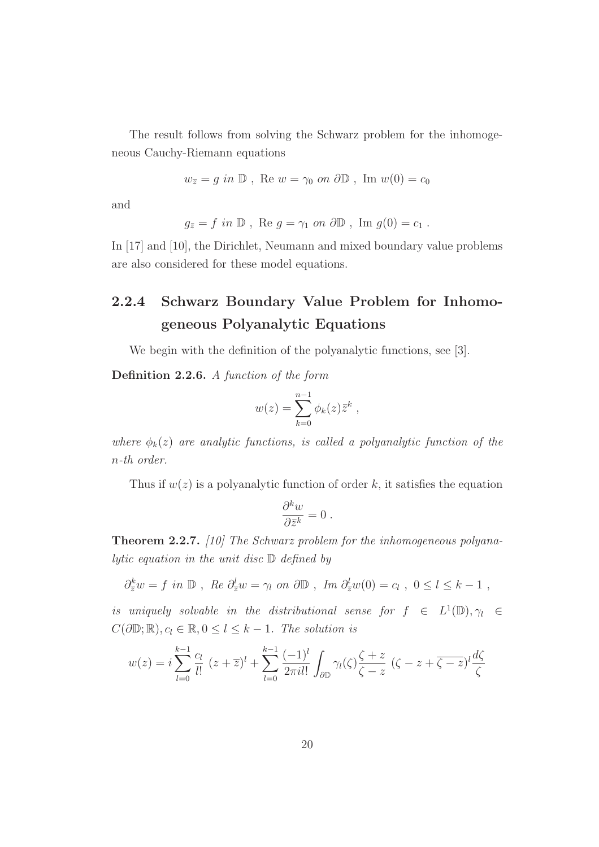The result follows from solving the Schwarz problem for the inhomogeneous Cauchy-Riemann equations

 $w_{\overline{z}} = g$  in  $\mathbb{D}$ , Re  $w = \gamma_0$  on  $\partial \mathbb{D}$ , Im  $w(0) = c_0$ 

and

$$
g_{\bar{z}} = f
$$
 in  $\mathbb{D}$ , Re  $g = \gamma_1$  on  $\partial \mathbb{D}$ , Im  $g(0) = c_1$ .

In [17] and [10], the Dirichlet, Neumann and mixed boundary value problems are also considered for these model equations.

## 2.2.4 Schwarz Boundary Value Problem for Inhomogeneous Polyanalytic Equations

We begin with the definition of the polyanalytic functions, see [3].

Definition 2.2.6. A function of the form

$$
w(z) = \sum_{k=0}^{n-1} \phi_k(z) \overline{z}^k ,
$$

where  $\phi_k(z)$  are analytic functions, is called a polyanalytic function of the n-th order.

Thus if  $w(z)$  is a polyanalytic function of order k, it satisfies the equation

$$
\frac{\partial^k w}{\partial \bar{z}^k} = 0 \ .
$$

Theorem 2.2.7. [10] The Schwarz problem for the inhomogeneous polyanalytic equation in the unit disc  $\mathbb D$  defined by

 $\partial_{\overline{z}}^k w = f$  in  $\mathbb{D}$ , Re  $\partial_{\overline{z}}^l w = \gamma_l$  on  $\partial \mathbb{D}$ , Im  $\partial_{\overline{z}}^l w(0) = c_l$ ,  $0 \le l \le k - 1$ ,

is uniquely solvable in the distributional sense for  $f \in L^1(\mathbb{D}), \gamma_l \in$  $C(\partial\mathbb{D}; \mathbb{R}), c_l \in \mathbb{R}, 0 \leq l \leq k-1$ . The solution is

$$
w(z) = i \sum_{l=0}^{k-1} \frac{c_l}{l!} (z + \overline{z})^l + \sum_{l=0}^{k-1} \frac{(-1)^l}{2\pi i l!} \int_{\partial \mathbb{D}} \gamma_l(\zeta) \frac{\zeta + z}{\zeta - z} (\zeta - z + \overline{\zeta - z})^l \frac{d\zeta}{\zeta}
$$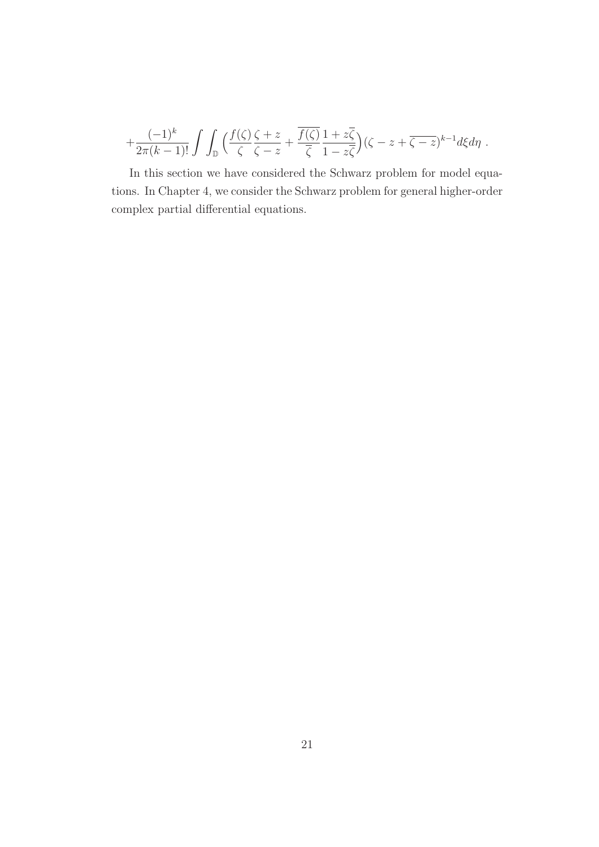$$
+\frac{(-1)^k}{2\pi(k-1)!}\int\int_{\mathbb{D}}\Big(\frac{f(\zeta)\zeta+z}{\zeta-\zeta}+\frac{\overline{f(\zeta)}}{\overline{\zeta}}\frac{1+z\overline{\zeta}}{1-z\overline{\zeta}}\Big)(\zeta-z+\overline{\zeta-z})^{k-1}d\xi d\eta.
$$

In this section we have considered the Schwarz problem for model equations. In Chapter 4, we consider the Schwarz problem for general higher-order complex partial differential equations.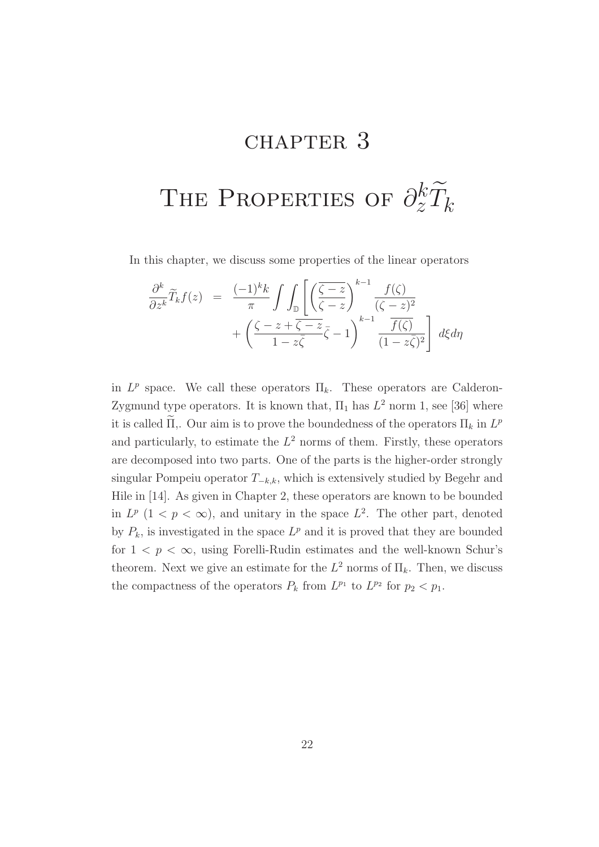# CHAPTER 3

# THE PROPERTIES OF  $\partial_z^k \widetilde{T}_k$

In this chapter, we discuss some properties of the linear operators

$$
\frac{\partial^k}{\partial z^k} \widetilde{T}_k f(z) = \frac{(-1)^k k}{\pi} \int \int \mathbb{D} \left[ \left( \frac{\zeta - z}{\zeta - z} \right)^{k-1} \frac{f(\zeta)}{(\zeta - z)^2} + \left( \frac{\zeta - z + \overline{\zeta - z}}{1 - z\overline{\zeta}} \overline{\zeta} - 1 \right)^{k-1} \frac{\overline{f(\zeta)}}{(1 - z\overline{\zeta})^2} \right] d\xi d\eta
$$

in  $L^p$  space. We call these operators  $\Pi_k$ . These operators are Calderon-Zygmund type operators. It is known that,  $\Pi_1$  has  $L^2$  norm 1, see [36] where it is called  $\Pi$ ,. Our aim is to prove the boundedness of the operators  $\Pi_k$  in  $L^p$ and particularly, to estimate the  $L^2$  norms of them. Firstly, these operators are decomposed into two parts. One of the parts is the higher-order strongly singular Pompeiu operator  $T_{-k,k}$ , which is extensively studied by Begehr and Hile in [14]. As given in Chapter 2, these operators are known to be bounded in  $L^p$   $(1 < p < \infty)$ , and unitary in the space  $L^2$ . The other part, denoted by  $P_k$ , is investigated in the space  $L^p$  and it is proved that they are bounded for  $1 \leq p \leq \infty$ , using Forelli-Rudin estimates and the well-known Schur's theorem. Next we give an estimate for the  $L^2$  norms of  $\Pi_k$ . Then, we discuss the compactness of the operators  $P_k$  from  $L^{p_1}$  to  $L^{p_2}$  for  $p_2 < p_1$ .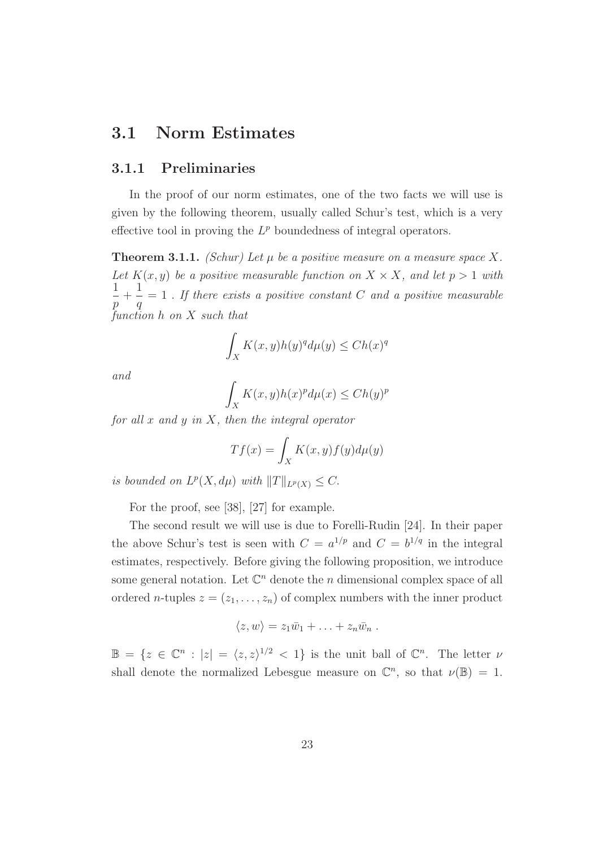## 3.1 Norm Estimates

#### 3.1.1 Preliminaries

In the proof of our norm estimates, one of the two facts we will use is given by the following theorem, usually called Schur's test, which is a very effective tool in proving the  $L^p$  boundedness of integral operators.

**Theorem 3.1.1.** (Schur) Let  $\mu$  be a positive measure on a measure space X. Let  $K(x, y)$  be a positive measurable function on  $X \times X$ , and let  $p > 1$  with 1 p  $+$ 1 q  $= 1$ . If there exists a positive constant C and a positive measurable function h on X such that

$$
\int_X K(x,y)h(y)^q d\mu(y) \leq Ch(x)^q
$$

and

$$
\int_X K(x,y)h(x)^p d\mu(x) \le Ch(y)^p
$$

for all x and y in X, then the integral operator

$$
Tf(x) = \int_X K(x, y) f(y) d\mu(y)
$$

is bounded on  $L^p(X, d\mu)$  with  $||T||_{L^p(X)} \leq C$ .

For the proof, see [38], [27] for example.

The second result we will use is due to Forelli-Rudin [24]. In their paper the above Schur's test is seen with  $C = a^{1/p}$  and  $C = b^{1/q}$  in the integral estimates, respectively. Before giving the following proposition, we introduce some general notation. Let  $\mathbb{C}^n$  denote the n dimensional complex space of all ordered *n*-tuples  $z = (z_1, \ldots, z_n)$  of complex numbers with the inner product

$$
\langle z,w\rangle=z_1\bar{w}_1+\ldots+z_n\bar{w}_n.
$$

 $\mathbb{B} = \{z \in \mathbb{C}^n : |z| = \langle z, z \rangle^{1/2} < 1\}$  is the unit ball of  $\mathbb{C}^n$ . The letter  $\nu$ shall denote the normalized Lebesgue measure on  $\mathbb{C}^n$ , so that  $\nu(\mathbb{B}) = 1$ .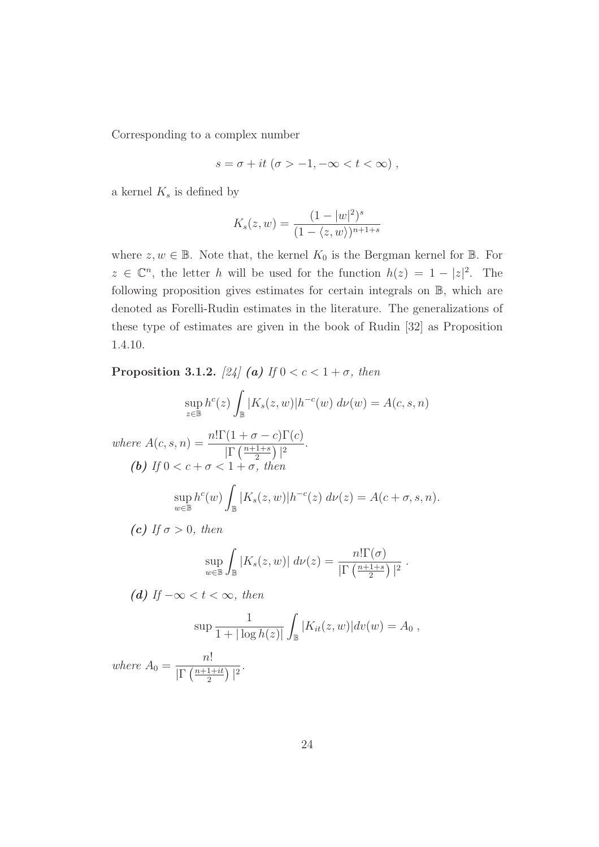Corresponding to a complex number

$$
s = \sigma + it \; (\sigma > -1, -\infty < t < \infty) \; ,
$$

a kernel  $K_s$  is defined by

$$
K_s(z, w) = \frac{(1 - |w|^2)^s}{(1 - \langle z, w \rangle)^{n+1+s}}
$$

where  $z, w \in \mathbb{B}$ . Note that, the kernel  $K_0$  is the Bergman kernel for  $\mathbb{B}$ . For  $z \in \mathbb{C}^n$ , the letter h will be used for the function  $h(z) = 1 - |z|^2$ . The following proposition gives estimates for certain integrals on B, which are denoted as Forelli-Rudin estimates in the literature. The generalizations of these type of estimates are given in the book of Rudin [32] as Proposition 1.4.10.

Proposition 3.1.2. [24] (a) If  $0 < c < 1 + \sigma$ , then

$$
\sup_{z \in \mathbb{B}} h^c(z) \int_{\mathbb{B}} |K_s(z, w)| h^{-c}(w) d\nu(w) = A(c, s, n)
$$

where  $A(c, s, n) = \frac{n! \Gamma(1 + \sigma - c) \Gamma(c)}{\Gamma(n+1+s)}$  $\prod_{r} \left( \frac{n+1+s}{2} \right)$  $\frac{1+s}{2}\bigg)\bigg\vert^2.$ (b) If  $0 < c + \sigma < 1 + \sigma$ , then sup  $w\bar{\in}\mathbb{B}$  $h^c(w)$ Z  $\int_{\mathbb{B}} |K_s(z,w)| h^{-c}(z) \, d\nu(z) = A(c+\sigma, s, n).$ 

(c) If  $\sigma > 0$ , then

$$
\sup_{w \in \mathbb{B}} \int_{\mathbb{B}} |K_s(z, w)| d\nu(z) = \frac{n! \Gamma(\sigma)}{|\Gamma(\frac{n+1+s}{2})|^2}.
$$

(d) If  $-\infty < t < \infty$ , then

$$
\sup \frac{1}{1+|\log h(z)|} \int_{\mathbb{B}} |K_{it}(z,w)| dv(w) = A_0,
$$

where  $A_0 =$ n!  $\sqrt{\Gamma\left(\frac{n+1+it}{2}\right)}$  $\frac{1+it}{2}\big)\big|^{2}$ .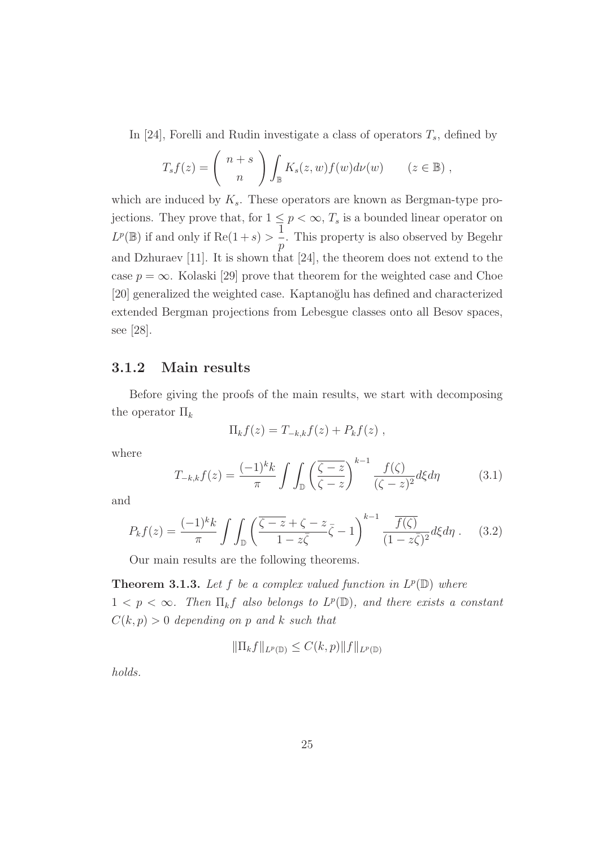In [24], Forelli and Rudin investigate a class of operators  $T_s$ , defined by

$$
T_s f(z) = {n+s \choose n} \int_{\mathbb{B}} K_s(z, w) f(w) d\nu(w) \qquad (z \in \mathbb{B}),
$$

which are induced by  $K_s$ . These operators are known as Bergman-type projections. They prove that, for  $1 \leq p < \infty$ ,  $T_s$  is a bounded linear operator on  $L^p(\mathbb{B})$  if and only if  $\text{Re}(1+s) > \frac{1}{s}$ p . This property is also observed by Begehr and Dzhuraev [11]. It is shown that [24], the theorem does not extend to the case  $p = \infty$ . Kolaski [29] prove that theorem for the weighted case and Choe [20] generalized the weighted case. Kaptanoğlu has defined and characterized extended Bergman projections from Lebesgue classes onto all Besov spaces, see [28].

#### 3.1.2 Main results

Before giving the proofs of the main results, we start with decomposing the operator  $\Pi_k$ 

$$
\Pi_k f(z) = T_{-k,k} f(z) + P_k f(z) ,
$$

where

$$
T_{-k,k}f(z) = \frac{(-1)^k k}{\pi} \int \int_{\mathbb{D}} \left(\frac{\overline{\zeta - z}}{\overline{\zeta - z}}\right)^{k-1} \frac{f(\zeta)}{(\overline{\zeta - z})^2} d\xi d\eta \tag{3.1}
$$

and

$$
P_k f(z) = \frac{(-1)^k k}{\pi} \int \int_{\mathbb{D}} \left( \frac{\overline{\zeta - z} + \zeta - z}{1 - z\overline{\zeta}} \overline{\zeta} - 1 \right)^{k-1} \frac{\overline{f(\zeta)}}{(1 - z\overline{\zeta})^2} d\xi d\eta . \tag{3.2}
$$

Our main results are the following theorems.

**Theorem 3.1.3.** Let f be a complex valued function in  $L^p(\mathbb{D})$  where  $1 < p < \infty$ . Then  $\prod_k f$  also belongs to  $L^p(\mathbb{D})$ , and there exists a constant  $C(k, p) > 0$  depending on p and k such that

$$
\|\Pi_k f\|_{L^p(\mathbb{D})} \le C(k, p) \|f\|_{L^p(\mathbb{D})}
$$

holds.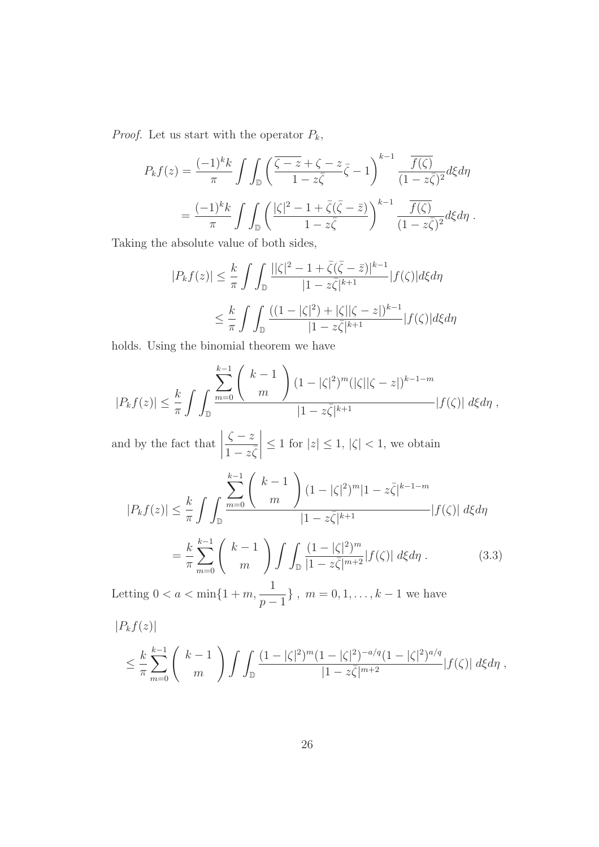*Proof.* Let us start with the operator  $P_k$ ,

$$
P_k f(z) = \frac{(-1)^k k}{\pi} \int \int_{\mathbb{D}} \left( \frac{\overline{\zeta - z} + \zeta - z}{1 - z\overline{\zeta}} \overline{\zeta} - 1 \right)^{k-1} \frac{\overline{f(\zeta)}}{(1 - z\overline{\zeta})^2} d\xi d\eta
$$
  
= 
$$
\frac{(-1)^k k}{\pi} \int \int_{\mathbb{D}} \left( \frac{|\zeta|^2 - 1 + \overline{\zeta}(\overline{\zeta} - \overline{z})}{1 - z\overline{\zeta}} \right)^{k-1} \frac{\overline{f(\zeta)}}{(1 - z\overline{\zeta})^2} d\xi d\eta.
$$

Taking the absolute value of both sides,

$$
|P_k f(z)| \leq \frac{k}{\pi} \int \int_{\mathbb{D}} \frac{||\zeta|^2 - 1 + \bar{\zeta}(\bar{\zeta} - \bar{z})|^{k-1}}{|1 - z\bar{\zeta}|^{k+1}} |f(\zeta)| d\xi d\eta
$$
  

$$
\leq \frac{k}{\pi} \int \int_{\mathbb{D}} \frac{((1 - |\zeta|^2) + |\zeta||\zeta - z|)^{k-1}}{|1 - z\bar{\zeta}|^{k+1}} |f(\zeta)| d\xi d\eta
$$

holds. Using the binomial theorem we have

$$
|P_k f(z)| \leq \frac{k}{\pi} \int \int_{\mathbb{D}} \frac{\sum_{m=0}^{k-1} {k-1 \choose m} (1-|\zeta|^2)^m (|\zeta||\zeta-z|)^{k-1-m}}{|1-z\overline{\zeta}|^{k+1}} |f(\zeta)| d\xi d\eta,
$$

and by the fact that  $\zeta - z$  $\overline{1-z\overline{\zeta}}$  $\begin{array}{c} \begin{array}{c} \begin{array}{c} \end{array} \\ \begin{array}{c} \end{array} \end{array} \end{array}$  $\leq 1$  for  $|z| \leq 1$ ,  $|\zeta| < 1$ , we obtain

$$
|P_k f(z)| \leq \frac{k}{\pi} \int \int_{\mathbb{D}} \frac{\sum_{m=0}^{k-1} {k-1 \choose m} (1-|\zeta|^2)^m |1-z\bar{\zeta}|^{k-1-m}}{|1-z\bar{\zeta}|^{k+1}} |f(\zeta)| d\xi d\eta
$$

$$
= \frac{k}{\pi} \sum_{m=0}^{k-1} {k-1 \choose m} \int \int_{\mathbb{D}} \frac{(1-|\zeta|^2)^m}{|1-z\bar{\zeta}|^{m+2}} |f(\zeta)| d\xi d\eta.
$$
(3.3)

Letting  $0 < a < \min\{1+m,$ 1  $p-1$ },  $m = 0, 1, \ldots, k - 1$  we have

$$
|P_k f(z)|
$$
  
\n
$$
\leq \frac{k}{\pi} \sum_{m=0}^{k-1} {k-1 \choose m} \int \int_{\mathbb{D}} \frac{(1-|\zeta|^2)^m (1-|\zeta|^2)^{-a/q} (1-|\zeta|^2)^{a/q}}{|1-z\overline{\zeta}|^{m+2}} |f(\zeta)| d\xi d\eta,
$$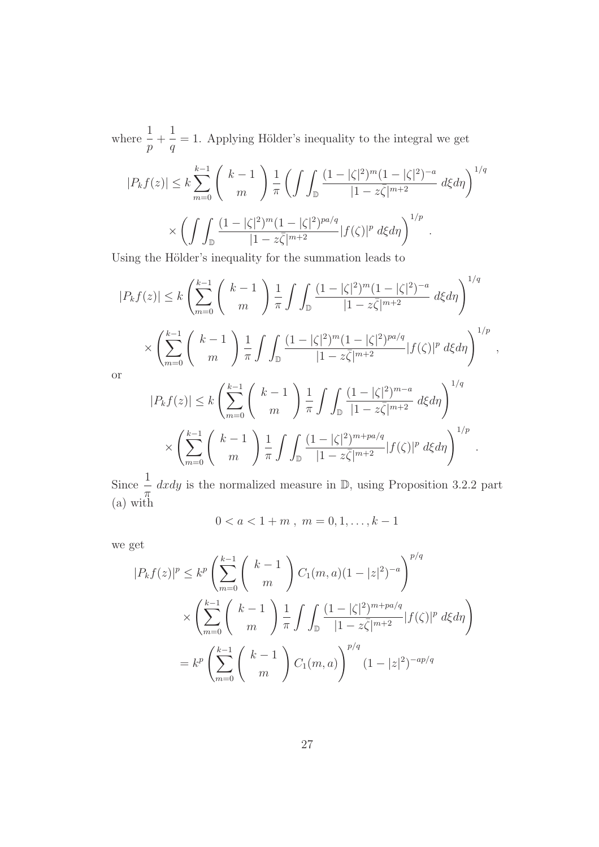where  $\frac{1}{1}$ p  $+$ 1 q  $= 1.$  Applying Hölder's inequality to the integral we get

$$
|P_{k}f(z)| \leq k \sum_{m=0}^{k-1} {k-1 \choose m} \frac{1}{\pi} \left( \int \int_{\mathbb{D}} \frac{(1-|\zeta|^{2})^{m} (1-|\zeta|^{2})^{-a}}{|1-z\bar{\zeta}|^{m+2}} d\xi d\eta \right)^{1/q}
$$

$$
\times \left( \int \int_{\mathbb{D}} \frac{(1-|\zeta|^{2})^{m} (1-|\zeta|^{2})^{pa/q}}{|1-z\bar{\zeta}|^{m+2}} |f(\zeta)|^{p} d\xi d\eta \right)^{1/p}.
$$

Using the Hölder's inequality for the summation leads to

$$
|P_k f(z)| \le k \left(\sum_{m=0}^{k-1} {k-1 \choose m} \frac{1}{\pi} \int \int_{\mathbb{D}} \frac{(1-|\zeta|^2)^m (1-|\zeta|^2)^{-a}}{|1-z\bar{\zeta}|^{m+2}} d\xi d\eta \right)^{1/q}
$$
  

$$
\times \left(\sum_{m=0}^{k-1} {k-1 \choose m} \frac{1}{\pi} \int \int_{\mathbb{D}} \frac{(1-|\zeta|^2)^m (1-|\zeta|^2)^{pa/q}}{|1-z\bar{\zeta}|^{m+2}} |f(\zeta)|^p d\xi d\eta \right)^{1/p},
$$
  
or  

$$
|P_k f(z)| \le k \left(\sum_{m=0}^{k-1} {k-1 \choose m} \frac{1}{\pi} \int \int_{\mathbb{D}} \frac{(1-|\zeta|^2)^{m-a}}{|1-z\bar{\zeta}|^{m+2}} d\xi d\eta \right)^{1/q}
$$
  

$$
\times \left(\sum_{m=0}^{k-1} {k-1 \choose m} \frac{1}{\pi} \int \int_{\mathbb{D}} \frac{(1-|\zeta|^2)^{m+pa/q}}{|1-z\bar{\zeta}|^{m+2}} |f(\zeta)|^p d\xi d\eta \right)^{1/p}.
$$

Since  $\frac{1}{1}$  $\pi$  $dxdy$  is the normalized measure in  $D$ , using Proposition 3.2.2 part (a) with

$$
0 < a < 1 + m \,, \ m = 0, 1, \dots, k - 1
$$

we get

$$
|P_k f(z)|^p \le k^p \left(\sum_{m=0}^{k-1} {k-1 \choose m} C_1(m, a) (1-|z|^2)^{-a}\right)^{p/q}
$$
  
 
$$
\times \left(\sum_{m=0}^{k-1} {k-1 \choose m} \frac{1}{\pi} \int \int_{\mathbb{D}} \frac{(1-|\zeta|^2)^{m+pa/q}}{|1-z\overline{\zeta}|^{m+2}} |f(\zeta)|^p d\xi d\eta\right)
$$
  
=  $k^p \left(\sum_{m=0}^{k-1} {k-1 \choose m} C_1(m, a)\right)^{p/q} (1-|z|^2)^{-ap/q}$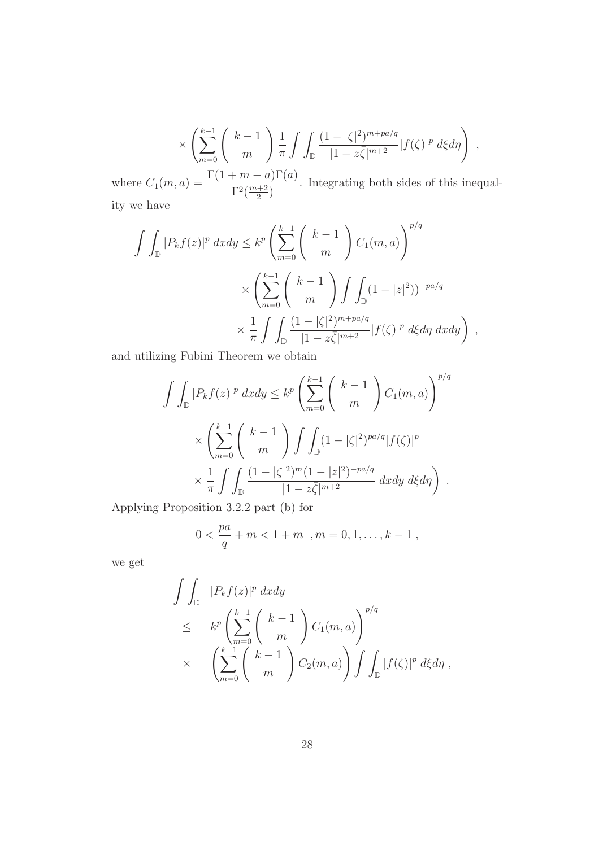$$
\times \left( \sum_{m=0}^{k-1} \binom{k-1}{m} \frac{1}{\pi} \int \int_{\mathbb{D}} \frac{(1-|\zeta|^2)^{m+pa/q}}{|1-z\overline{\zeta}|^{m+2}} |f(\zeta)|^p d\xi d\eta \right) ,
$$
  
 
$$
\Gamma(1+m-a)\Gamma(a)
$$

where  $C_1(m, a) = \frac{\Gamma(1+m-a)\Gamma(a)}{\Gamma^2(\frac{m+2}{2})}$  $\frac{+2}{2}$ . Integrating both sides of this inequality we have

$$
\int \int_{\mathbb{D}} |P_k f(z)|^p dx dy \leq k^p \left( \sum_{m=0}^{k-1} {k-1 \choose m} C_1(m, a) \right)^{p/q}
$$

$$
\times \left( \sum_{m=0}^{k-1} {k-1 \choose m} \int \int_{\mathbb{D}} (1 - |z|^2)^{-pa/q}
$$

$$
\times \frac{1}{\pi} \int \int_{\mathbb{D}} \frac{(1 - |\zeta|^2)^{m+pa/q}}{|1 - z\overline{\zeta}|^{m+2}} |f(\zeta)|^p d\xi d\eta dx dy \right) ,
$$

and utilizing Fubini Theorem we obtain

$$
\int \int_{\mathbb{D}} |P_k f(z)|^p dx dy \leq k^p \left( \sum_{m=0}^{k-1} {k-1 \choose m} C_1(m, a) \right)^{p/q}
$$

$$
\times \left( \sum_{m=0}^{k-1} {k-1 \choose m} \int \int_{\mathbb{D}} (1-|\zeta|^2)^{pa/q} |f(\zeta)|^p
$$

$$
\times \frac{1}{\pi} \int \int_{\mathbb{D}} \frac{(1-|\zeta|^2)^m (1-|z|^2)^{-pa/q}}{|1-z\overline{\zeta}|^{m+2}} dx dy d\zeta d\eta \right).
$$

Applying Proposition 3.2.2 part (b) for

$$
0 < \frac{pa}{q} + m < 1 + m \quad , m = 0, 1, \dots, k - 1 \; ,
$$

we get

$$
\iint_{\mathbb{D}} |P_k f(z)|^p dx dy
$$
\n
$$
\leq k^p \left( \sum_{m=0}^{k-1} {k-1 \choose m} C_1(m, a) \right)^{p/q}
$$
\n
$$
\times \left( \sum_{m=0}^{k-1} {k-1 \choose m} C_2(m, a) \right) \int \int_{\mathbb{D}} |f(\zeta)|^p d\xi d\eta,
$$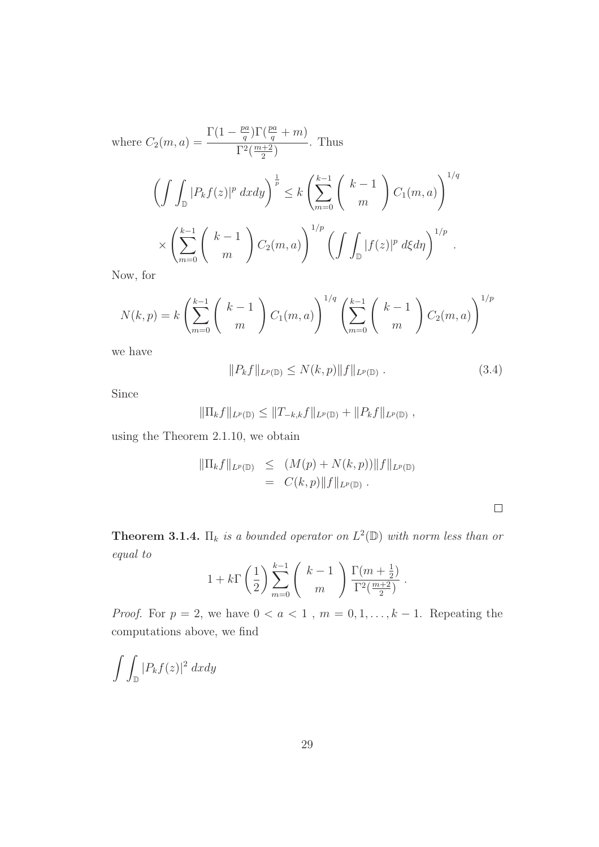where  $C_2(m, a) =$  $\Gamma(1-\frac{pa}{a})$  $\frac{pq}{q}$ )  $\Gamma(\frac{pa}{q} + m)$  $\Gamma^2(\frac{m+2}{2})$  $\frac{+2}{2}$ . Thus

$$
\left(\int\int_{\mathbb{D}}|P_kf(z)|^p\,dxdy\right)^{\frac{1}{p}} \leq k\left(\sum_{m=0}^{k-1}\binom{k-1}{m}C_1(m,a)\right)^{1/q}
$$

$$
\times\left(\sum_{m=0}^{k-1}\binom{k-1}{m}C_2(m,a)\right)^{1/p}\left(\int\int_{\mathbb{D}}|f(z)|^p\,d\xi d\eta\right)^{1/p}.
$$

Now, for

$$
N(k,p) = k \left( \sum_{m=0}^{k-1} {k-1 \choose m} C_1(m,a) \right)^{1/q} \left( \sum_{m=0}^{k-1} {k-1 \choose m} C_2(m,a) \right)^{1/p}
$$

we have

$$
||P_k f||_{L^p(\mathbb{D})} \le N(k, p) ||f||_{L^p(\mathbb{D})}. \tag{3.4}
$$

Since

$$
\|\Pi_k f\|_{L^p(\mathbb{D})} \le \|T_{-k,k} f\|_{L^p(\mathbb{D})} + \|P_k f\|_{L^p(\mathbb{D})},
$$

using the Theorem 2.1.10, we obtain

$$
\|\Pi_k f\|_{L^p(\mathbb{D})} \le (M(p) + N(k, p)) \|f\|_{L^p(\mathbb{D})} \n= C(k, p) \|f\|_{L^p(\mathbb{D})} .
$$

**Theorem 3.1.4.**  $\Pi_k$  is a bounded operator on  $L^2(\mathbb{D})$  with norm less than or equal to

$$
1 + k\Gamma\left(\frac{1}{2}\right) \sum_{m=0}^{k-1} \left(\begin{array}{c}k-1\\m\end{array}\right) \frac{\Gamma(m+\frac{1}{2})}{\Gamma^2(\frac{m+2}{2})}.
$$

*Proof.* For  $p = 2$ , we have  $0 < a < 1$ ,  $m = 0, 1, \ldots, k - 1$ . Repeating the computations above, we find

$$
\int\int_{\mathbb{D}}|P_kf(z)|^2\ dxdy
$$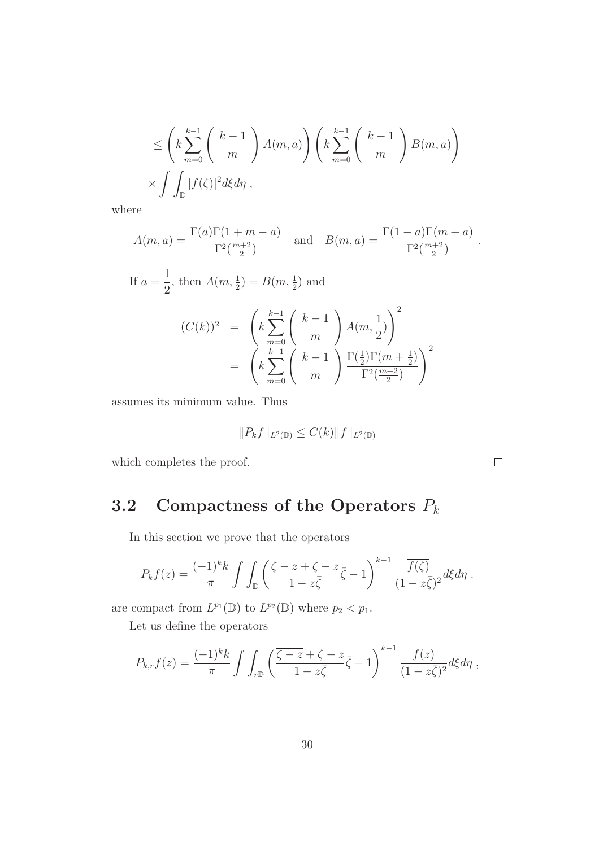$$
\leq \left(k\sum_{m=0}^{k-1} {k-1 \choose m} A(m,a)\right) \left(k\sum_{m=0}^{k-1} {k-1 \choose m} B(m,a)\right)
$$
  
 
$$
\times \int \int_{\mathbb{D}} |f(\zeta)|^2 d\xi d\eta,
$$

where

$$
A(m,a) = \frac{\Gamma(a)\Gamma(1+m-a)}{\Gamma^2(\frac{m+2}{2})}
$$
 and 
$$
B(m,a) = \frac{\Gamma(1-a)\Gamma(m+a)}{\Gamma^2(\frac{m+2}{2})}
$$
.

If 
$$
a = \frac{1}{2}
$$
, then  $A(m, \frac{1}{2}) = B(m, \frac{1}{2})$  and  
\n
$$
(C(k))^2 = \left(k \sum_{m=0}^{k-1} {k-1 \choose m} A(m, \frac{1}{2})\right)^2
$$
\n
$$
= \left(k \sum_{m=0}^{k-1} {k-1 \choose m} \frac{\Gamma(\frac{1}{2})\Gamma(m+\frac{1}{2})}{\Gamma^2(\frac{m+2}{2})}\right)^2
$$

assumes its minimum value. Thus

$$
||P_k f||_{L^2(\mathbb{D})} \leq C(k) ||f||_{L^2(\mathbb{D})}
$$

which completes the proof.

# 3.2 Compactness of the Operators  $P_k$

In this section we prove that the operators

$$
P_k f(z) = \frac{(-1)^k k}{\pi} \int \int_{\mathbb{D}} \left( \frac{\overline{\zeta - z} + \zeta - z}{1 - z\overline{\zeta}} \overline{\zeta} - 1 \right)^{k-1} \frac{\overline{f(\zeta)}}{(1 - z\overline{\zeta})^2} d\xi d\eta.
$$

are compact from  $L^{p_1}(\mathbb{D})$  to  $L^{p_2}(\mathbb{D})$  where  $p_2 < p_1$ .

Let us define the operators

$$
P_{k,r}f(z) = \frac{(-1)^k k}{\pi} \int \int_{r\mathbb{D}} \left( \frac{\overline{\zeta - z} + \zeta - z}{1 - z\overline{\zeta}} \overline{\zeta} - 1 \right)^{k-1} \frac{\overline{f(z)}}{(1 - z\overline{\zeta})^2} d\xi d\eta,
$$

 $\Box$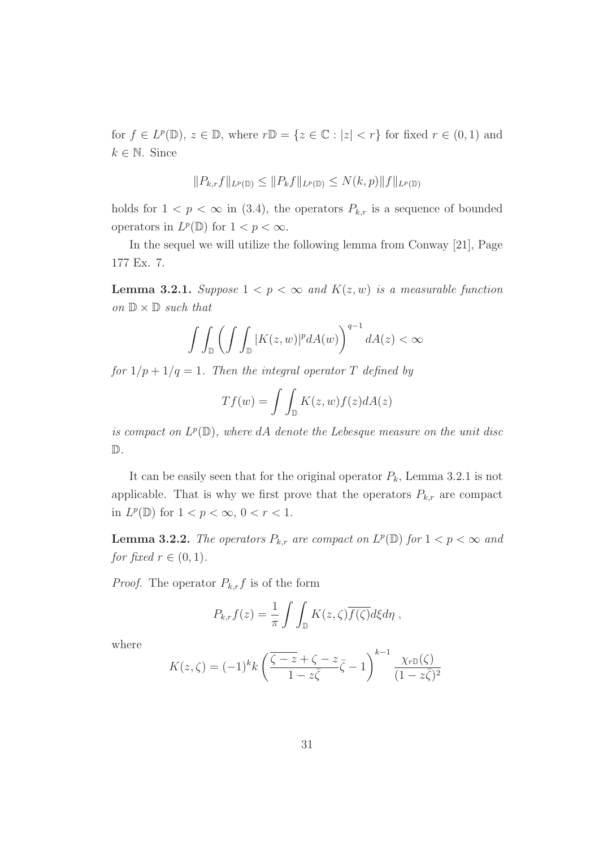for  $f \in L^p(\mathbb{D})$ ,  $z \in \mathbb{D}$ , where  $r\mathbb{D} = \{z \in \mathbb{C} : |z| < r\}$  for fixed  $r \in (0,1)$  and  $k \in \mathbb{N}$ . Since

$$
||P_{k,r}f||_{L^p(\mathbb{D})} \leq ||P_kf||_{L^p(\mathbb{D})} \leq N(k,p)||f||_{L^p(\mathbb{D})}
$$

holds for  $1 < p < \infty$  in (3.4), the operators  $P_{k,r}$  is a sequence of bounded operators in  $L^p(\mathbb{D})$  for  $1 < p < \infty$ .

In the sequel we will utilize the following lemma from Conway [21], Page 177 Ex. 7.

**Lemma 3.2.1.** Suppose  $1 < p < \infty$  and  $K(z, w)$  is a measurable function on  $\mathbb{D} \times \mathbb{D}$  such that

$$
\int\int_{\mathbb{D}}\left(\int\int_{\mathbb{D}}|K(z,w)|^{p}dA(w)\right)^{q-1}dA(z)<\infty
$$

for  $1/p + 1/q = 1$ . Then the integral operator T defined by

$$
Tf(w) = \int \int_{\mathbb{D}} K(z, w) f(z) dA(z)
$$

is compact on  $L^p(\mathbb{D})$ , where dA denote the Lebesque measure on the unit disc D.

It can be easily seen that for the original operator  $P_k$ , Lemma 3.2.1 is not applicable. That is why we first prove that the operators  $P_{k,r}$  are compact in  $L^p(\mathbb{D})$  for  $1 < p < \infty$ ,  $0 < r < 1$ .

**Lemma 3.2.2.** The operators  $P_{k,r}$  are compact on  $L^p(\mathbb{D})$  for  $1 < p < \infty$  and for fixed  $r \in (0, 1)$ .

*Proof.* The operator  $P_{k,r}f$  is of the form

$$
P_{k,r}f(z) = \frac{1}{\pi} \int \int_{\mathbb{D}} K(z,\zeta) \overline{f(\zeta)} d\xi d\eta,
$$

where

$$
K(z,\zeta) = (-1)^k k \left( \frac{\overline{\zeta - z} + \zeta - z}{1 - z\overline{\zeta}} - 1 \right)^{k-1} \frac{\chi_{r\mathbb{D}}(\zeta)}{(1 - z\overline{\zeta})^2}
$$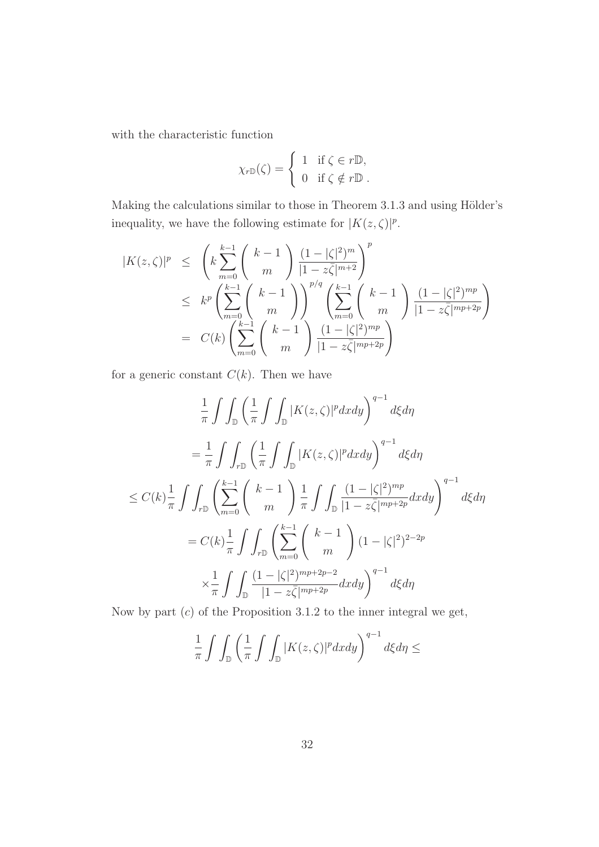with the characteristic function

$$
\chi_{r\mathbb{D}}(\zeta) = \begin{cases} 1 & \text{if } \zeta \in r\mathbb{D}, \\ 0 & \text{if } \zeta \notin r\mathbb{D}. \end{cases}
$$

Making the calculations similar to those in Theorem 3.1.3 and using Hölder's inequality, we have the following estimate for  $|K(z,\zeta)|^p$ .

$$
|K(z,\zeta)|^p \leq \left(k\sum_{m=0}^{k-1} {k-1 \choose m} \frac{(1-|\zeta|^2)^m}{|1-z\bar{\zeta}|^{m+2}}\right)^p
$$
  

$$
\leq k^p \left(\sum_{m=0}^{k-1} {k-1 \choose m}\right)^{p/q} \left(\sum_{m=0}^{k-1} {k-1 \choose m} \frac{(1-|\zeta|^2)^{mp}}{|1-z\bar{\zeta}|^{mp+2p}}\right)
$$
  

$$
= C(k) \left(\sum_{m=0}^{k-1} {k-1 \choose m} \frac{(1-|\zeta|^2)^{mp}}{|1-z\bar{\zeta}|^{mp+2p}}\right)
$$

for a generic constant  $C(k)$ . Then we have

$$
\frac{1}{\pi} \int \int_{\mathbb{D}} \left( \frac{1}{\pi} \int \int_{\mathbb{D}} |K(z,\zeta)|^p dx dy \right)^{q-1} d\xi d\eta
$$
\n
$$
= \frac{1}{\pi} \int \int_{r\mathbb{D}} \left( \frac{1}{\pi} \int \int_{\mathbb{D}} |K(z,\zeta)|^p dx dy \right)^{q-1} d\xi d\eta
$$
\n
$$
\leq C(k) \frac{1}{\pi} \int \int_{r\mathbb{D}} \left( \sum_{m=0}^{k-1} {k-1 \choose m} \frac{1}{\pi} \int \int_{\mathbb{D}} \frac{(1-|\zeta|^2)^{mp}}{|1-z\overline{\zeta}|^{mp+2p}} dx dy \right)^{q-1} d\xi d\eta
$$
\n
$$
= C(k) \frac{1}{\pi} \int \int_{r\mathbb{D}} \left( \sum_{m=0}^{k-1} {k-1 \choose m} (1-|\zeta|^2)^{2-2p} \times \frac{1}{\pi} \int \int_{\mathbb{D}} \frac{(1-|\zeta|^2)^{mp+2p-2}}{|1-z\overline{\zeta}|^{mp+2p}} dx dy \right)^{q-1} d\xi d\eta
$$

Now by part  $(c)$  of the Proposition 3.1.2 to the inner integral we get,

$$
\frac{1}{\pi}\int\int_{\mathbb{D}}\left(\frac{1}{\pi}\int\int_{\mathbb{D}}|K(z,\zeta)|^{p}dxdy\right)^{q-1}d\xi d\eta\leq
$$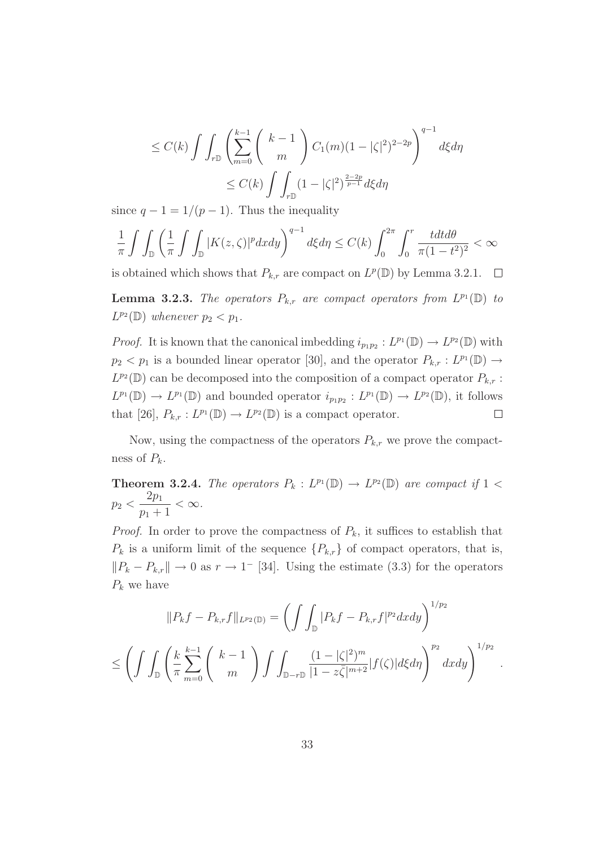$$
\leq C(k) \int \int_{r}^{\infty} \left( \sum_{m=0}^{k-1} {k-1 \choose m} C_1(m)(1-|\zeta|^2)^{2-2p} \right)^{q-1} d\xi d\eta
$$
  

$$
\leq C(k) \int \int_{r}^{\infty} (1-|\zeta|^2)^{\frac{2-2p}{p-1}} d\xi d\eta
$$

since  $q - 1 = 1/(p - 1)$ . Thus the inequality

$$
\frac{1}{\pi} \int \int_{\mathbb{D}} \left( \frac{1}{\pi} \int \int_{\mathbb{D}} |K(z,\zeta)|^p dx dy \right)^{q-1} d\xi d\eta \le C(k) \int_0^{2\pi} \int_0^r \frac{t dt d\theta}{\pi (1-t^2)^2} < \infty
$$

is obtained which shows that  $P_{k,r}$  are compact on  $L^p(\mathbb{D})$  by Lemma 3.2.1.  $\Box$ 

**Lemma 3.2.3.** The operators  $P_{k,r}$  are compact operators from  $L^{p_1}(\mathbb{D})$  to  $L^{p_2}(\mathbb{D})$  whenever  $p_2 < p_1$ .

*Proof.* It is known that the canonical imbedding  $i_{p_1p_2}: L^{p_1}(\mathbb{D}) \to L^{p_2}(\mathbb{D})$  with  $p_2 < p_1$  is a bounded linear operator [30], and the operator  $P_{k,r} : L^{p_1}(\mathbb{D}) \to$  $L^{p_2}(\mathbb{D})$  can be decomposed into the composition of a compact operator  $P_{k,r}$ :  $L^{p_1}(\mathbb{D}) \to L^{p_1}(\mathbb{D})$  and bounded operator  $i_{p_1p_2}: L^{p_1}(\mathbb{D}) \to L^{p_2}(\mathbb{D})$ , it follows that [26],  $P_{k,r}: L^{p_1}(\mathbb{D}) \to L^{p_2}(\mathbb{D})$  is a compact operator.  $\Box$ 

Now, using the compactness of the operators  $P_{k,r}$  we prove the compactness of  $P_k$ .

**Theorem 3.2.4.** The operators  $P_k : L^{p_1}(\mathbb{D}) \to L^{p_2}(\mathbb{D})$  are compact if  $1 <$  $p_2$   $<$  $2p_1$  $p_1 + 1$  $< \infty$ .

*Proof.* In order to prove the compactness of  $P_k$ , it suffices to establish that  $P_k$  is a uniform limit of the sequence  $\{P_{k,r}\}\$  of compact operators, that is,  $||P_k - P_{k,r}|| \to 0$  as  $r \to 1^-$  [34]. Using the estimate (3.3) for the operators  $P_k$  we have

$$
||P_{k}f - P_{k,r}f||_{L^{p_2}(\mathbb{D})} = \left(\int \int_{\mathbb{D}} |P_{k}f - P_{k,r}f|^{p_2} dxdy\right)^{1/p_2}
$$
  

$$
\leq \left(\int \int_{\mathbb{D}} \left(\frac{k}{\pi} \sum_{m=0}^{k-1} {k-1 \choose m} \int \int_{\mathbb{D}-r\mathbb{D}} \frac{(1-|\zeta|^{2})^m}{|1-z\overline{\zeta}|^{m+2}} |f(\zeta)| d\xi d\eta\right)^{p_2} dxdy\right)^{1/p_2}.
$$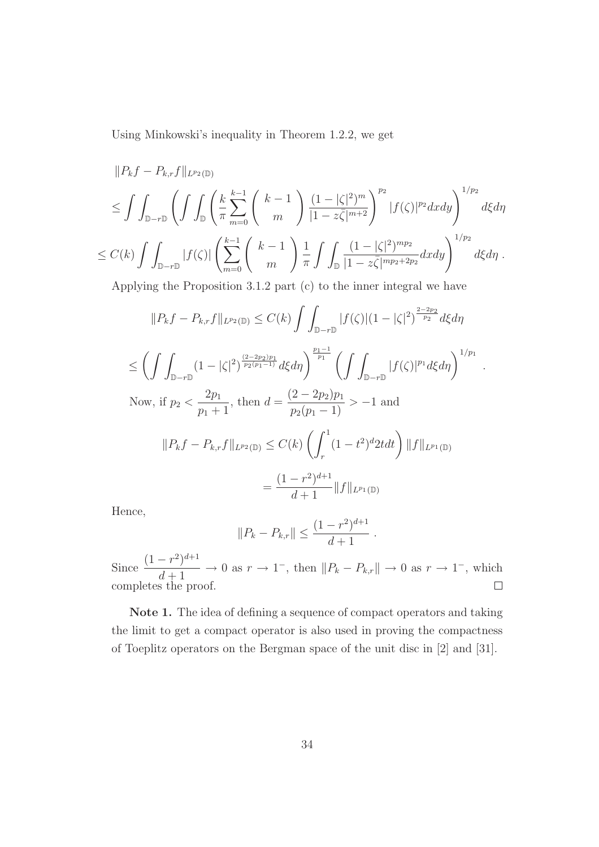Using Minkowski's inequality in Theorem 1.2.2, we get

$$
||P_{k}f - P_{k,r}f||_{L^{p_{2}}(\mathbb{D})}
$$
  
\n
$$
\leq \int \int_{\mathbb{D}-r\mathbb{D}} \left( \int \int_{\mathbb{D}} \left( \frac{k}{\pi} \sum_{m=0}^{k-1} {k-1 \choose m} \frac{(1-|\zeta|^{2})^{m}}{|1-z\overline{\zeta}|^{m+2}} \right)^{p_{2}} |f(\zeta)|^{p_{2}} dx dy \right)^{1/p_{2}}
$$
  
\n
$$
\leq C(k) \int \int_{\mathbb{D}-r\mathbb{D}} |f(\zeta)| \left( \sum_{m=0}^{k-1} {k-1 \choose m} \frac{1}{\pi} \int \int_{\mathbb{D}} \frac{(1-|\zeta|^{2})^{mp_{2}}}{|1-z\overline{\zeta}|^{mp_{2}+2p_{2}}} dx dy \right)^{1/p_{2}} d\xi d\eta .
$$
  
\nApplying the Proposition 3.1.2 part (c) to the inner integral we have  
\n
$$
||P_{k}f - P_{k,r}f||_{L^{p_{2}}(\mathbb{D})} \leq C(k) \int \int_{\mathbb{D}-r\mathbb{D}} |f(\zeta)| (1-|\zeta|^{2})^{\frac{2-2p_{2}}{p_{2}}} d\xi d\eta
$$
  
\n
$$
\leq \left( \int \int_{\mathbb{D}-r\mathbb{D}} (1-|\zeta|^{2})^{\frac{(2-2p_{2})p_{1}}{p_{2}(p_{1}-1)}} d\xi d\eta \right)^{\frac{p_{1}-1}{p_{1}}} \left( \int \int_{\mathbb{D}-r\mathbb{D}} |f(\zeta)|^{p_{1}} d\xi d\eta \right)^{1/p_{1}} .
$$
  
\nNow, if  $p_{2} < \frac{2p_{1}}{p_{1}+1}$ , then  $d = \frac{(2-2p_{2})p_{1}}{p_{2}(p_{1}-1)} > -1$  and  
\n
$$
||P_{k}f - P_{k,r}f||_{L^{p_{2}}(\mathbb{D})} \leq C(k) \left( \int_{r}^{1} (1-t^{2})^{d} 2t dt \right) ||f||_{L^{p_{1}}(\mathbb{D})}
$$
  
\n
$$
= \frac{(1-r^{2})^{d+1}}{d+1} ||f||
$$

Hence,

$$
||P_k - P_{k,r}|| \le \frac{(1 - r^2)^{d+1}}{d+1}.
$$

Since  $\frac{(1 - r^2)^{d+1}}{1 + 1}$  $\to 0$  as  $r \to 1^-$ , then  $||P_k - P_{k,r}|| \to 0$  as  $r \to 1^-$ , which  $d+1$ completes the proof.  $\Box$ 

Note 1. The idea of defining a sequence of compact operators and taking the limit to get a compact operator is also used in proving the compactness of Toeplitz operators on the Bergman space of the unit disc in [2] and [31].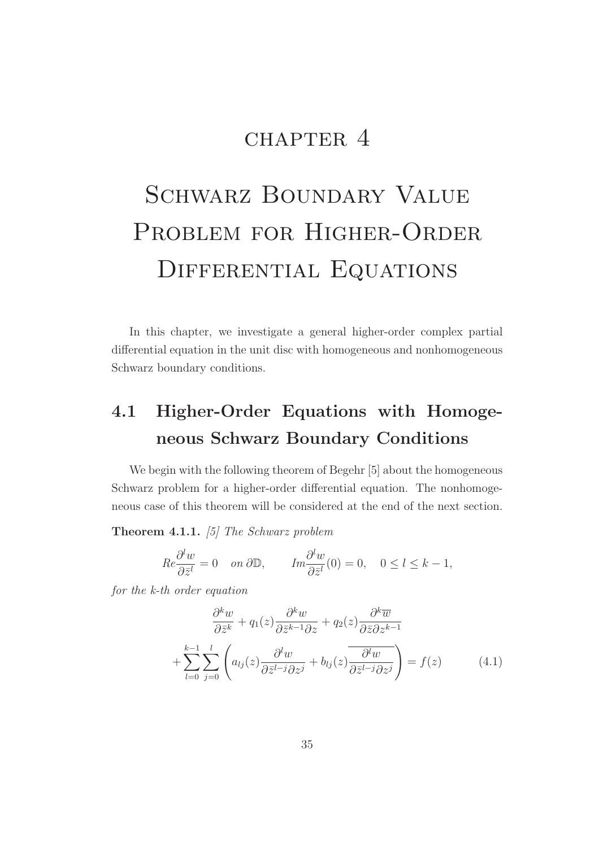# CHAPTER 4

# SCHWARZ BOUNDARY VALUE PROBLEM FOR HIGHER-ORDER DIFFERENTIAL EQUATIONS

In this chapter, we investigate a general higher-order complex partial differential equation in the unit disc with homogeneous and nonhomogeneous Schwarz boundary conditions.

# 4.1 Higher-Order Equations with Homogeneous Schwarz Boundary Conditions

We begin with the following theorem of Begehr [5] about the homogeneous Schwarz problem for a higher-order differential equation. The nonhomogeneous case of this theorem will be considered at the end of the next section.

#### Theorem 4.1.1. [5] The Schwarz problem

$$
Re\frac{\partial^l w}{\partial \bar{z}^l} = 0 \quad on \ \partial \mathbb{D}, \qquad Im\frac{\partial^l w}{\partial \bar{z}^l}(0) = 0, \quad 0 \le l \le k - 1,
$$

for the k-th order equation

$$
\frac{\partial^k w}{\partial \bar{z}^k} + q_1(z) \frac{\partial^k w}{\partial \bar{z}^{k-1} \partial z} + q_2(z) \frac{\partial^k \overline{w}}{\partial \bar{z} \partial z^{k-1}} \n+ \sum_{l=0}^{k-1} \sum_{j=0}^l \left( a_{lj}(z) \frac{\partial^l w}{\partial \bar{z}^{l-j} \partial z^j} + b_{lj}(z) \frac{\partial^l w}{\partial \bar{z}^{l-j} \partial z^j} \right) = f(z)
$$
\n(4.1)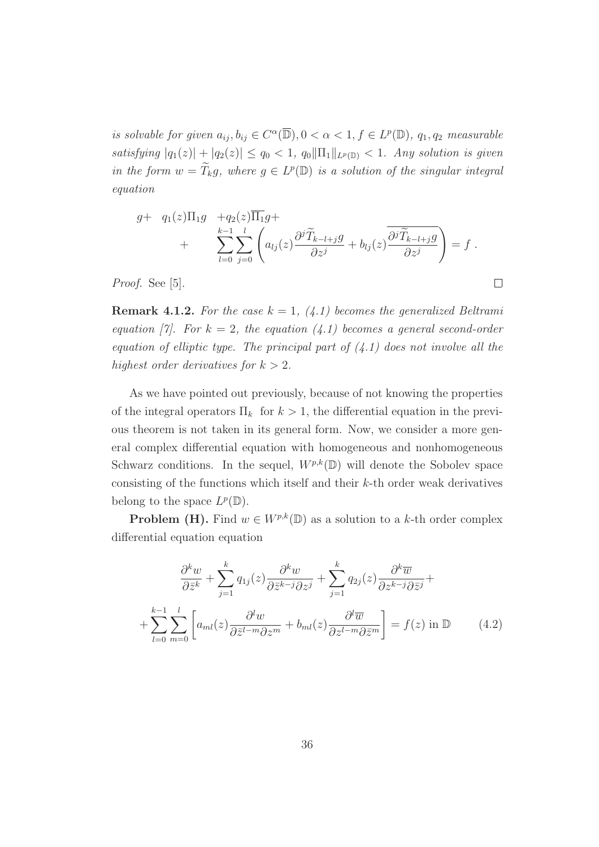is solvable for given  $a_{ij}, b_{ij} \in C^{\alpha}(\overline{\mathbb{D}}), 0 < \alpha < 1, f \in L^p(\mathbb{D}), q_1, q_2$  measurable satisfying  $|q_1(z)| + |q_2(z)| \leq q_0 < 1$ ,  $q_0 \|\Pi_1\|_{L^p(\mathbb{D})} < 1$ . Any solution is given in the form  $w = \widetilde{T}_k g$ , where  $g \in L^p(\mathbb{D})$  is a solution of the singular integral equation

$$
g+ q_1(z)\Pi_1 g + q_2(z)\overline{\Pi_1}g + \sum_{l=0}^{k-1} \sum_{j=0}^l \left( a_{lj}(z) \frac{\partial^j \widetilde{T}_{k-l+j}g}{\partial z^j} + b_{lj}(z) \frac{\overline{\partial^j \widetilde{T}_{k-l+j}g}}{\partial z^j} \right) = f.
$$

 $\Box$ 

Proof. See [5].

**Remark 4.1.2.** For the case  $k = 1$ , (4.1) becomes the generalized Beltrami equation [7]. For  $k = 2$ , the equation (4.1) becomes a general second-order equation of elliptic type. The principal part of  $(4.1)$  does not involve all the highest order derivatives for  $k > 2$ .

As we have pointed out previously, because of not knowing the properties of the integral operators  $\Pi_k$  for  $k > 1$ , the differential equation in the previous theorem is not taken in its general form. Now, we consider a more general complex differential equation with homogeneous and nonhomogeneous Schwarz conditions. In the sequel,  $W^{p,k}(\mathbb{D})$  will denote the Sobolev space consisting of the functions which itself and their  $k$ -th order weak derivatives belong to the space  $L^p(\mathbb{D})$ .

**Problem (H).** Find  $w \in W^{p,k}(\mathbb{D})$  as a solution to a k-th order complex differential equation equation

$$
\frac{\partial^k w}{\partial \bar{z}^k} + \sum_{j=1}^k q_{1j}(z) \frac{\partial^k w}{\partial \bar{z}^{k-j} \partial z^j} + \sum_{j=1}^k q_{2j}(z) \frac{\partial^k \overline{w}}{\partial z^{k-j} \partial \bar{z}^j} + + \sum_{l=0}^{k-1} \sum_{m=0}^l \left[ a_{ml}(z) \frac{\partial^l w}{\partial \bar{z}^{l-m} \partial z^m} + b_{ml}(z) \frac{\partial^l \overline{w}}{\partial z^{l-m} \partial \bar{z}^m} \right] = f(z) \text{ in } \mathbb{D}
$$
 (4.2)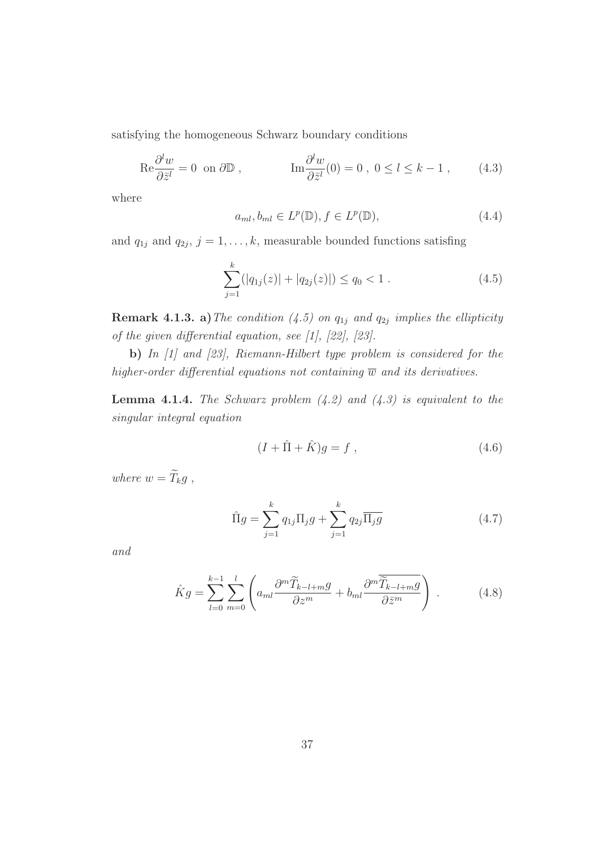satisfying the homogeneous Schwarz boundary conditions

$$
\text{Re}\frac{\partial^l w}{\partial \bar{z}^l} = 0 \text{ on } \partial \mathbb{D} , \qquad \qquad \text{Im}\frac{\partial^l w}{\partial \bar{z}^l}(0) = 0 , 0 \le l \le k - 1 , \qquad (4.3)
$$

where

$$
a_{ml}, b_{ml} \in L^p(\mathbb{D}), f \in L^p(\mathbb{D}), \tag{4.4}
$$

and  $q_{1j}$  and  $q_{2j}$ ,  $j = 1, \ldots, k$ , measurable bounded functions satisfing

$$
\sum_{j=1}^{k} (|q_{1j}(z)| + |q_{2j}(z)|) \le q_0 < 1.
$$
 (4.5)

**Remark 4.1.3. a)** The condition (4.5) on  $q_{1j}$  and  $q_{2j}$  implies the ellipticity of the given differential equation, see [1], [22], [23].

b) In [1] and [23], Riemann-Hilbert type problem is considered for the higher-order differential equations not containing  $\overline{w}$  and its derivatives.

**Lemma 4.1.4.** The Schwarz problem  $(4.2)$  and  $(4.3)$  is equivalent to the singular integral equation

$$
(I + \hat{\Pi} + \hat{K})g = f , \qquad (4.6)
$$

where  $w = \widetilde{T}_k g$ ,

$$
\hat{\Pi}g = \sum_{j=1}^{k} q_{1j} \Pi_j g + \sum_{j=1}^{k} q_{2j} \overline{\Pi_j g}
$$
\n(4.7)

and

$$
\hat{K}g = \sum_{l=0}^{k-1} \sum_{m=0}^{l} \left( a_{ml} \frac{\partial^m \widetilde{T}_{k-l+m}g}{\partial z^m} + b_{ml} \frac{\partial^m \widetilde{T}_{k-l+m}g}{\partial \bar{z}^m} \right) . \tag{4.8}
$$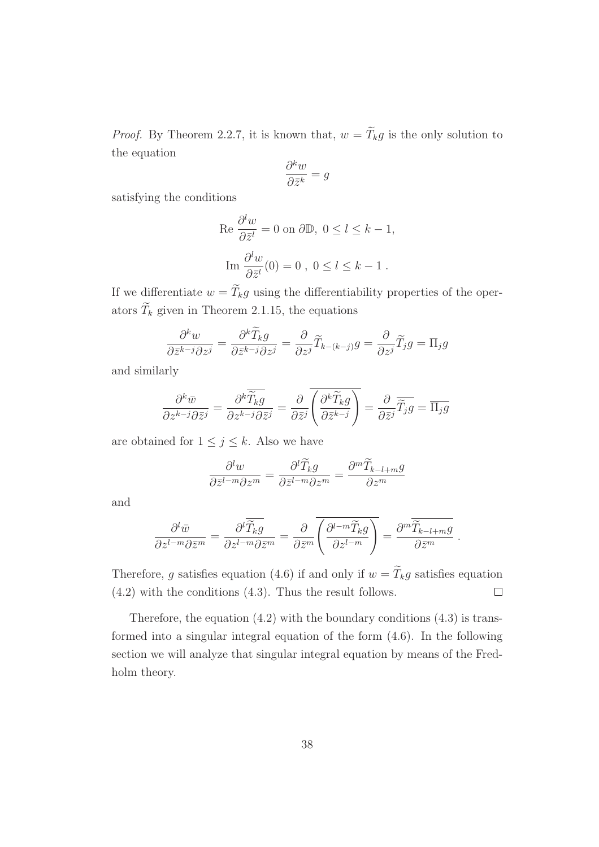*Proof.* By Theorem 2.2.7, it is known that,  $w = \widetilde{T}_k g$  is the only solution to the equation

$$
\frac{\partial^k w}{\partial \bar{z}^k} = g
$$

satisfying the conditions

$$
\operatorname{Re} \frac{\partial^l w}{\partial \bar{z}^l} = 0 \text{ on } \partial \mathbb{D}, \ 0 \le l \le k - 1,
$$

$$
\operatorname{Im} \frac{\partial^l w}{\partial \bar{z}^l}(0) = 0 \ , \ 0 \le l \le k - 1.
$$

If we differentiate  $w = \widetilde{T}_k g$  using the differentiability properties of the operators  $\widetilde{T}_k$  given in Theorem 2.1.15, the equations

$$
\frac{\partial^k w}{\partial \bar{z}^{k-j} \partial z^j} = \frac{\partial^k \widetilde{T}_k g}{\partial \bar{z}^{k-j} \partial z^j} = \frac{\partial}{\partial z^j} \widetilde{T}_{k-(k-j)} g = \frac{\partial}{\partial z^j} \widetilde{T}_j g = \Pi_j g
$$

and similarly

$$
\frac{\partial^k \bar{w}}{\partial z^{k-j} \partial \bar{z}^j} = \frac{\partial^k \overline{\widetilde{T}_k g}}{\partial z^{k-j} \partial \bar{z}^j} = \frac{\partial}{\partial \bar{z}^j} \overline{\left(\frac{\partial^k \widetilde{T}_k g}{\partial \bar{z}^{k-j}}\right)} = \frac{\partial}{\partial \bar{z}^j} \overline{\widetilde{T}_j g} = \overline{\Pi_j g}
$$

are obtained for  $1 \leq j \leq k$ . Also we have

$$
\frac{\partial^l w}{\partial \bar{z}^{l-m} \partial z^m} = \frac{\partial^l \widetilde{T}_k g}{\partial \bar{z}^{l-m} \partial z^m} = \frac{\partial^m \widetilde{T}_{k-l+m} g}{\partial z^m}
$$

and

$$
\frac{\partial^l \bar{w}}{\partial z^{l-m} \partial \bar{z}^m} = \frac{\partial^l \overline{\widetilde{T}_k g}}{\partial z^{l-m} \partial \bar{z}^m} = \frac{\partial}{\partial \bar{z}^m} \overline{\left(\frac{\partial^{l-m} \widetilde{T}_k g}{\partial z^{l-m}}\right)} = \frac{\partial^m \overline{\widetilde{T}_{k-l+m} g}}{\partial \bar{z}^m}.
$$

Therefore, g satisfies equation (4.6) if and only if  $w = \widetilde{T}_k g$  satisfies equation (4.2) with the conditions (4.3). Thus the result follows.  $\Box$ 

Therefore, the equation  $(4.2)$  with the boundary conditions  $(4.3)$  is transformed into a singular integral equation of the form (4.6). In the following section we will analyze that singular integral equation by means of the Fredholm theory.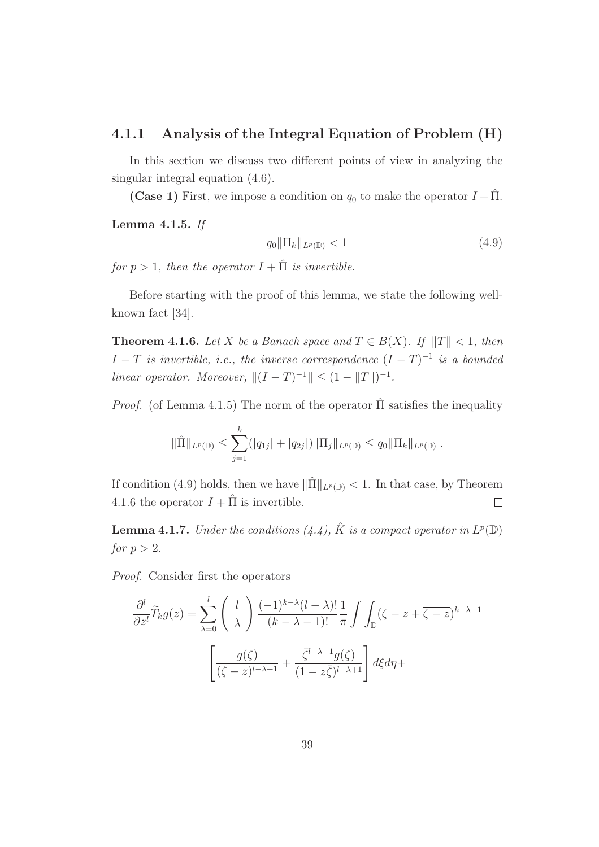#### 4.1.1 Analysis of the Integral Equation of Problem (H)

In this section we discuss two different points of view in analyzing the singular integral equation (4.6).

(Case 1) First, we impose a condition on  $q_0$  to make the operator  $I + \hat{\Pi}$ .

Lemma 4.1.5. If

$$
q_0 \|\Pi_k\|_{L^p(\mathbb{D})} < 1 \tag{4.9}
$$

.

for  $p > 1$ , then the operator  $I + \hat{\Pi}$  is invertible.

Before starting with the proof of this lemma, we state the following wellknown fact [34].

**Theorem 4.1.6.** Let X be a Banach space and  $T \in B(X)$ . If  $||T|| < 1$ , then  $I-T$  is invertible, i.e., the inverse correspondence  $(I-T)^{-1}$  is a bounded linear operator. Moreover,  $||(I - T)^{-1}|| \leq (1 - ||T||)^{-1}$ .

*Proof.* (of Lemma 4.1.5) The norm of the operator  $\hat{\Pi}$  satisfies the inequality

$$
\|\hat{\Pi}\|_{L^p(\mathbb{D})} \le \sum_{j=1}^k (|q_{1j}| + |q_{2j}|) \|\Pi_j\|_{L^p(\mathbb{D})} \le q_0 \|\Pi_k\|_{L^p(\mathbb{D})}
$$

If condition (4.9) holds, then we have  $\|\hat{\Pi}\|_{L^p(\mathbb{D})} < 1$ . In that case, by Theorem 4.1.6 the operator  $I + \hat{\Pi}$  is invertible.  $\Box$ 

**Lemma 4.1.7.** Under the conditions  $(4.4)$ ,  $\hat{K}$  is a compact operator in  $L^p(\mathbb{D})$ for  $p > 2$ .

Proof. Consider first the operators

$$
\frac{\partial^l}{\partial z^l} \widetilde{T}_k g(z) = \sum_{\lambda=0}^l \binom{l}{\lambda} \frac{(-1)^{k-\lambda} (l-\lambda)!}{(k-\lambda-1)!} \frac{1}{\pi} \int \int_{\mathbb{D}} (\zeta - z + \overline{\zeta - z})^{k-\lambda-1} \frac{1}{(\zeta - z)^{l-\lambda+1}} \frac{1}{(\zeta - z)^{l-\lambda+1}} \int d\xi d\eta +
$$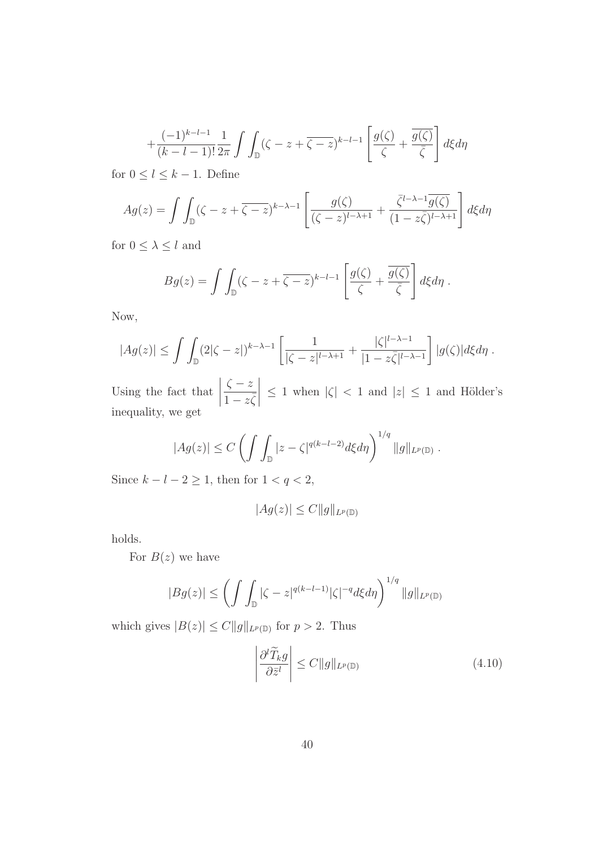$$
+\frac{(-1)^{k-l-1}}{(k-l-1)!}\frac{1}{2\pi}\int\int_{\mathbb{D}}(\zeta-z+\overline{\zeta-z})^{k-l-1}\left[\frac{g(\zeta)}{\zeta}+\frac{\overline{g(\zeta)}}{\overline{\zeta}}\right]d\xi d\eta
$$

for  $0 \leq l \leq k-1$ . Define

$$
Ag(z) = \int \int_{\mathbb{D}} (\zeta - z + \overline{\zeta - z})^{k-\lambda-1} \left[ \frac{g(\zeta)}{(\zeta - z)^{l-\lambda+1}} + \frac{\overline{\zeta}^{l-\lambda-1} \overline{g(\zeta)}}{(1 - z\overline{\zeta})^{l-\lambda+1}} \right] d\xi d\eta
$$

for  $0\leq \lambda \leq l$  and

$$
Bg(z) = \int \int_{\mathbb{D}} (\zeta - z + \overline{\zeta - z})^{k-l-1} \left[ \frac{g(\zeta)}{\zeta} + \frac{\overline{g(\zeta)}}{\overline{\zeta}} \right] d\xi d\eta.
$$

Now,

$$
|Ag(z)| \leq \int \int_{\mathbb{D}} (2|\zeta - z|)^{k-\lambda-1} \left[ \frac{1}{|\zeta - z|^{l-\lambda+1}} + \frac{|\zeta|^{l-\lambda-1}}{|1 - z\overline{\zeta}|^{l-\lambda-1}} \right] |g(\zeta)| d\xi d\eta.
$$

Using the fact that  $\zeta - z$  $\overline{1-z\overline{\zeta}}$   $\leq 1$  when  $|\zeta| < 1$  and  $|z| \leq 1$  and Hölder's inequality, we get

$$
|Ag(z)| \leq C \left( \int \int_{\mathbb{D}} |z - \zeta|^{q(k-l-2)} d\xi d\eta \right)^{1/q} ||g||_{L^p(\mathbb{D})}.
$$

Since  $k - l - 2 \ge 1$ , then for  $1 < q < 2$ ,

$$
|Ag(z)| \leq C ||g||_{L^p(\mathbb{D})}
$$

holds.

For  $B(z)$  we have

$$
|Bg(z)| \leq \left(\int \int_{\mathbb{D}} |\zeta - z|^{q(k-l-1)} |\zeta|^{-q} d\xi d\eta\right)^{1/q} ||g||_{L^p(\mathbb{D})}
$$

which gives  $|B(z)| \leq C ||g||_{L^p(\mathbb{D})}$  for  $p > 2$ . Thus

$$
\left| \frac{\partial^l \widetilde{T}_k g}{\partial \bar{z}^l} \right| \le C \| g \|_{L^p(\mathbb{D})}
$$
\n(4.10)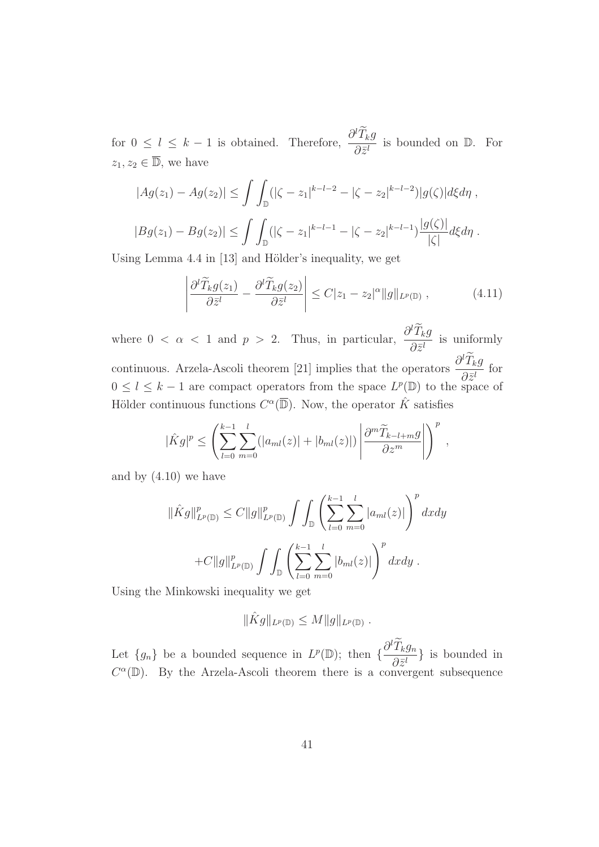for  $0 \leq l \leq k-1$  is obtained. Therefore,  $\frac{\partial^l T_k g}{\partial q^l}$  $rac{1}{\partial \bar{z}^l}$  is bounded on  $\mathbb{D}$ . For  $z_1, z_2 \in \overline{\mathbb{D}}$ , we have

$$
|Ag(z_1) - Ag(z_2)| \le \int \int_{\mathbb{D}} (|\zeta - z_1|^{k-l-2} - |\zeta - z_2|^{k-l-2}) |g(\zeta)| d\xi d\eta,
$$
  

$$
|Bg(z_1) - Bg(z_2)| \le \int \int_{\mathbb{D}} (|\zeta - z_1|^{k-l-1} - |\zeta - z_2|^{k-l-1}) \frac{|g(\zeta)|}{|\zeta|} d\xi d\eta.
$$

Using Lemma  $4.4$  in [13] and Hölder's inequality, we get

$$
\left| \frac{\partial^l \widetilde{T}_k g(z_1)}{\partial \bar{z}^l} - \frac{\partial^l \widetilde{T}_k g(z_2)}{\partial \bar{z}^l} \right| \le C|z_1 - z_2|^\alpha \|g\|_{L^p(\mathbb{D})}, \tag{4.11}
$$

where  $0 < \alpha < 1$  and  $p > 2$ . Thus, in particular,  $\frac{\partial^l T_k g}{\partial q_l}$  $rac{1}{\partial \bar{z}^l}$  is uniformly continuous. Arzela-Ascoli theorem [21] implies that the operators  $\frac{\partial^l T_k g}{\partial x^l}$  $\frac{\partial^2 \vec{z}^j}{\partial \vec{z}^l}$  for  $0 \leq l \leq k-1$  are compact operators from the space  $L^p(\mathbb{D})$  to the space of Hölder continuous functions  $C^{\alpha}(\overline{\mathbb{D}})$ . Now, the operator  $\hat{K}$  satisfies

$$
|\hat{K}g|^p \leq \left(\sum_{l=0}^{k-1} \sum_{m=0}^l (|a_{ml}(z)| + |b_{ml}(z)|) \left| \frac{\partial^m \widetilde{T}_{k-l+m}g}{\partial z^m} \right| \right)^p,
$$

and by (4.10) we have

$$
\|\hat{K}g\|_{L^{p}(\mathbb{D})}^{p} \leq C \|g\|_{L^{p}(\mathbb{D})}^{p} \int \int_{\mathbb{D}} \left( \sum_{l=0}^{k-1} \sum_{m=0}^{l} |a_{ml}(z)| \right)^{p} dxdy
$$
  
+
$$
+ C \|g\|_{L^{p}(\mathbb{D})}^{p} \int \int_{\mathbb{D}} \left( \sum_{l=0}^{k-1} \sum_{m=0}^{l} |b_{ml}(z)| \right)^{p} dxdy.
$$

Using the Minkowski inequality we get

$$
\|\hat{K}g\|_{L^p(\mathbb{D})}\leq M\|g\|_{L^p(\mathbb{D})}.
$$

Let  $\{g_n\}$  be a bounded sequence in  $L^p(\mathbb{D})$ ; then  $\{\frac{\partial^l T_k g_n}{\partial \bar{z}^l}\}$  $\frac{\partial^2 \mathbf{z}^{(l)}}{\partial \mathbf{z}^{(l)}}$  is bounded in  $C^{\alpha}(\mathbb{D})$ . By the Arzela-Ascoli theorem there is a convergent subsequence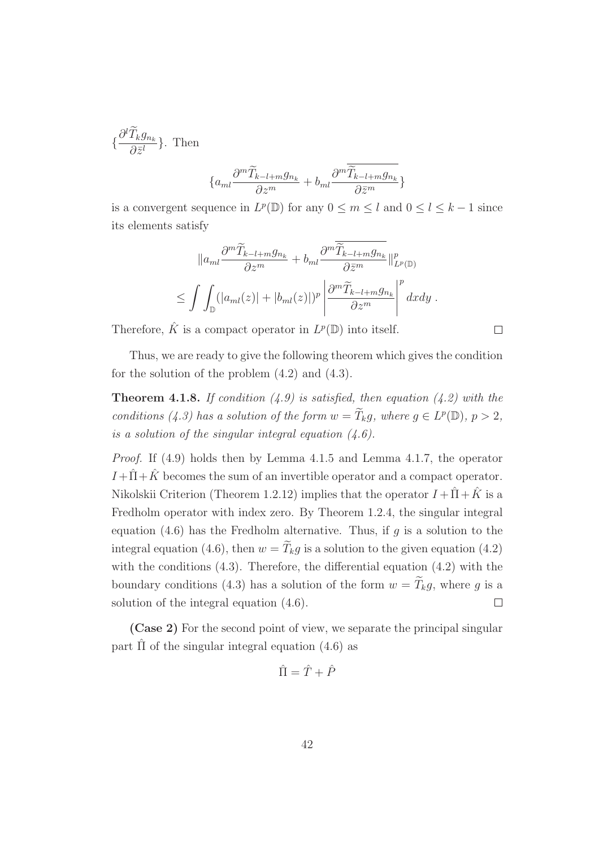$$
\{\frac{\partial^l \widetilde{T}_k g_{n_k}}{\partial \bar{z}^l}\}.
$$
 Then

$$
\{a_{ml}\frac{\partial^m \widetilde{T}_{k-l+m}g_{n_k}}{\partial z^m} + b_{ml}\frac{\partial^m \widetilde{\widetilde{T}}_{k-l+m}g_{n_k}}{\partial \bar{z}^m}\}
$$

is a convergent sequence in  $L^p(\mathbb{D})$  for any  $0 \le m \le l$  and  $0 \le l \le k-1$  since its elements satisfy

$$
||a_{ml}\frac{\partial^m \widetilde{T}_{k-l+m}g_{n_k}}{\partial z^m} + b_{ml}\frac{\partial^m \widetilde{T}_{k-l+m}g_{n_k}}{\partial \overline{z}^m}||_{L^p(\mathbb{D})}^p
$$
  

$$
\leq \int \int_{\mathbb{D}} (|a_{ml}(z)| + |b_{ml}(z)|)^p \left|\frac{\partial^m \widetilde{T}_{k-l+m}g_{n_k}}{\partial z^m}\right|^p dxdy.
$$

Therefore,  $\hat{K}$  is a compact operator in  $L^p(\mathbb{D})$  into itself.

Thus, we are ready to give the following theorem which gives the condition for the solution of the problem (4.2) and (4.3).

 $\Box$ 

**Theorem 4.1.8.** If condition  $(4.9)$  is satisfied, then equation  $(4.2)$  with the conditions (4.3) has a solution of the form  $w = \widetilde{T}_k g$ , where  $g \in L^p(\mathbb{D})$ ,  $p > 2$ , is a solution of the singular integral equation  $(4.6)$ .

Proof. If (4.9) holds then by Lemma 4.1.5 and Lemma 4.1.7, the operator  $I + \hat{\Pi} + \hat{K}$  becomes the sum of an invertible operator and a compact operator. Nikolskii Criterion (Theorem 1.2.12) implies that the operator  $I + \hat{H} + \hat{K}$  is a Fredholm operator with index zero. By Theorem 1.2.4, the singular integral equation  $(4.6)$  has the Fredholm alternative. Thus, if g is a solution to the integral equation (4.6), then  $w = \widetilde{T}_k g$  is a solution to the given equation (4.2) with the conditions (4.3). Therefore, the differential equation (4.2) with the boundary conditions (4.3) has a solution of the form  $w = \widetilde{T}_k g$ , where g is a solution of the integral equation (4.6). П

(Case 2) For the second point of view, we separate the principal singular part  $\hat{\Pi}$  of the singular integral equation (4.6) as

$$
\hat{\Pi} = \hat{T} + \hat{P}
$$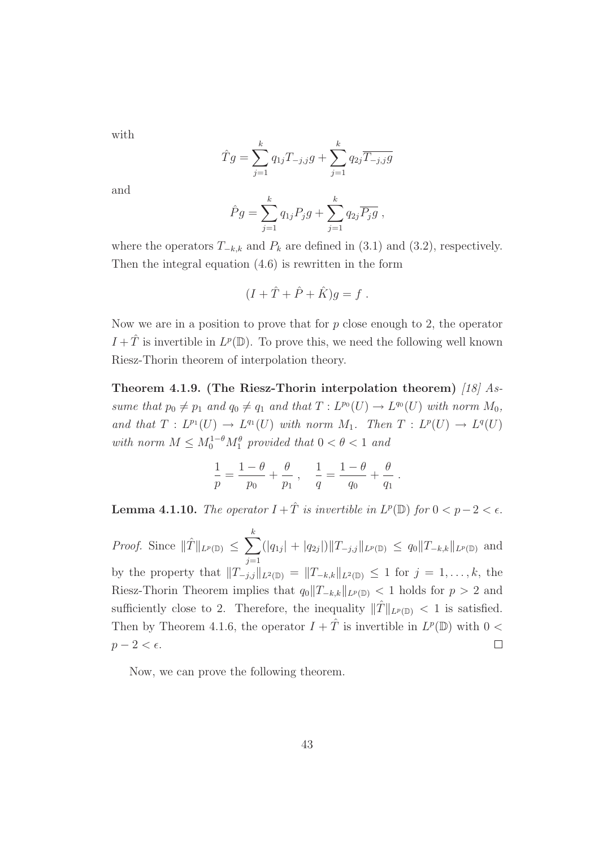with

$$
\hat{T}g = \sum_{j=1}^{k} q_{1j} T_{-j,j} g + \sum_{j=1}^{k} q_{2j} \overline{T_{-j,j} g}
$$

and

$$
\hat{P}g = \sum_{j=1}^{k} q_{1j} P_j g + \sum_{j=1}^{k} q_{2j} \overline{P_j g} ,
$$

where the operators  $T_{-k,k}$  and  $P_k$  are defined in (3.1) and (3.2), respectively. Then the integral equation (4.6) is rewritten in the form

$$
(I + \hat{T} + \hat{P} + \hat{K})g = f.
$$

Now we are in a position to prove that for  $p$  close enough to 2, the operator  $I + \hat{T}$  is invertible in  $L^p(\mathbb{D})$ . To prove this, we need the following well known Riesz-Thorin theorem of interpolation theory.

Theorem 4.1.9. (The Riesz-Thorin interpolation theorem) [18]  $As$ sume that  $p_0 \neq p_1$  and  $q_0 \neq q_1$  and that  $T : L^{p_0}(U) \to L^{q_0}(U)$  with norm  $M_0$ , and that  $T: L^{p_1}(U) \to L^{q_1}(U)$  with norm  $M_1$ . Then  $T: L^p(U) \to L^q(U)$ with norm  $M \leq M_0^{1-\theta} M_1^{\theta}$  provided that  $0 < \theta < 1$  and

$$
\frac{1}{p} = \frac{1-\theta}{p_0} + \frac{\theta}{p_1} , \quad \frac{1}{q} = \frac{1-\theta}{q_0} + \frac{\theta}{q_1} .
$$

**Lemma 4.1.10.** The operator  $I + \hat{T}$  is invertible in  $L^p(\mathbb{D})$  for  $0 < p-2 < \epsilon$ .

*Proof.* Since  $\|\hat{T}\|_{L^p(\mathbb{D})} \leq \sum_{k=1}^k$  $(|q_{1j}| + |q_{2j}|) \|T_{-j,j}\|_{L^p(\mathbb{D})} \leq q_0 \|T_{-k,k}\|_{L^p(\mathbb{D})}$  and  $j=1$ by the property that  $||T_{-j,j}||_{L^2(\mathbb{D})} = ||T_{-k,k}||_{L^2(\mathbb{D})} \leq 1$  for  $j = 1, ..., k$ , the Riesz-Thorin Theorem implies that  $q_0||T_{-k,k}||_{L^p(\mathbb{D})} < 1$  holds for  $p > 2$  and sufficiently close to 2. Therefore, the inequality  $||T||_{L^p(\mathbb{D})} < 1$  is satisfied. Then by Theorem 4.1.6, the operator  $I + \hat{T}$  is invertible in  $L^p(\mathbb{D})$  with  $0 <$  $p-2 < \epsilon$ .  $\Box$ 

Now, we can prove the following theorem.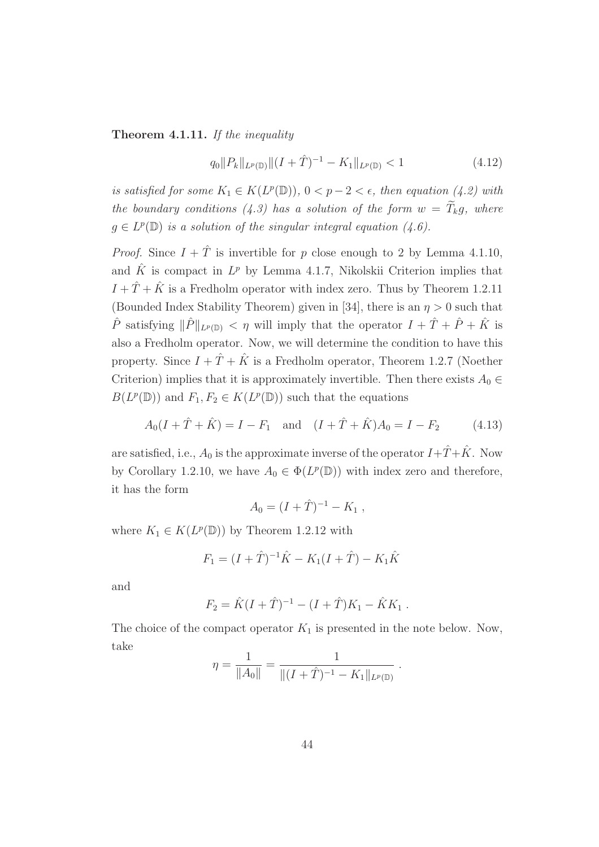Theorem 4.1.11. If the inequality

$$
q_0||P_k||_{L^p(\mathbb{D})}||(I+\hat{T})^{-1} - K_1||_{L^p(\mathbb{D})} < 1
$$
\n(4.12)

is satisfied for some  $K_1 \in K(L^p(\mathbb{D}))$ ,  $0 < p-2 < \epsilon$ , then equation (4.2) with the boundary conditions (4.3) has a solution of the form  $w = \widetilde{T}_k g$ , where  $g \in L^p(\mathbb{D})$  is a solution of the singular integral equation  $(4.6)$ .

*Proof.* Since  $I + \hat{T}$  is invertible for p close enough to 2 by Lemma 4.1.10, and  $\hat{K}$  is compact in  $L^p$  by Lemma 4.1.7, Nikolskii Criterion implies that  $I + \hat{T} + \hat{K}$  is a Fredholm operator with index zero. Thus by Theorem 1.2.11 (Bounded Index Stability Theorem) given in [34], there is an  $\eta > 0$  such that  $\hat{P}$  satisfying  $\|\hat{P}\|_{L^p(\mathbb{D})} < \eta$  will imply that the operator  $I + \hat{T} + \hat{P} + \hat{K}$  is also a Fredholm operator. Now, we will determine the condition to have this property. Since  $I + \hat{T} + \hat{K}$  is a Fredholm operator, Theorem 1.2.7 (Noether Criterion) implies that it is approximately invertible. Then there exists  $A_0 \in$  $B(L^p(\mathbb{D}))$  and  $F_1, F_2 \in K(L^p(\mathbb{D}))$  such that the equations

$$
A_0(I + \hat{T} + \hat{K}) = I - F_1 \text{ and } (I + \hat{T} + \hat{K})A_0 = I - F_2 \tag{4.13}
$$

are satisfied, i.e.,  $A_0$  is the approximate inverse of the operator  $I+\hat{T}+\hat{K}$ . Now by Corollary 1.2.10, we have  $A_0 \in \Phi(L^p(\mathbb{D}))$  with index zero and therefore, it has the form

$$
A_0 = (I + \hat{T})^{-1} - K_1 ,
$$

where  $K_1 \in K(L^p(\mathbb{D}))$  by Theorem 1.2.12 with

$$
F_1 = (I + \hat{T})^{-1}\hat{K} - K_1(I + \hat{T}) - K_1\hat{K}
$$

and

$$
F_2 = \hat{K}(I + \hat{T})^{-1} - (I + \hat{T})K_1 - \hat{K}K_1.
$$

The choice of the compact operator  $K_1$  is presented in the note below. Now, take

$$
\eta = \frac{1}{\|A_0\|} = \frac{1}{\|(I + \hat{T})^{-1} - K_1\|_{L^p(\mathbb{D})}}.
$$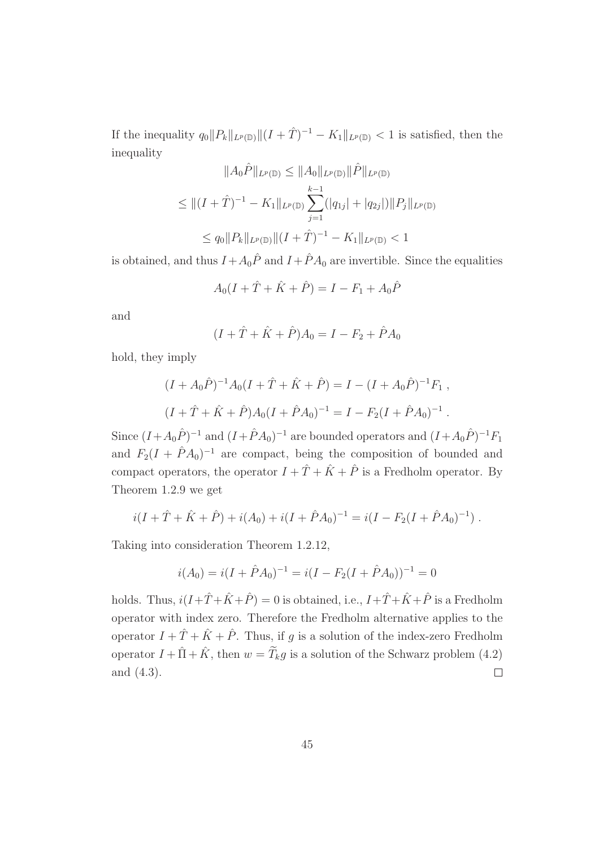If the inequality  $q_0||P_k||_{L^p(\mathbb{D})} ||(I + \hat{T})^{-1} - K_1||_{L^p(\mathbb{D})} < 1$  is satisfied, then the inequality

$$
||A_0\hat{P}||_{L^p(\mathbb{D})} \le ||A_0||_{L^p(\mathbb{D})} ||\hat{P}||_{L^p(\mathbb{D})}
$$
  
\n
$$
\le ||(I+\hat{T})^{-1} - K_1||_{L^p(\mathbb{D})} \sum_{j=1}^{k-1} (|q_{1j}| + |q_{2j}|) ||P_j||_{L^p(\mathbb{D})}
$$
  
\n
$$
\le q_0 ||P_k||_{L^p(\mathbb{D})} ||(I+\hat{T})^{-1} - K_1||_{L^p(\mathbb{D})} < 1
$$

is obtained, and thus  $I + A_0 \hat{P}$  and  $I + \hat{P} A_0$  are invertible. Since the equalities

$$
A_0(I + \hat{T} + \hat{K} + \hat{P}) = I - F_1 + A_0 \hat{P}
$$

and

$$
(I + \hat{T} + \hat{K} + \hat{P})A_0 = I - F_2 + \hat{P}A_0
$$

hold, they imply

$$
(I + A_0 \hat{P})^{-1} A_0 (I + \hat{T} + \hat{K} + \hat{P}) = I - (I + A_0 \hat{P})^{-1} F_1 ,
$$
  

$$
(I + \hat{T} + \hat{K} + \hat{P}) A_0 (I + \hat{P} A_0)^{-1} = I - F_2 (I + \hat{P} A_0)^{-1} .
$$

Since  $(I + A_0 \hat{P})^{-1}$  and  $(I + \hat{P} A_0)^{-1}$  are bounded operators and  $(I + A_0 \hat{P})^{-1} F_1$ and  $F_2(I + \hat{P}A_0)^{-1}$  are compact, being the composition of bounded and compact operators, the operator  $I + \hat{T} + \hat{K} + \hat{P}$  is a Fredholm operator. By Theorem 1.2.9 we get

$$
i(I + \hat{T} + \hat{K} + \hat{P}) + i(A_0) + i(I + \hat{P}A_0)^{-1} = i(I - F_2(I + \hat{P}A_0)^{-1}).
$$

Taking into consideration Theorem 1.2.12,

$$
i(A_0) = i(I + \hat{P}A_0)^{-1} = i(I - F_2(I + \hat{P}A_0))^{-1} = 0
$$

holds. Thus,  $i(I+\hat{T}+\hat{K}+\hat{P})=0$  is obtained, i.e.,  $I+\hat{T}+\hat{K}+\hat{P}$  is a Fredholm operator with index zero. Therefore the Fredholm alternative applies to the operator  $I + \hat{T} + \hat{K} + \hat{P}$ . Thus, if g is a solution of the index-zero Fredholm operator  $I + \hat{\Pi} + \hat{K}$ , then  $w = \tilde{T}_k g$  is a solution of the Schwarz problem (4.2) and (4.3).  $\Box$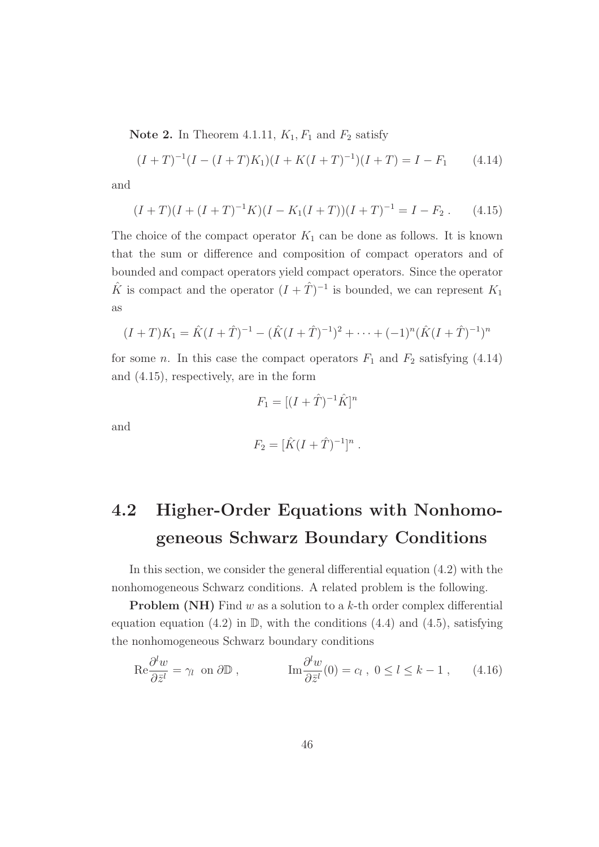**Note 2.** In Theorem 4.1.11,  $K_1$ ,  $F_1$  and  $F_2$  satisfy

$$
(I+T)^{-1}(I-(I+T)K_1)(I+K(I+T)^{-1})(I+T) = I - F_1 \qquad (4.14)
$$

and

$$
(I+T)(I+(I+T)^{-1}K)(I-K_1(I+T))(I+T)^{-1} = I - F_2.
$$
 (4.15)

The choice of the compact operator  $K_1$  can be done as follows. It is known that the sum or difference and composition of compact operators and of bounded and compact operators yield compact operators. Since the operator  $\hat{K}$  is compact and the operator  $(I + \hat{T})^{-1}$  is bounded, we can represent  $K_1$ as

$$
(I+T)K_1 = \hat{K}(I+\hat{T})^{-1} - (\hat{K}(I+\hat{T})^{-1})^2 + \cdots + (-1)^n(\hat{K}(I+\hat{T})^{-1})^n
$$

for some *n*. In this case the compact operators  $F_1$  and  $F_2$  satisfying (4.14) and (4.15), respectively, are in the form

$$
F_1 = [(I + \hat{T})^{-1}\hat{K}]^n
$$

and

$$
F_2 = [\hat{K}(I + \hat{T})^{-1}]^n.
$$

# 4.2 Higher-Order Equations with Nonhomogeneous Schwarz Boundary Conditions

In this section, we consider the general differential equation (4.2) with the nonhomogeneous Schwarz conditions. A related problem is the following.

**Problem (NH)** Find  $w$  as a solution to a  $k$ -th order complex differential equation equation (4.2) in  $\mathbb{D}$ , with the conditions (4.4) and (4.5), satisfying the nonhomogeneous Schwarz boundary conditions

$$
\operatorname{Re}\frac{\partial^l w}{\partial \bar{z}^l} = \gamma_l \text{ on } \partial \mathbb{D} , \qquad \qquad \operatorname{Im}\frac{\partial^l w}{\partial \bar{z}^l}(0) = c_l , \ 0 \le l \le k - 1 , \qquad (4.16)
$$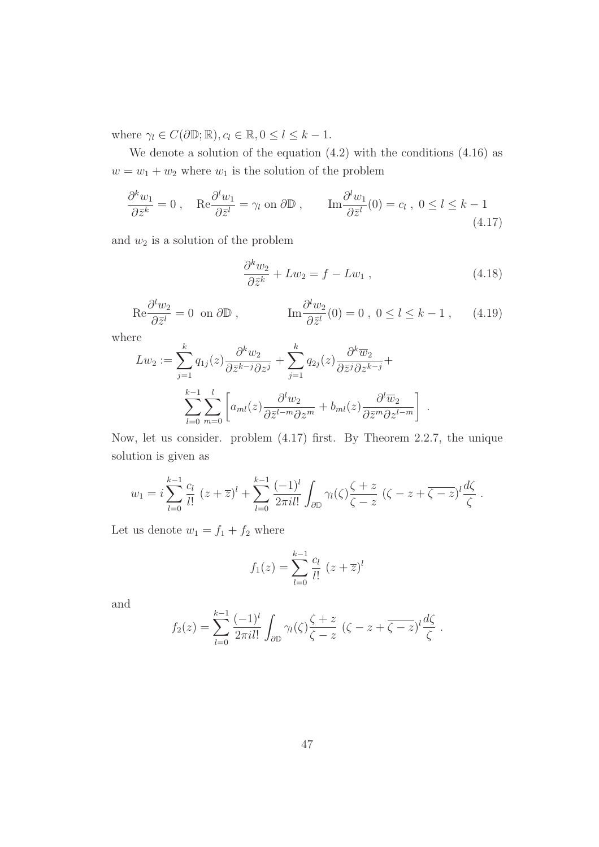where  $\gamma_l \in C(\partial \mathbb{D}; \mathbb{R}), c_l \in \mathbb{R}, 0 \leq l \leq k-1.$ 

We denote a solution of the equation (4.2) with the conditions (4.16) as  $w = w_1 + w_2$  where  $w_1$  is the solution of the problem

$$
\frac{\partial^k w_1}{\partial \bar{z}^k} = 0 \,, \quad \text{Re} \frac{\partial^l w_1}{\partial \bar{z}^l} = \gamma_l \text{ on } \partial \mathbb{D} \,, \qquad \text{Im} \frac{\partial^l w_1}{\partial \bar{z}^l}(0) = c_l \,, \ 0 \le l \le k - 1 \tag{4.17}
$$

and  $w_2$  is a solution of the problem

$$
\frac{\partial^k w_2}{\partial \bar{z}^k} + L w_2 = f - L w_1 , \qquad (4.18)
$$

$$
\text{Re}\frac{\partial^l w_2}{\partial \bar{z}^l} = 0 \text{ on } \partial \mathbb{D}, \qquad \qquad \text{Im}\frac{\partial^l w_2}{\partial \bar{z}^l}(0) = 0, \ 0 \le l \le k - 1, \qquad (4.19)
$$

where

$$
Lw_2 := \sum_{j=1}^k q_{1j}(z) \frac{\partial^k w_2}{\partial \bar{z}^{k-j} \partial z^j} + \sum_{j=1}^k q_{2j}(z) \frac{\partial^k \overline{w}_2}{\partial \bar{z}^j \partial z^{k-j}} + \sum_{l=0}^{k-1} \sum_{m=0}^l \left[ a_{ml}(z) \frac{\partial^l w_2}{\partial \bar{z}^{l-m} \partial z^m} + b_{ml}(z) \frac{\partial^l \overline{w}_2}{\partial \bar{z}^m \partial z^{l-m}} \right].
$$

Now, let us consider. problem (4.17) first. By Theorem 2.2.7, the unique solution is given as

$$
w_1 = i \sum_{l=0}^{k-1} \frac{c_l}{l!} (z + \overline{z})^l + \sum_{l=0}^{k-1} \frac{(-1)^l}{2\pi i l!} \int_{\partial \mathbb{D}} \gamma_l(\zeta) \frac{\zeta + z}{\zeta - z} (\zeta - z + \overline{\zeta - z})^l \frac{d\zeta}{\zeta}.
$$

Let us denote  $w_1 = f_1 + f_2$  where

$$
f_1(z) = \sum_{l=0}^{k-1} \frac{c_l}{l!} (z + \overline{z})^l
$$

and

$$
f_2(z) = \sum_{l=0}^{k-1} \frac{(-1)^l}{2\pi i l!} \int_{\partial \mathbb{D}} \gamma_l(\zeta) \frac{\zeta + z}{\zeta - z} \left( \zeta - z + \overline{\zeta - z} \right)^l \frac{d\zeta}{\zeta}.
$$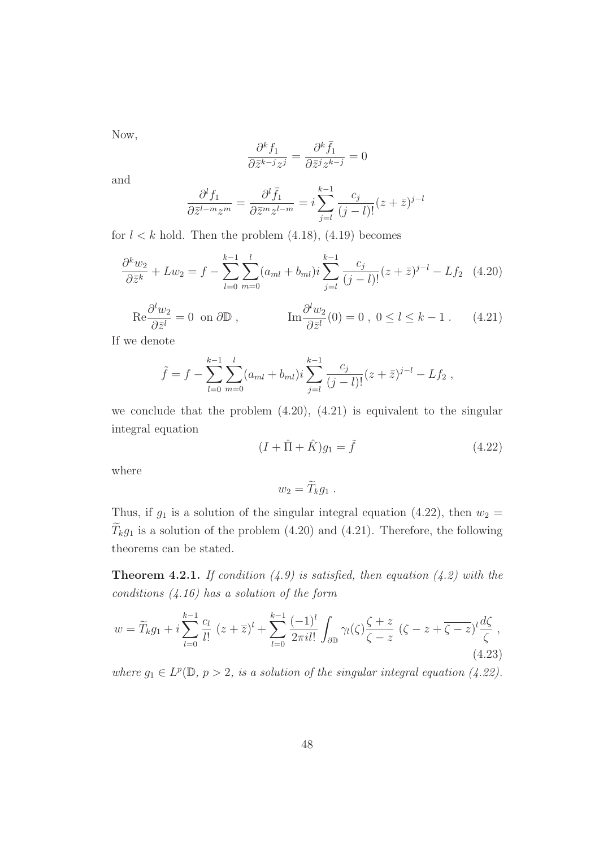Now,

$$
\frac{\partial^k f_1}{\partial \bar{z}^{k-j} z^j} = \frac{\partial^k \bar{f}_1}{\partial \bar{z}^j z^{k-j}} = 0
$$

and

$$
\frac{\partial^l f_1}{\partial \bar{z}^{l-m} z^m} = \frac{\partial^l \bar{f}_1}{\partial \bar{z}^m z^{l-m}} = i \sum_{j=l}^{k-1} \frac{c_j}{(j-l)!} (z+\bar{z})^{j-l}
$$

for  $l < k$  hold. Then the problem  $(4.18)$ ,  $(4.19)$  becomes

$$
\frac{\partial^k w_2}{\partial \bar{z}^k} + L w_2 = f - \sum_{l=0}^{k-1} \sum_{m=0}^l (a_{ml} + b_{ml}) i \sum_{j=l}^{k-1} \frac{c_j}{(j-l)!} (z + \bar{z})^{j-l} - L f_2 \quad (4.20)
$$

$$
\operatorname{Re}\frac{\partial^l w_2}{\partial \bar{z}^l} = 0 \text{ on } \partial \mathbb{D}, \qquad \qquad \operatorname{Im}\frac{\partial^l w_2}{\partial \bar{z}^l}(0) = 0, \ 0 \le l \le k - 1. \tag{4.21}
$$

If we denote

$$
\tilde{f} = f - \sum_{l=0}^{k-1} \sum_{m=0}^{l} (a_{ml} + b_{ml}) i \sum_{j=l}^{k-1} \frac{c_j}{(j-l)!} (z + \bar{z})^{j-l} - Lf_2 ,
$$

we conclude that the problem  $(4.20)$ ,  $(4.21)$  is equivalent to the singular integral equation

$$
(I + \hat{\Pi} + \hat{K})g_1 = \tilde{f}
$$
\n
$$
(4.22)
$$

where

$$
w_2=\widetilde{T}_k g_1.
$$

Thus, if  $g_1$  is a solution of the singular integral equation (4.22), then  $w_2 =$  $\widetilde{T}_k g_1$  is a solution of the problem (4.20) and (4.21). Therefore, the following theorems can be stated.

**Theorem 4.2.1.** If condition  $(4.9)$  is satisfied, then equation  $(4.2)$  with the conditions  $(4.16)$  has a solution of the form

$$
w = \widetilde{T}_k g_1 + i \sum_{l=0}^{k-1} \frac{c_l}{l!} (z + \overline{z})^l + \sum_{l=0}^{k-1} \frac{(-1)^l}{2\pi i l!} \int_{\partial \mathbb{D}} \gamma_l(\zeta) \frac{\zeta + z}{\zeta - z} (\zeta - z + \overline{\zeta - z})^l \frac{d\zeta}{\zeta},
$$
\n(4.23)

where  $g_1 \in L^p(\mathbb{D}, p > 2$ , is a solution of the singular integral equation (4.22).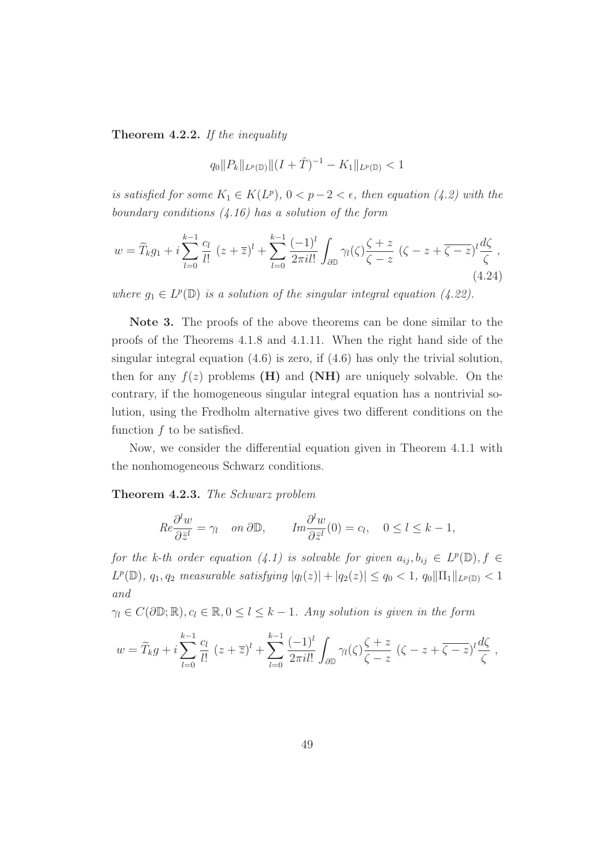Theorem 4.2.2. If the inequality

$$
q_0\|P_k\|_{L^p(\mathbb{D})}\|(I+\hat{T})^{-1}-K_1\|_{L^p(\mathbb{D})}<1
$$

is satisfied for some  $K_1 \in K(L^p)$ ,  $0 < p-2 < \epsilon$ , then equation (4.2) with the boundary conditions  $(4.16)$  has a solution of the form

$$
w = \widetilde{T}_k g_1 + i \sum_{l=0}^{k-1} \frac{c_l}{l!} (z + \overline{z})^l + \sum_{l=0}^{k-1} \frac{(-1)^l}{2\pi i l!} \int_{\partial \mathbb{D}} \gamma_l(\zeta) \frac{\zeta + z}{\zeta - z} (\zeta - z + \overline{\zeta - z})^l \frac{d\zeta}{\zeta},
$$
\n(4.24)

where  $g_1 \in L^p(\mathbb{D})$  is a solution of the singular integral equation (4.22).

Note 3. The proofs of the above theorems can be done similar to the proofs of the Theorems 4.1.8 and 4.1.11. When the right hand side of the singular integral equation  $(4.6)$  is zero, if  $(4.6)$  has only the trivial solution, then for any  $f(z)$  problems (H) and (NH) are uniquely solvable. On the contrary, if the homogeneous singular integral equation has a nontrivial solution, using the Fredholm alternative gives two different conditions on the function  $f$  to be satisfied.

Now, we consider the differential equation given in Theorem 4.1.1 with the nonhomogeneous Schwarz conditions.

Theorem 4.2.3. The Schwarz problem

$$
Re \frac{\partial^l w}{\partial \bar{z}^l} = \gamma_l \quad on \ \partial \mathbb{D}, \qquad Im \frac{\partial^l w}{\partial \bar{z}^l}(0) = c_l, \quad 0 \le l \le k - 1,
$$

for the k-th order equation (4.1) is solvable for given  $a_{ij}, b_{ij} \in L^p(\mathbb{D}), f \in$  $L^p(\mathbb{D})$ ,  $q_1, q_2$  measurable satisfying  $|q_l(z)| + |q_2(z)| \leq q_0 < 1$ ,  $q_0 \|\Pi_1\|_{L^p(\mathbb{D})} < 1$ and

 $\gamma_l \in C(\partial \mathbb{D}; \mathbb{R}), c_l \in \mathbb{R}, 0 \leq l \leq k-1$ . Any solution is given in the form

$$
w = \widetilde{T}_k g + i \sum_{l=0}^{k-1} \frac{c_l}{l!} (z + \overline{z})^l + \sum_{l=0}^{k-1} \frac{(-1)^l}{2\pi i l!} \int_{\partial \mathbb{D}} \gamma_l(\zeta) \frac{\zeta + z}{\zeta - z} (\zeta - z + \overline{\zeta - z})^l \frac{d\zeta}{\zeta},
$$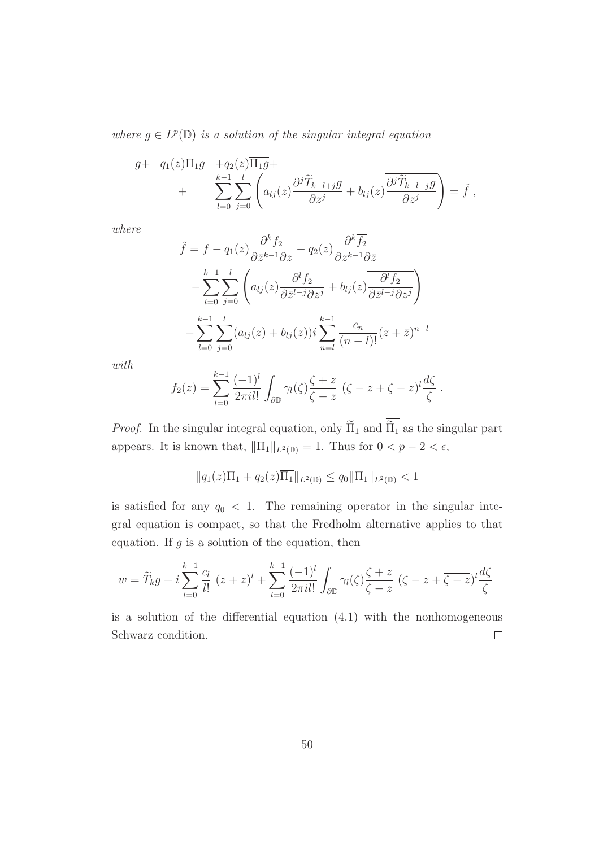where  $g \in L^p(\mathbb{D})$  is a solution of the singular integral equation

$$
g+ q_1(z)\Pi_1 g + q_2(z)\overline{\Pi_1 g} + \sum_{l=0}^{k-1} \sum_{j=0}^l \left( a_{lj}(z) \frac{\partial^j \widetilde{T}_{k-l+j} g}{\partial z^j} + b_{lj}(z) \overline{\frac{\partial^j \widetilde{T}_{k-l+j} g}{\partial z^j}} \right) = \widetilde{f},
$$

where

$$
\tilde{f} = f - q_1(z) \frac{\partial^k f_2}{\partial \bar{z}^{k-1} \partial z} - q_2(z) \frac{\partial^k \overline{f_2}}{\partial z^{k-1} \partial \bar{z}} \n- \sum_{l=0}^{k-1} \sum_{j=0}^l \left( a_{lj}(z) \frac{\partial^l f_2}{\partial \bar{z}^{l-j} \partial z^j} + b_{lj}(z) \frac{\partial^l f_2}{\partial \bar{z}^{l-j} \partial z^j} \right) \n- \sum_{l=0}^{k-1} \sum_{j=0}^l (a_{lj}(z) + b_{lj}(z)) i \sum_{n=l}^{k-1} \frac{c_n}{(n-l)!} (z + \bar{z})^{n-l}
$$

with

$$
f_2(z) = \sum_{l=0}^{k-1} \frac{(-1)^l}{2\pi i l!} \int_{\partial \mathbb{D}} \gamma_l(\zeta) \frac{\zeta + z}{\zeta - z} \left( \zeta - z + \overline{\zeta - z} \right)^l \frac{d\zeta}{\zeta}
$$

.

*Proof.* In the singular integral equation, only  $\widetilde{\Pi}_1$  and  $\overline{\widetilde{\Pi}_1}$  as the singular part appears. It is known that,  $\|\Pi_1\|_{L^2(\mathbb{D})} = 1$ . Thus for  $0 < p - 2 < \epsilon$ ,

$$
||q_1(z)\Pi_1 + q_2(z)\overline{\Pi_1}||_{L^2(\mathbb{D})} \le q_0 ||\Pi_1||_{L^2(\mathbb{D})} < 1
$$

is satisfied for any  $q_0 < 1$ . The remaining operator in the singular integral equation is compact, so that the Fredholm alternative applies to that equation. If  $g$  is a solution of the equation, then

$$
w = \widetilde{T}_k g + i \sum_{l=0}^{k-1} \frac{c_l}{l!} (z + \overline{z})^l + \sum_{l=0}^{k-1} \frac{(-1)^l}{2\pi i l!} \int_{\partial \mathbb{D}} \gamma_l(\zeta) \frac{\zeta + z}{\zeta - z} (\zeta - z + \overline{\zeta - z})^l \frac{d\zeta}{\zeta}
$$

is a solution of the differential equation (4.1) with the nonhomogeneous Schwarz condition.  $\Box$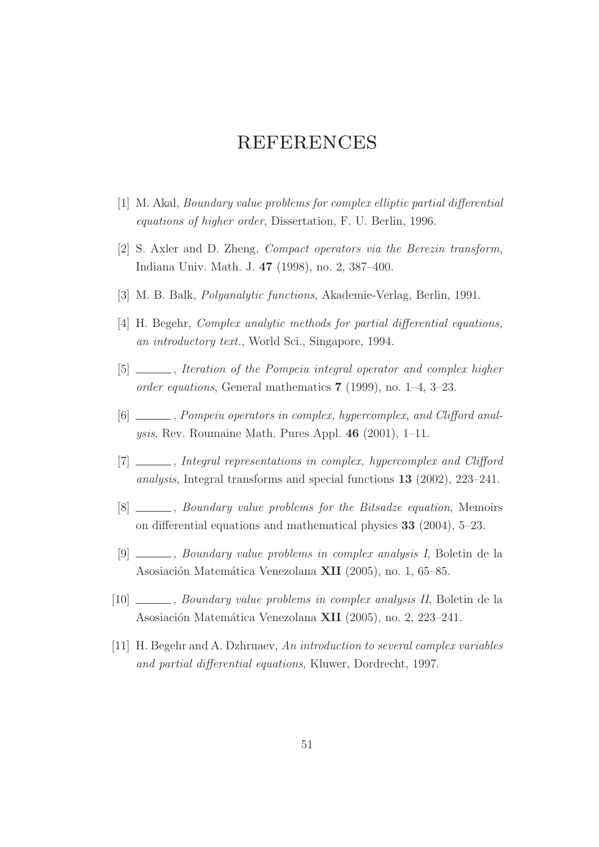# **REFERENCES**

- [1] M. Akal, Boundary value problems for complex elliptic partial differential equations of higher order, Dissertation, F. U. Berlin, 1996.
- [2] S. Axler and D. Zheng, Compact operators via the Berezin transform, Indiana Univ. Math. J. 47 (1998), no. 2, 387–400.
- [3] M. B. Balk, Polyanalytic functions, Akademie-Verlag, Berlin, 1991.
- [4] H. Begehr, *Complex analytic methods for partial differential equations*, an introductory text., World Sci., Singapore, 1994.
- [5] \_\_\_\_\_, Iteration of the Pompeiu integral operator and complex higher order equations, General mathematics 7 (1999), no. 1–4, 3–23.
- [6] \_\_\_\_\_\_, Pompeiu operators in complex, hypercomplex, and Clifford analysis, Rev. Roumaine Math. Pures Appl. 46 (2001), 1–11.
- [7] , Integral representations in complex, hypercomplex and Clifford analysis, Integral transforms and special functions 13 (2002), 223–241.
- [8]  $\_\_\_\_\_\$ g Boundary value problems for the Bitsadze equation, Memoirs on differential equations and mathematical physics 33 (2004), 5–23.
- [9] , Boundary value problems in complex analysis I, Boletin de la Asosiación Matemática Venezolana XII (2005), no. 1, 65–85.
- [10] , Boundary value problems in complex analysis II, Boletin de la Asosiación Matemática Venezolana XII (2005), no. 2, 223–241.
- [11] H. Begehr and A. Dzhruaev, An introduction to several complex variables and partial differential equations, Kluwer, Dordrecht, 1997.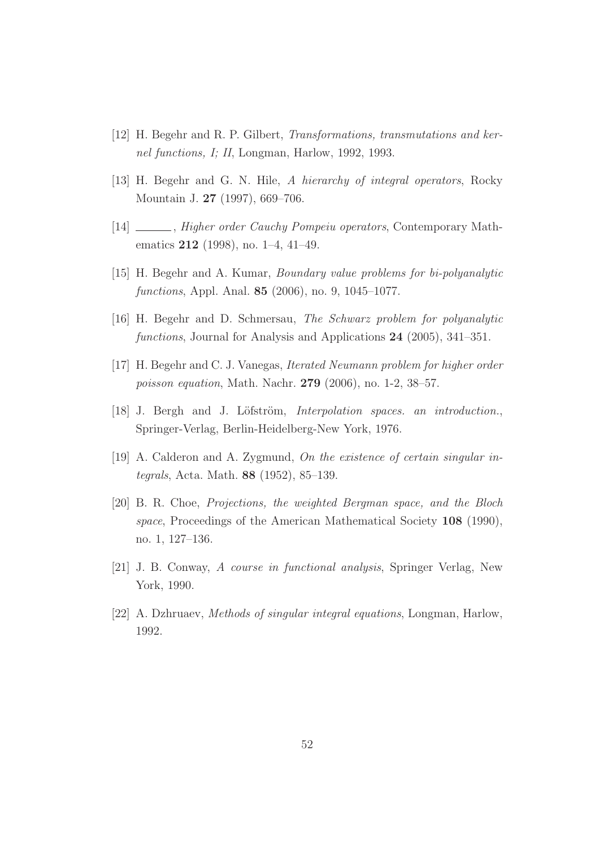- [12] H. Begehr and R. P. Gilbert, Transformations, transmutations and kernel functions, I; II, Longman, Harlow, 1992, 1993.
- [13] H. Begehr and G. N. Hile, A hierarchy of integral operators, Rocky Mountain J. 27 (1997), 669–706.
- [14] Higher order Cauchy Pompeiu operators, Contemporary Mathematics 212 (1998), no. 1–4, 41–49.
- [15] H. Begehr and A. Kumar, Boundary value problems for bi-polyanalytic functions, Appl. Anal. 85 (2006), no. 9, 1045–1077.
- [16] H. Begehr and D. Schmersau, The Schwarz problem for polyanalytic functions, Journal for Analysis and Applications 24 (2005), 341–351.
- [17] H. Begehr and C. J. Vanegas, Iterated Neumann problem for higher order poisson equation, Math. Nachr. 279 (2006), no. 1-2, 38–57.
- [18] J. Bergh and J. Löfström, *Interpolation spaces. an introduction.*, Springer-Verlag, Berlin-Heidelberg-New York, 1976.
- [19] A. Calderon and A. Zygmund, On the existence of certain singular integrals, Acta. Math. 88 (1952), 85–139.
- [20] B. R. Choe, Projections, the weighted Bergman space, and the Bloch space, Proceedings of the American Mathematical Society 108 (1990), no. 1, 127–136.
- [21] J. B. Conway, A course in functional analysis, Springer Verlag, New York, 1990.
- [22] A. Dzhruaev, Methods of singular integral equations, Longman, Harlow, 1992.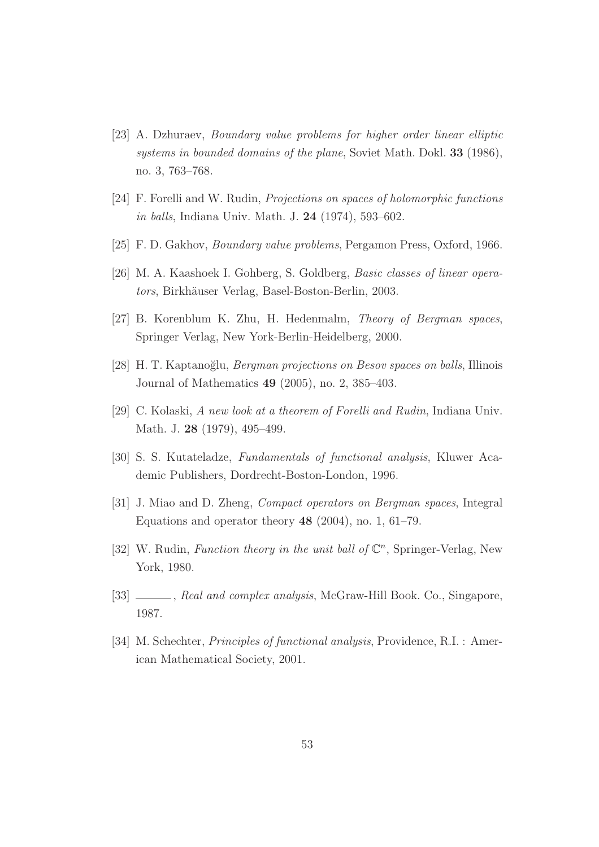- [23] A. Dzhuraev, Boundary value problems for higher order linear elliptic systems in bounded domains of the plane, Soviet Math. Dokl. 33 (1986), no. 3, 763–768.
- [24] F. Forelli and W. Rudin, Projections on spaces of holomorphic functions in balls, Indiana Univ. Math. J. 24 (1974), 593–602.
- [25] F. D. Gakhov, Boundary value problems, Pergamon Press, Oxford, 1966.
- [26] M. A. Kaashoek I. Gohberg, S. Goldberg, Basic classes of linear operators, Birkhäuser Verlag, Basel-Boston-Berlin, 2003.
- [27] B. Korenblum K. Zhu, H. Hedenmalm, Theory of Bergman spaces, Springer Verlag, New York-Berlin-Heidelberg, 2000.
- [28] H. T. Kaptanoğlu, *Bergman projections on Besov spaces on balls*, Illinois Journal of Mathematics 49 (2005), no. 2, 385–403.
- [29] C. Kolaski, A new look at a theorem of Forelli and Rudin, Indiana Univ. Math. J. 28 (1979), 495–499.
- [30] S. S. Kutateladze, Fundamentals of functional analysis, Kluwer Academic Publishers, Dordrecht-Boston-London, 1996.
- [31] J. Miao and D. Zheng, Compact operators on Bergman spaces, Integral Equations and operator theory 48 (2004), no. 1, 61–79.
- [32] W. Rudin, Function theory in the unit ball of  $\mathbb{C}^n$ , Springer-Verlag, New York, 1980.
- [33] , Real and complex analysis, McGraw-Hill Book. Co., Singapore, 1987.
- [34] M. Schechter, Principles of functional analysis, Providence, R.I. : American Mathematical Society, 2001.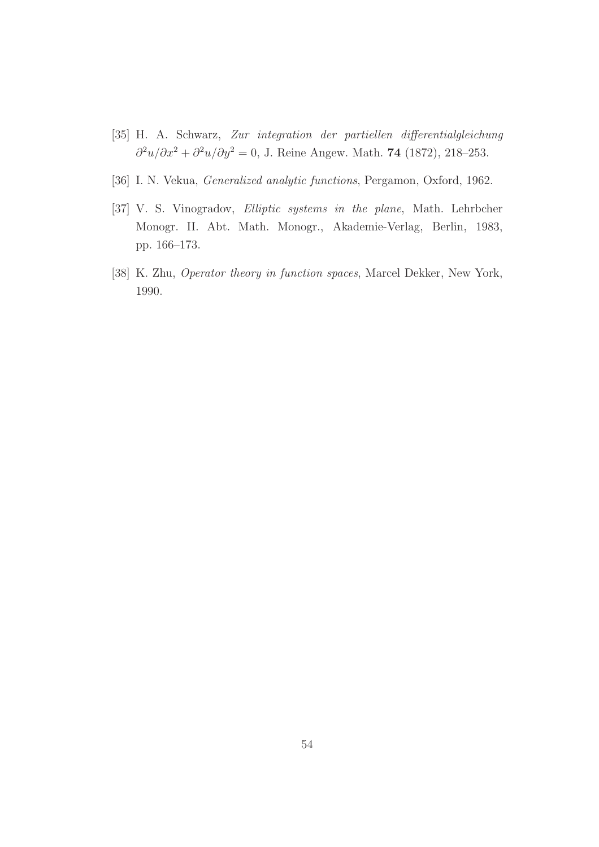- [35] H. A. Schwarz, Zur integration der partiellen differentialgleichung  $\frac{\partial^2 u}{\partial x^2} + \frac{\partial^2 u}{\partial y^2} = 0$ , J. Reine Angew. Math. 74 (1872), 218–253.
- [36] I. N. Vekua, Generalized analytic functions, Pergamon, Oxford, 1962.
- [37] V. S. Vinogradov, Elliptic systems in the plane, Math. Lehrbcher Monogr. II. Abt. Math. Monogr., Akademie-Verlag, Berlin, 1983, pp. 166–173.
- [38] K. Zhu, Operator theory in function spaces, Marcel Dekker, New York, 1990.